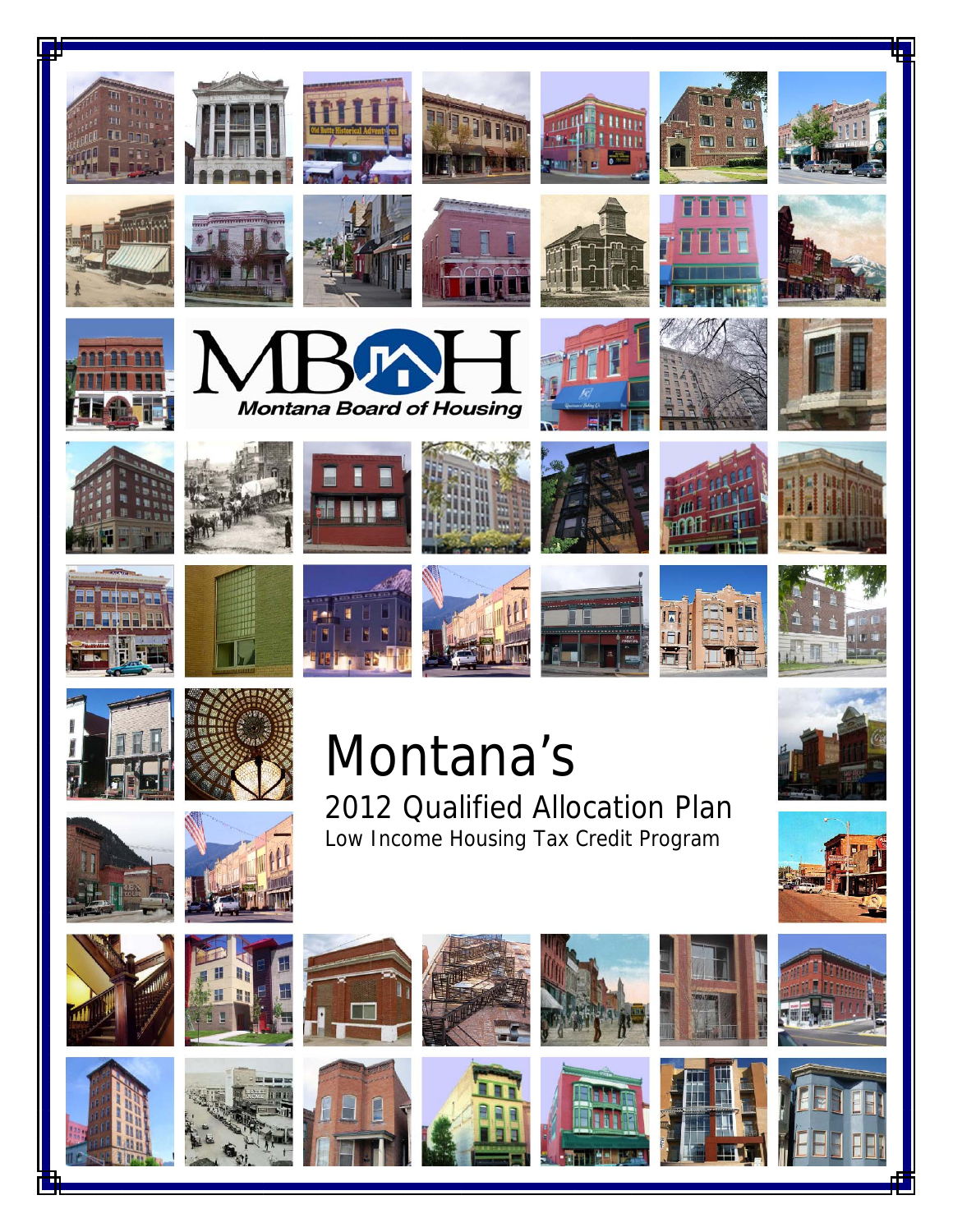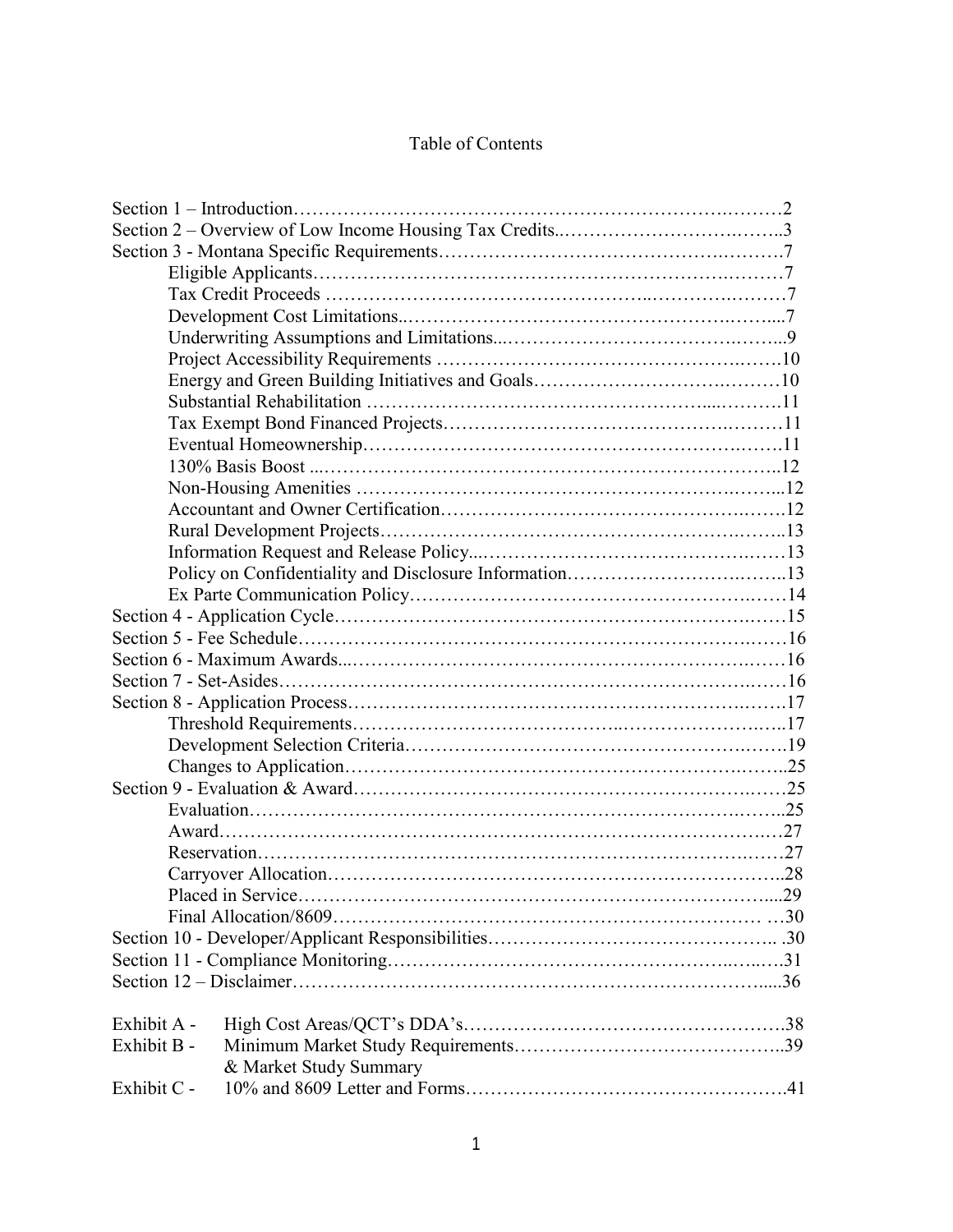# Table of Contents

| Exhibit A - |                        |  |
|-------------|------------------------|--|
| Exhibit B - |                        |  |
|             | & Market Study Summary |  |
| Exhibit C - |                        |  |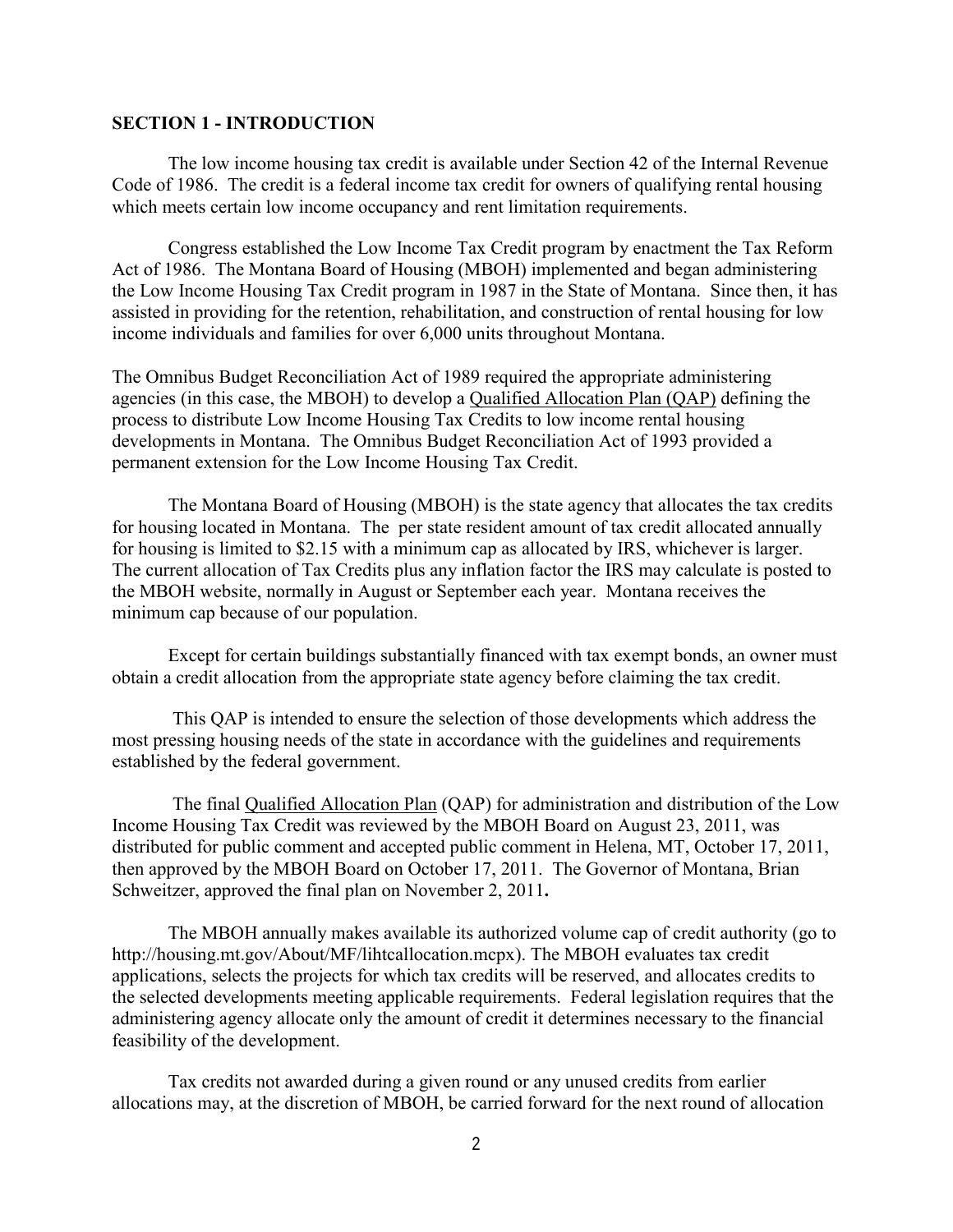#### <span id="page-3-0"></span>**SECTION 1 - INTRODUCTION**

The low income housing tax credit is available under Section 42 of the Internal Revenue Code of 1986. The credit is a federal income tax credit for owners of qualifying rental housing which meets certain low income occupancy and rent limitation requirements.

Congress established the Low Income Tax Credit program by enactment the Tax Reform Act of 1986. The Montana Board of Housing (MBOH) implemented and began administering the Low Income Housing Tax Credit program in 1987 in the State of Montana. Since then, it has assisted in providing for the retention, rehabilitation, and construction of rental housing for low income individuals and families for over 6,000 units throughout Montana.

The Omnibus Budget Reconciliation Act of 1989 required the appropriate administering agencies (in this case, the MBOH) to develop a Qualified Allocation Plan (QAP) defining the process to distribute Low Income Housing Tax Credits to low income rental housing developments in Montana. The Omnibus Budget Reconciliation Act of 1993 provided a permanent extension for the Low Income Housing Tax Credit.

The Montana Board of Housing (MBOH) is the state agency that allocates the tax credits for housing located in Montana. The per state resident amount of tax credit allocated annually for housing is limited to \$2.15 with a minimum cap as allocated by IRS, whichever is larger. The current allocation of Tax Credits plus any inflation factor the IRS may calculate is posted to the MBOH website, normally in August or September each year. Montana receives the minimum cap because of our population.

Except for certain buildings substantially financed with tax exempt bonds, an owner must obtain a credit allocation from the appropriate state agency before claiming the tax credit.

 This QAP is intended to ensure the selection of those developments which address the most pressing housing needs of the state in accordance with the guidelines and requirements established by the federal government.

The final Qualified Allocation Plan (QAP) for administration and distribution of the Low Income Housing Tax Credit was reviewed by the MBOH Board on August 23, 2011, was distributed for public comment and accepted public comment in Helena, MT, October 17, 2011, then approved by the MBOH Board on October 17, 2011. The Governor of Montana, Brian Schweitzer, approved the final plan on November 2, 2011**.**

The MBOH annually makes available its authorized volume cap of credit authority (go to http://housing.mt.gov/About/MF/lihtcallocation.mcpx). The MBOH evaluates tax credit applications, selects the projects for which tax credits will be reserved, and allocates credits to the selected developments meeting applicable requirements. Federal legislation requires that the administering agency allocate only the amount of credit it determines necessary to the financial feasibility of the development.

Tax credits not awarded during a given round or any unused credits from earlier allocations may, at the discretion of MBOH, be carried forward for the next round of allocation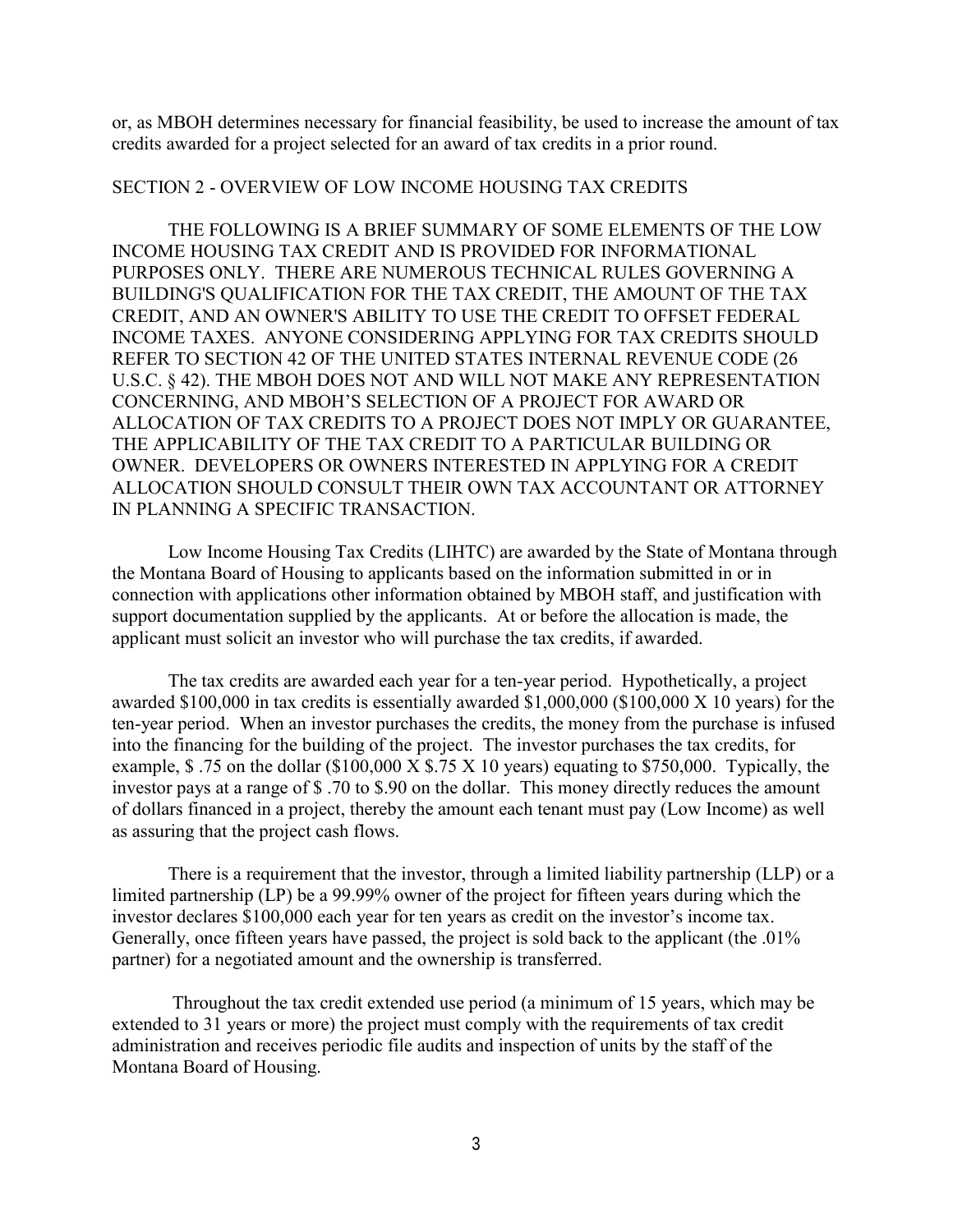<span id="page-4-0"></span>or, as MBOH determines necessary for financial feasibility, be used to increase the amount of tax credits awarded for a project selected for an award of tax credits in a prior round.

#### SECTION 2 - OVERVIEW OF LOW INCOME HOUSING TAX CREDITS

THE FOLLOWING IS A BRIEF SUMMARY OF SOME ELEMENTS OF THE LOW INCOME HOUSING TAX CREDIT AND IS PROVIDED FOR INFORMATIONAL PURPOSES ONLY. THERE ARE NUMEROUS TECHNICAL RULES GOVERNING A BUILDING'S QUALIFICATION FOR THE TAX CREDIT, THE AMOUNT OF THE TAX CREDIT, AND AN OWNER'S ABILITY TO USE THE CREDIT TO OFFSET FEDERAL INCOME TAXES. ANYONE CONSIDERING APPLYING FOR TAX CREDITS SHOULD REFER TO SECTION 42 OF THE UNITED STATES INTERNAL REVENUE CODE (26 U.S.C. § 42). THE MBOH DOES NOT AND WILL NOT MAKE ANY REPRESENTATION CONCERNING, AND MBOH'S SELECTION OF A PROJECT FOR AWARD OR ALLOCATION OF TAX CREDITS TO A PROJECT DOES NOT IMPLY OR GUARANTEE, THE APPLICABILITY OF THE TAX CREDIT TO A PARTICULAR BUILDING OR OWNER. DEVELOPERS OR OWNERS INTERESTED IN APPLYING FOR A CREDIT ALLOCATION SHOULD CONSULT THEIR OWN TAX ACCOUNTANT OR ATTORNEY IN PLANNING A SPECIFIC TRANSACTION.

 Low Income Housing Tax Credits (LIHTC) are awarded by the State of Montana through the Montana Board of Housing to applicants based on the information submitted in or in connection with applications other information obtained by MBOH staff, and justification with support documentation supplied by the applicants. At or before the allocation is made, the applicant must solicit an investor who will purchase the tax credits, if awarded.

 The tax credits are awarded each year for a ten-year period. Hypothetically, a project awarded \$100,000 in tax credits is essentially awarded \$1,000,000 (\$100,000 X 10 years) for the ten-year period. When an investor purchases the credits, the money from the purchase is infused into the financing for the building of the project. The investor purchases the tax credits, for example,  $$.75$  on the dollar (\$100,000 X \$.75 X 10 years) equating to \$750,000. Typically, the investor pays at a range of \$ .70 to \$.90 on the dollar. This money directly reduces the amount of dollars financed in a project, thereby the amount each tenant must pay (Low Income) as well as assuring that the project cash flows.

 There is a requirement that the investor, through a limited liability partnership (LLP) or a limited partnership (LP) be a 99.99% owner of the project for fifteen years during which the investor declares \$100,000 each year for ten years as credit on the investor's income tax. Generally, once fifteen years have passed, the project is sold back to the applicant (the .01%) partner) for a negotiated amount and the ownership is transferred.

 Throughout the tax credit extended use period (a minimum of 15 years, which may be extended to 31 years or more) the project must comply with the requirements of tax credit administration and receives periodic file audits and inspection of units by the staff of the Montana Board of Housing.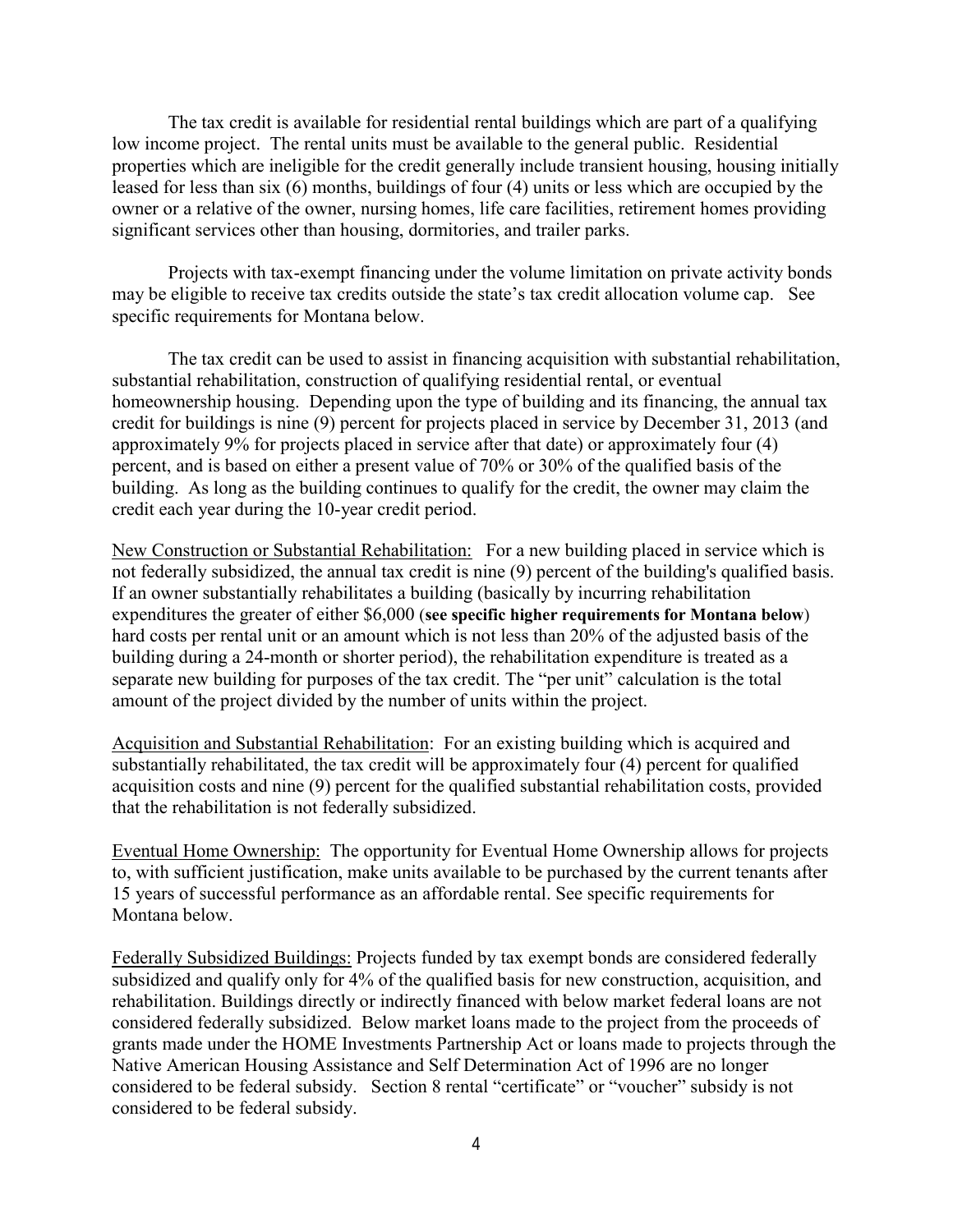The tax credit is available for residential rental buildings which are part of a qualifying low income project. The rental units must be available to the general public. Residential properties which are ineligible for the credit generally include transient housing, housing initially leased for less than six (6) months, buildings of four (4) units or less which are occupied by the owner or a relative of the owner, nursing homes, life care facilities, retirement homes providing significant services other than housing, dormitories, and trailer parks.

Projects with tax-exempt financing under the volume limitation on private activity bonds may be eligible to receive tax credits outside the state's tax credit allocation volume cap. See specific requirements for Montana below.

The tax credit can be used to assist in financing acquisition with substantial rehabilitation, substantial rehabilitation, construction of qualifying residential rental, or eventual homeownership housing. Depending upon the type of building and its financing, the annual tax credit for buildings is nine (9) percent for projects placed in service by December 31, 2013 (and approximately 9% for projects placed in service after that date) or approximately four (4) percent, and is based on either a present value of 70% or 30% of the qualified basis of the building. As long as the building continues to qualify for the credit, the owner may claim the credit each year during the 10-year credit period.

New Construction or Substantial Rehabilitation: For a new building placed in service which is not federally subsidized, the annual tax credit is nine (9) percent of the building's qualified basis. If an owner substantially rehabilitates a building (basically by incurring rehabilitation expenditures the greater of either \$6,000 (**see specific higher requirements for Montana below**) hard costs per rental unit or an amount which is not less than 20% of the adjusted basis of the building during a 24-month or shorter period), the rehabilitation expenditure is treated as a separate new building for purposes of the tax credit. The "per unit" calculation is the total amount of the project divided by the number of units within the project.

Acquisition and Substantial Rehabilitation: For an existing building which is acquired and substantially rehabilitated, the tax credit will be approximately four (4) percent for qualified acquisition costs and nine (9) percent for the qualified substantial rehabilitation costs, provided that the rehabilitation is not federally subsidized.

Eventual Home Ownership: The opportunity for Eventual Home Ownership allows for projects to, with sufficient justification, make units available to be purchased by the current tenants after 15 years of successful performance as an affordable rental. See specific requirements for Montana below.

Federally Subsidized Buildings: Projects funded by tax exempt bonds are considered federally subsidized and qualify only for 4% of the qualified basis for new construction, acquisition, and rehabilitation. Buildings directly or indirectly financed with below market federal loans are not considered federally subsidized. Below market loans made to the project from the proceeds of grants made under the HOME Investments Partnership Act or loans made to projects through the Native American Housing Assistance and Self Determination Act of 1996 are no longer considered to be federal subsidy. Section 8 rental "certificate" or "voucher" subsidy is not considered to be federal subsidy.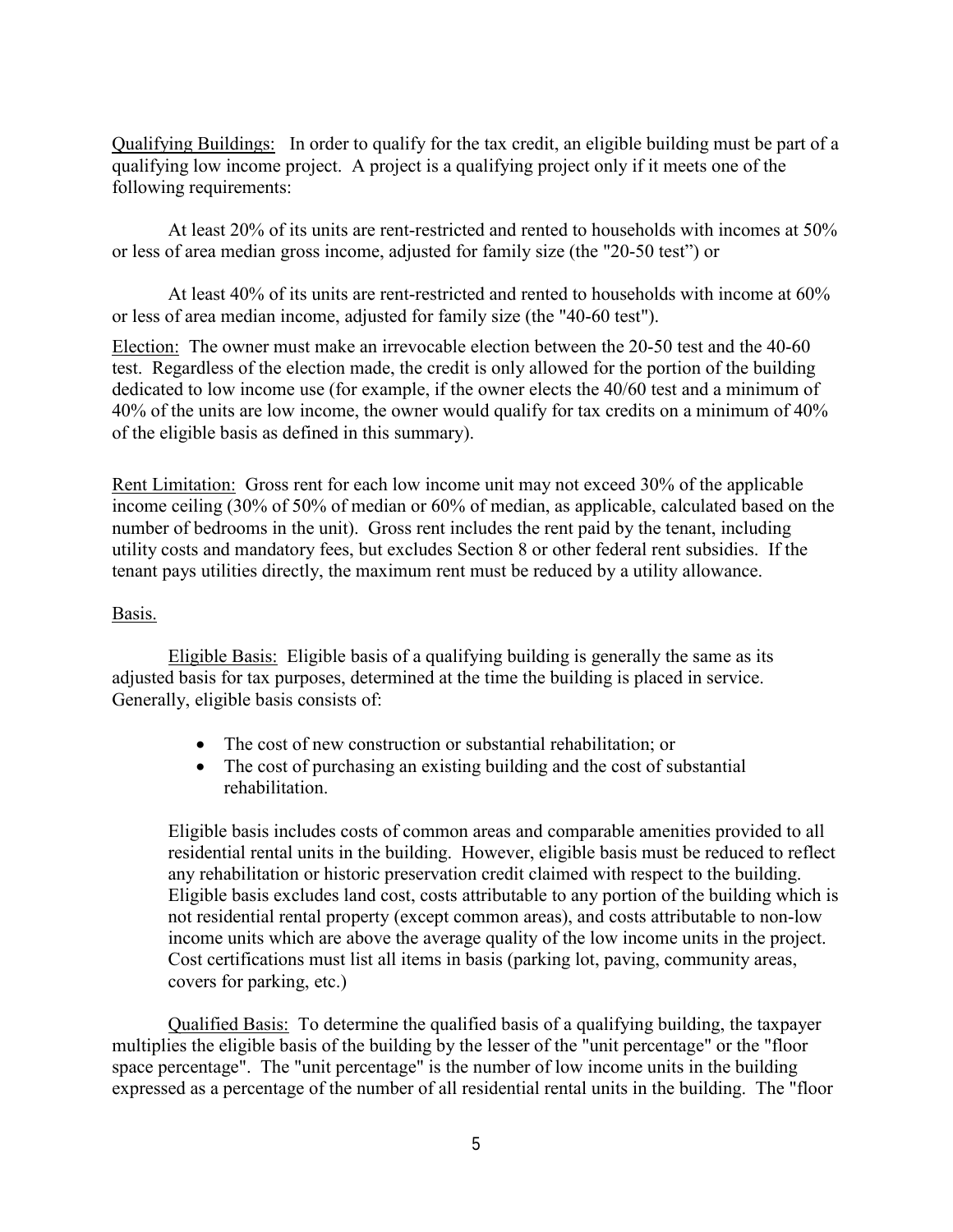Qualifying Buildings: In order to qualify for the tax credit, an eligible building must be part of a qualifying low income project. A project is a qualifying project only if it meets one of the following requirements:

At least 20% of its units are rent-restricted and rented to households with incomes at 50% or less of area median gross income, adjusted for family size (the "20-50 test") or

At least 40% of its units are rent-restricted and rented to households with income at 60% or less of area median income, adjusted for family size (the "40-60 test").

Election: The owner must make an irrevocable election between the 20-50 test and the 40-60 test. Regardless of the election made, the credit is only allowed for the portion of the building dedicated to low income use (for example, if the owner elects the 40/60 test and a minimum of 40% of the units are low income, the owner would qualify for tax credits on a minimum of 40% of the eligible basis as defined in this summary).

Rent Limitation: Gross rent for each low income unit may not exceed 30% of the applicable income ceiling (30% of 50% of median or 60% of median, as applicable, calculated based on the number of bedrooms in the unit). Gross rent includes the rent paid by the tenant, including utility costs and mandatory fees, but excludes Section 8 or other federal rent subsidies. If the tenant pays utilities directly, the maximum rent must be reduced by a utility allowance.

### Basis.

Eligible Basis: Eligible basis of a qualifying building is generally the same as its adjusted basis for tax purposes, determined at the time the building is placed in service. Generally, eligible basis consists of:

- The cost of new construction or substantial rehabilitation; or
- The cost of purchasing an existing building and the cost of substantial rehabilitation.

Eligible basis includes costs of common areas and comparable amenities provided to all residential rental units in the building. However, eligible basis must be reduced to reflect any rehabilitation or historic preservation credit claimed with respect to the building. Eligible basis excludes land cost, costs attributable to any portion of the building which is not residential rental property (except common areas), and costs attributable to non-low income units which are above the average quality of the low income units in the project. Cost certifications must list all items in basis (parking lot, paving, community areas, covers for parking, etc.)

Qualified Basis: To determine the qualified basis of a qualifying building, the taxpayer multiplies the eligible basis of the building by the lesser of the "unit percentage" or the "floor space percentage". The "unit percentage" is the number of low income units in the building expressed as a percentage of the number of all residential rental units in the building. The "floor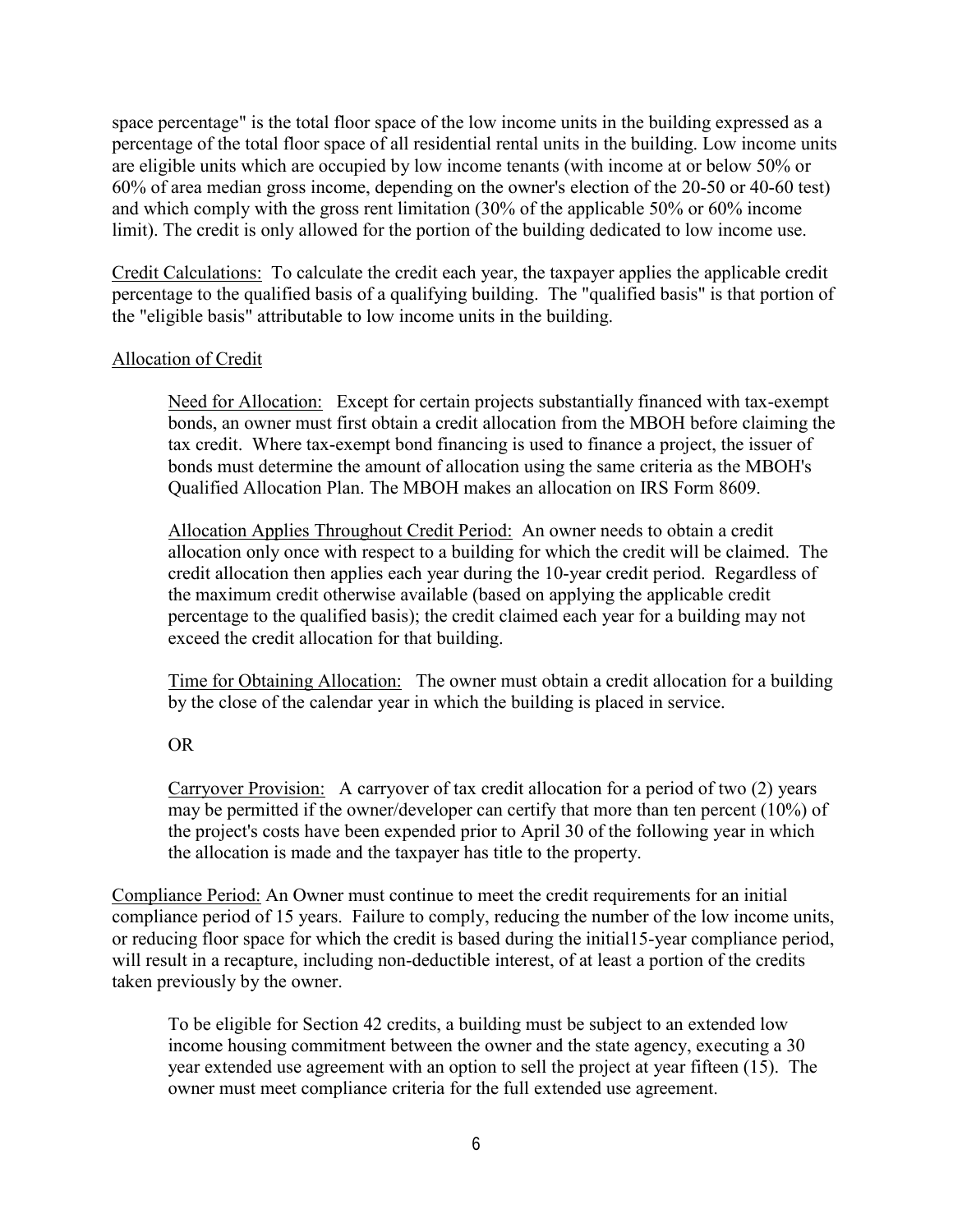space percentage" is the total floor space of the low income units in the building expressed as a percentage of the total floor space of all residential rental units in the building. Low income units are eligible units which are occupied by low income tenants (with income at or below 50% or 60% of area median gross income, depending on the owner's election of the 20-50 or 40-60 test) and which comply with the gross rent limitation (30% of the applicable 50% or 60% income limit). The credit is only allowed for the portion of the building dedicated to low income use.

Credit Calculations: To calculate the credit each year, the taxpayer applies the applicable credit percentage to the qualified basis of a qualifying building. The "qualified basis" is that portion of the "eligible basis" attributable to low income units in the building.

### Allocation of Credit

Need for Allocation: Except for certain projects substantially financed with tax-exempt bonds, an owner must first obtain a credit allocation from the MBOH before claiming the tax credit. Where tax-exempt bond financing is used to finance a project, the issuer of bonds must determine the amount of allocation using the same criteria as the MBOH's Qualified Allocation Plan. The MBOH makes an allocation on IRS Form 8609.

Allocation Applies Throughout Credit Period: An owner needs to obtain a credit allocation only once with respect to a building for which the credit will be claimed. The credit allocation then applies each year during the 10-year credit period. Regardless of the maximum credit otherwise available (based on applying the applicable credit percentage to the qualified basis); the credit claimed each year for a building may not exceed the credit allocation for that building.

Time for Obtaining Allocation: The owner must obtain a credit allocation for a building by the close of the calendar year in which the building is placed in service.

## OR

Carryover Provision: A carryover of tax credit allocation for a period of two (2) years may be permitted if the owner/developer can certify that more than ten percent (10%) of the project's costs have been expended prior to April 30 of the following year in which the allocation is made and the taxpayer has title to the property.

Compliance Period: An Owner must continue to meet the credit requirements for an initial compliance period of 15 years. Failure to comply, reducing the number of the low income units, or reducing floor space for which the credit is based during the initial15-year compliance period, will result in a recapture, including non-deductible interest, of at least a portion of the credits taken previously by the owner.

To be eligible for Section 42 credits, a building must be subject to an extended low income housing commitment between the owner and the state agency, executing a 30 year extended use agreement with an option to sell the project at year fifteen (15). The owner must meet compliance criteria for the full extended use agreement.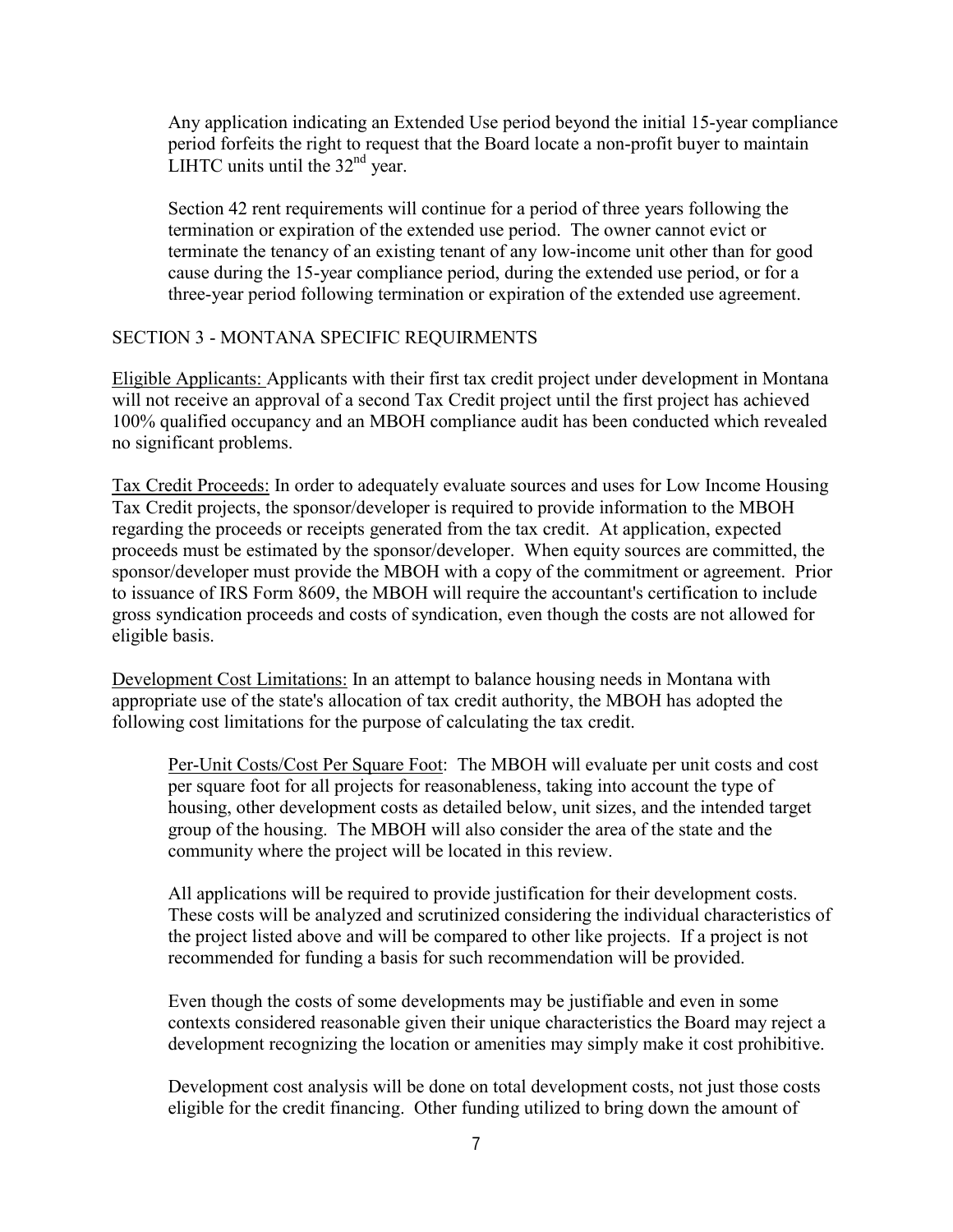<span id="page-8-0"></span>Any application indicating an Extended Use period beyond the initial 15-year compliance period forfeits the right to request that the Board locate a non-profit buyer to maintain LIHTC units until the  $32<sup>nd</sup>$  year.

Section 42 rent requirements will continue for a period of three years following the termination or expiration of the extended use period. The owner cannot evict or terminate the tenancy of an existing tenant of any low-income unit other than for good cause during the 15-year compliance period, during the extended use period, or for a three-year period following termination or expiration of the extended use agreement.

### SECTION 3 - MONTANA SPECIFIC REQUIRMENTS

Eligible Applicants: Applicants with their first tax credit project under development in Montana will not receive an approval of a second Tax Credit project until the first project has achieved 100% qualified occupancy and an MBOH compliance audit has been conducted which revealed no significant problems.

Tax Credit Proceeds: In order to adequately evaluate sources and uses for Low Income Housing Tax Credit projects, the sponsor/developer is required to provide information to the MBOH regarding the proceeds or receipts generated from the tax credit. At application, expected proceeds must be estimated by the sponsor/developer. When equity sources are committed, the sponsor/developer must provide the MBOH with a copy of the commitment or agreement. Prior to issuance of IRS Form 8609, the MBOH will require the accountant's certification to include gross syndication proceeds and costs of syndication, even though the costs are not allowed for eligible basis.

Development Cost Limitations: In an attempt to balance housing needs in Montana with appropriate use of the state's allocation of tax credit authority, the MBOH has adopted the following cost limitations for the purpose of calculating the tax credit.

Per-Unit Costs/Cost Per Square Foot: The MBOH will evaluate per unit costs and cost per square foot for all projects for reasonableness, taking into account the type of housing, other development costs as detailed below, unit sizes, and the intended target group of the housing. The MBOH will also consider the area of the state and the community where the project will be located in this review.

All applications will be required to provide justification for their development costs. These costs will be analyzed and scrutinized considering the individual characteristics of the project listed above and will be compared to other like projects. If a project is not recommended for funding a basis for such recommendation will be provided.

Even though the costs of some developments may be justifiable and even in some contexts considered reasonable given their unique characteristics the Board may reject a development recognizing the location or amenities may simply make it cost prohibitive.

Development cost analysis will be done on total development costs, not just those costs eligible for the credit financing. Other funding utilized to bring down the amount of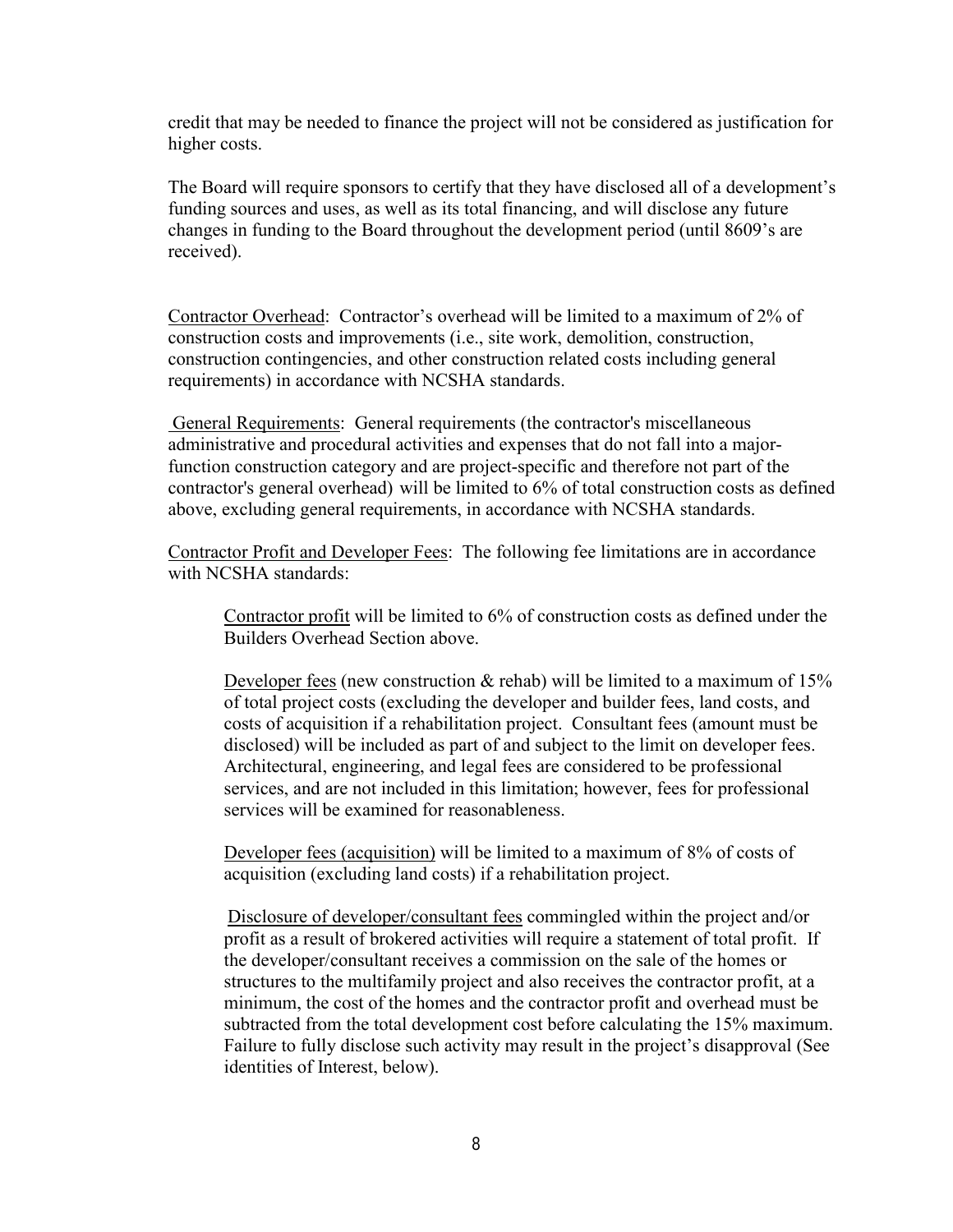credit that may be needed to finance the project will not be considered as justification for higher costs.

The Board will require sponsors to certify that they have disclosed all of a development's funding sources and uses, as well as its total financing, and will disclose any future changes in funding to the Board throughout the development period (until 8609's are received).

Contractor Overhead: Contractor's overhead will be limited to a maximum of 2% of construction costs and improvements (i.e., site work, demolition, construction, construction contingencies, and other construction related costs including general requirements) in accordance with NCSHA standards.

General Requirements: General requirements (the contractor's miscellaneous administrative and procedural activities and expenses that do not fall into a majorfunction construction category and are project-specific and therefore not part of the contractor's general overhead) will be limited to 6% of total construction costs as defined above, excluding general requirements, in accordance with NCSHA standards.

Contractor Profit and Developer Fees: The following fee limitations are in accordance with NCSHA standards:

Contractor profit will be limited to 6% of construction costs as defined under the Builders Overhead Section above.

Developer fees (new construction  $\&$  rehab) will be limited to a maximum of 15% of total project costs (excluding the developer and builder fees, land costs, and costs of acquisition if a rehabilitation project. Consultant fees (amount must be disclosed) will be included as part of and subject to the limit on developer fees. Architectural, engineering, and legal fees are considered to be professional services, and are not included in this limitation; however, fees for professional services will be examined for reasonableness.

Developer fees (acquisition) will be limited to a maximum of 8% of costs of acquisition (excluding land costs) if a rehabilitation project.

Disclosure of developer/consultant fees commingled within the project and/or profit as a result of brokered activities will require a statement of total profit. If the developer/consultant receives a commission on the sale of the homes or structures to the multifamily project and also receives the contractor profit, at a minimum, the cost of the homes and the contractor profit and overhead must be subtracted from the total development cost before calculating the 15% maximum. Failure to fully disclose such activity may result in the project's disapproval (See identities of Interest, below).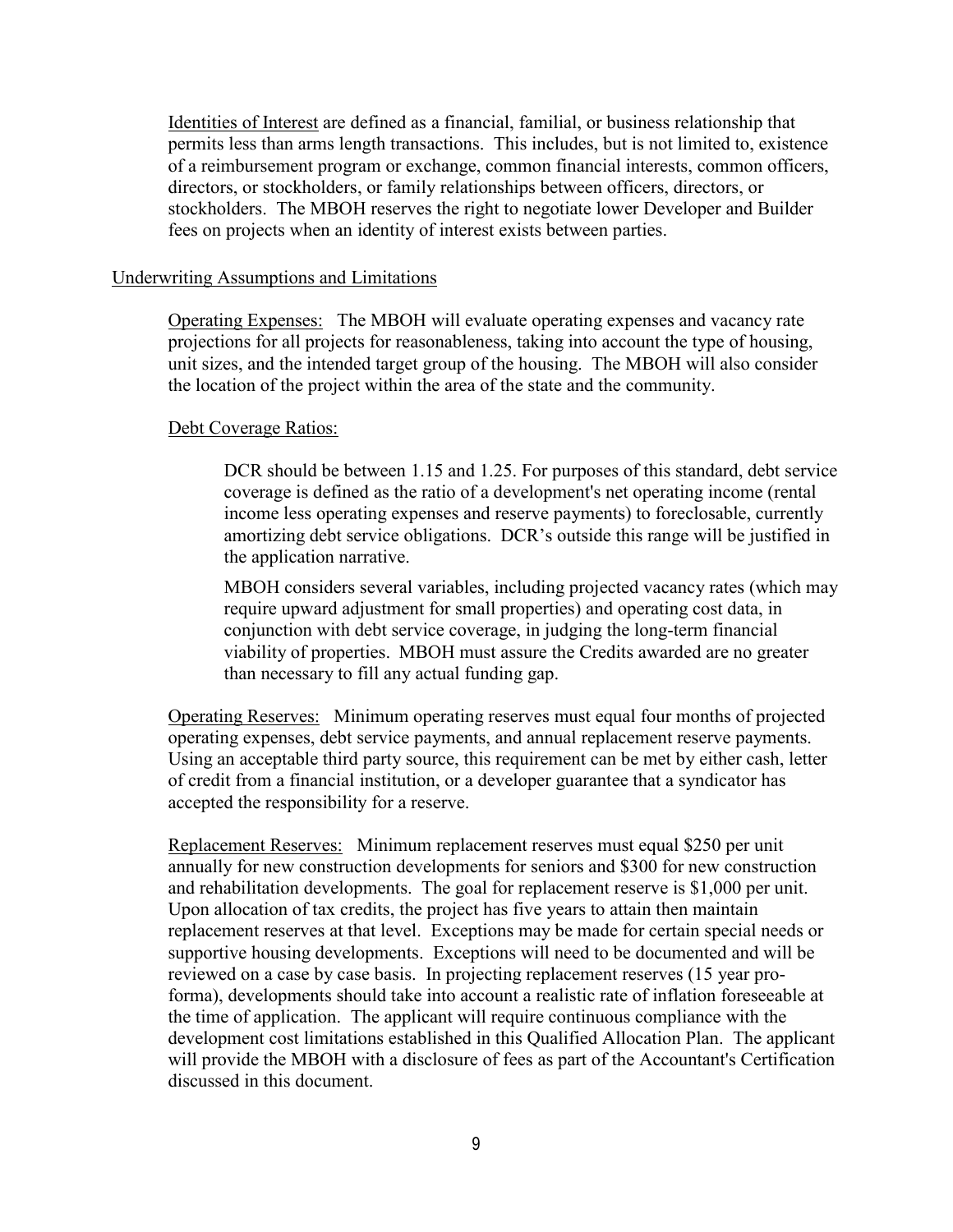<span id="page-10-0"></span>Identities of Interest are defined as a financial, familial, or business relationship that permits less than arms length transactions. This includes, but is not limited to, existence of a reimbursement program or exchange, common financial interests, common officers, directors, or stockholders, or family relationships between officers, directors, or stockholders. The MBOH reserves the right to negotiate lower Developer and Builder fees on projects when an identity of interest exists between parties.

#### Underwriting Assumptions and Limitations

Operating Expenses: The MBOH will evaluate operating expenses and vacancy rate projections for all projects for reasonableness, taking into account the type of housing, unit sizes, and the intended target group of the housing. The MBOH will also consider the location of the project within the area of the state and the community.

### Debt Coverage Ratios:

DCR should be between 1.15 and 1.25. For purposes of this standard, debt service coverage is defined as the ratio of a development's net operating income (rental income less operating expenses and reserve payments) to foreclosable, currently amortizing debt service obligations. DCR's outside this range will be justified in the application narrative.

MBOH considers several variables, including projected vacancy rates (which may require upward adjustment for small properties) and operating cost data, in conjunction with debt service coverage, in judging the long-term financial viability of properties. MBOH must assure the Credits awarded are no greater than necessary to fill any actual funding gap.

Operating Reserves: Minimum operating reserves must equal four months of projected operating expenses, debt service payments, and annual replacement reserve payments. Using an acceptable third party source, this requirement can be met by either cash, letter of credit from a financial institution, or a developer guarantee that a syndicator has accepted the responsibility for a reserve.

Replacement Reserves: Minimum replacement reserves must equal \$250 per unit annually for new construction developments for seniors and \$300 for new construction and rehabilitation developments. The goal for replacement reserve is \$1,000 per unit. Upon allocation of tax credits, the project has five years to attain then maintain replacement reserves at that level.Exceptions may be made for certain special needs or supportive housing developments. Exceptions will need to be documented and will be reviewed on a case by case basis. In projecting replacement reserves (15 year proforma), developments should take into account a realistic rate of inflation foreseeable at the time of application. The applicant will require continuous compliance with the development cost limitations established in this Qualified Allocation Plan. The applicant will provide the MBOH with a disclosure of fees as part of the Accountant's Certification discussed in this document.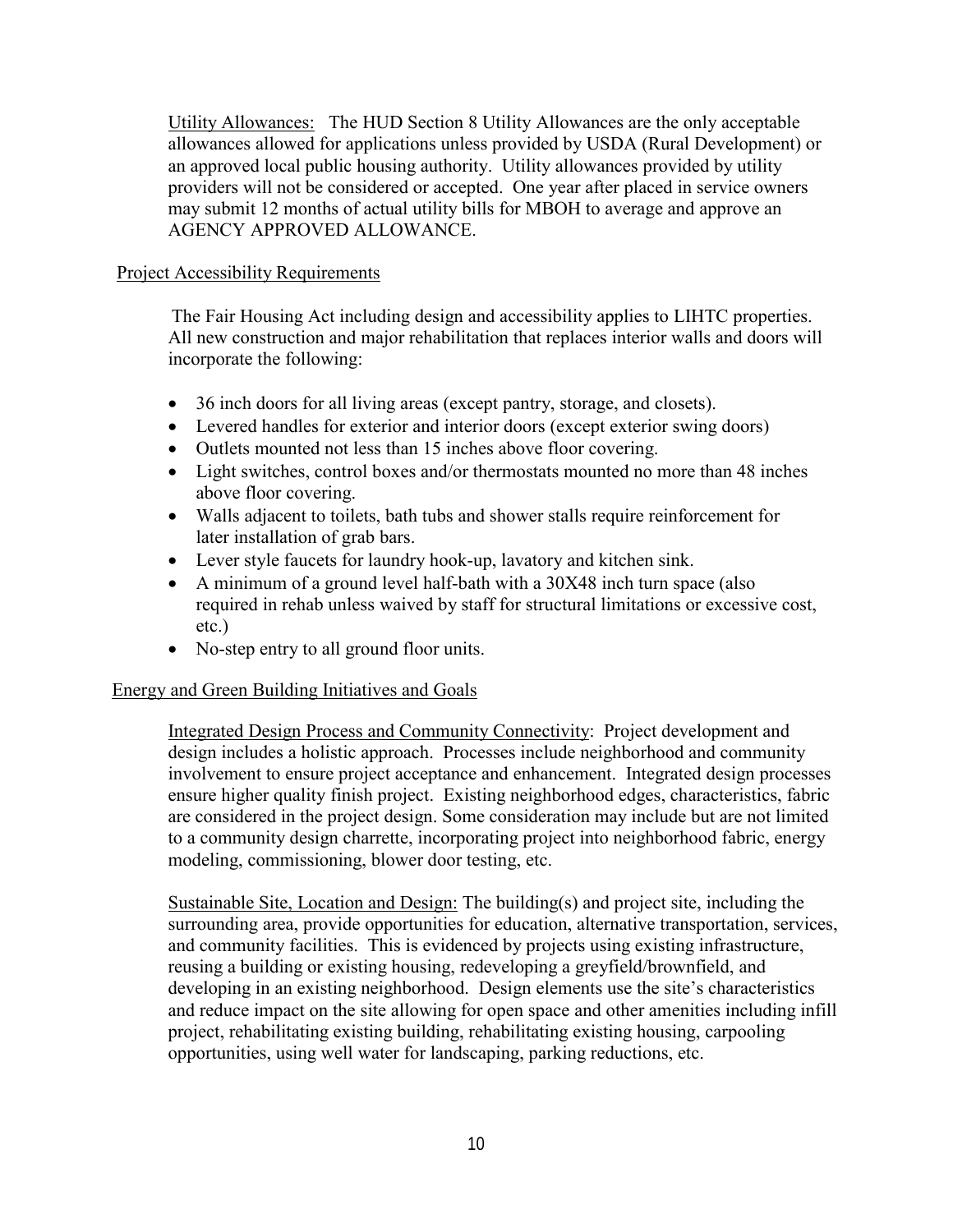<span id="page-11-0"></span>Utility Allowances: The HUD Section 8 Utility Allowances are the only acceptable allowances allowed for applications unless provided by USDA (Rural Development) or an approved local public housing authority. Utility allowances provided by utility providers will not be considered or accepted. One year after placed in service owners may submit 12 months of actual utility bills for MBOH to average and approve an AGENCY APPROVED ALLOWANCE.

### Project Accessibility Requirements

The Fair Housing Act including design and accessibility applies to LIHTC properties. All new construction and major rehabilitation that replaces interior walls and doors will incorporate the following:

- 36 inch doors for all living areas (except pantry, storage, and closets).
- Levered handles for exterior and interior doors (except exterior swing doors)
- Outlets mounted not less than 15 inches above floor covering.
- Light switches, control boxes and/or thermostats mounted no more than 48 inches above floor covering.
- Walls adjacent to toilets, bath tubs and shower stalls require reinforcement for later installation of grab bars.
- Lever style faucets for laundry hook-up, lavatory and kitchen sink.
- A minimum of a ground level half-bath with a 30X48 inch turn space (also required in rehab unless waived by staff for structural limitations or excessive cost, etc.)
- No-step entry to all ground floor units.

### Energy and Green Building Initiatives and Goals

Integrated Design Process and Community Connectivity: Project development and design includes a holistic approach. Processes include neighborhood and community involvement to ensure project acceptance and enhancement. Integrated design processes ensure higher quality finish project. Existing neighborhood edges, characteristics, fabric are considered in the project design. Some consideration may include but are not limited to a community design charrette, incorporating project into neighborhood fabric, energy modeling, commissioning, blower door testing, etc.

Sustainable Site, Location and Design: The building(s) and project site, including the surrounding area, provide opportunities for education, alternative transportation, services, and community facilities. This is evidenced by projects using existing infrastructure, reusing a building or existing housing, redeveloping a greyfield/brownfield, and developing in an existing neighborhood. Design elements use the site's characteristics and reduce impact on the site allowing for open space and other amenities including infill project, rehabilitating existing building, rehabilitating existing housing, carpooling opportunities, using well water for landscaping, parking reductions, etc.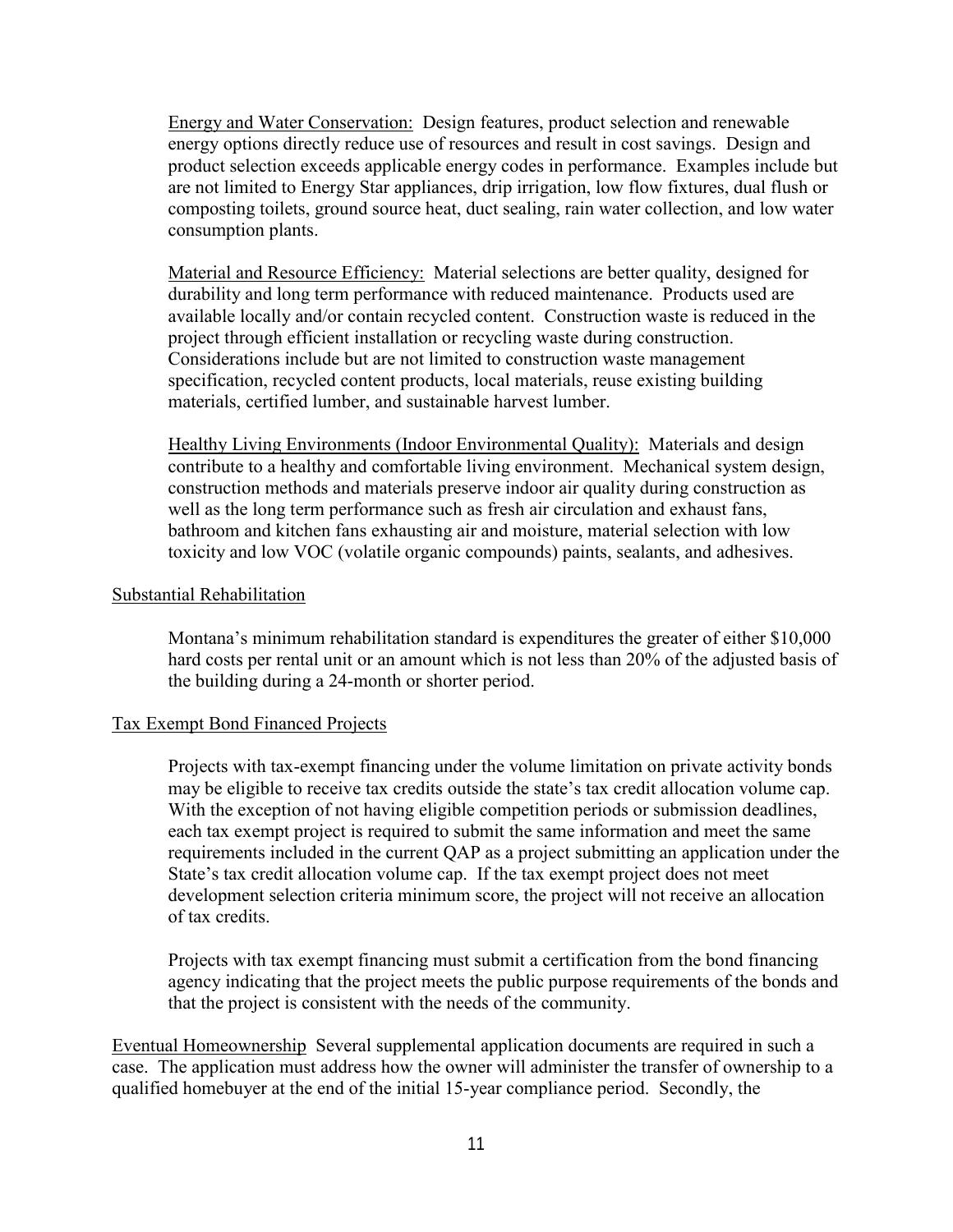<span id="page-12-0"></span>Energy and Water Conservation: Design features, product selection and renewable energy options directly reduce use of resources and result in cost savings. Design and product selection exceeds applicable energy codes in performance. Examples include but are not limited to Energy Star appliances, drip irrigation, low flow fixtures, dual flush or composting toilets, ground source heat, duct sealing, rain water collection, and low water consumption plants.

Material and Resource Efficiency: Material selections are better quality, designed for durability and long term performance with reduced maintenance. Products used are available locally and/or contain recycled content. Construction waste is reduced in the project through efficient installation or recycling waste during construction. Considerations include but are not limited to construction waste management specification, recycled content products, local materials, reuse existing building materials, certified lumber, and sustainable harvest lumber.

Healthy Living Environments (Indoor Environmental Quality): Materials and design contribute to a healthy and comfortable living environment. Mechanical system design, construction methods and materials preserve indoor air quality during construction as well as the long term performance such as fresh air circulation and exhaust fans, bathroom and kitchen fans exhausting air and moisture, material selection with low toxicity and low VOC (volatile organic compounds) paints, sealants, and adhesives.

### Substantial Rehabilitation

Montana's minimum rehabilitation standard is expenditures the greater of either \$10,000 hard costs per rental unit or an amount which is not less than 20% of the adjusted basis of the building during a 24-month or shorter period.

### Tax Exempt Bond Financed Projects

Projects with tax-exempt financing under the volume limitation on private activity bonds may be eligible to receive tax credits outside the state's tax credit allocation volume cap. With the exception of not having eligible competition periods or submission deadlines, each tax exempt project is required to submit the same information and meet the same requirements included in the current QAP as a project submitting an application under the State's tax credit allocation volume cap. If the tax exempt project does not meet development selection criteria minimum score, the project will not receive an allocation of tax credits.

Projects with tax exempt financing must submit a certification from the bond financing agency indicating that the project meets the public purpose requirements of the bonds and that the project is consistent with the needs of the community.

Eventual Homeownership Several supplemental application documents are required in such a case. The application must address how the owner will administer the transfer of ownership to a qualified homebuyer at the end of the initial 15-year compliance period. Secondly, the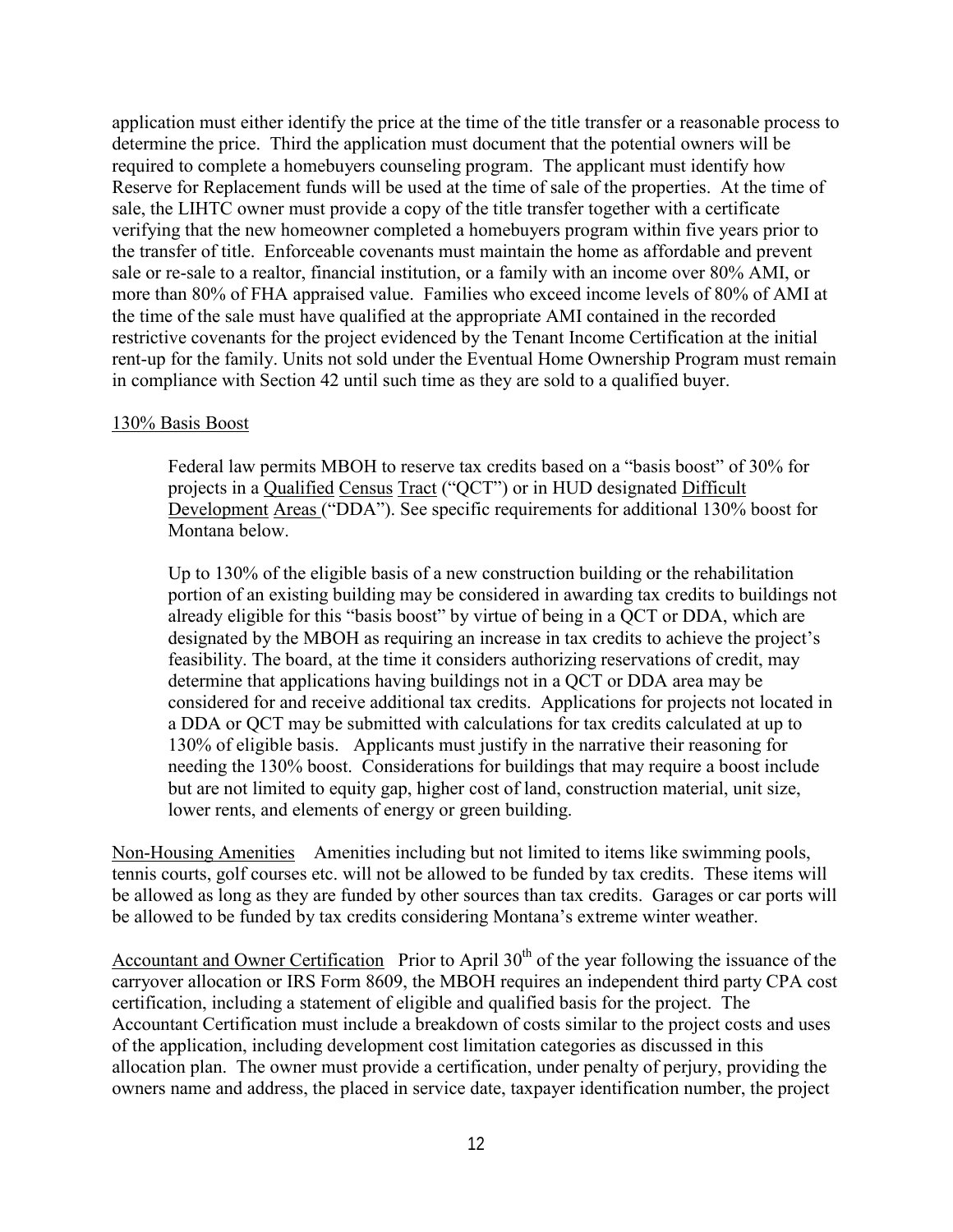<span id="page-13-0"></span>application must either identify the price at the time of the title transfer or a reasonable process to determine the price. Third the application must document that the potential owners will be required to complete a homebuyers counseling program. The applicant must identify how Reserve for Replacement funds will be used at the time of sale of the properties. At the time of sale, the LIHTC owner must provide a copy of the title transfer together with a certificate verifying that the new homeowner completed a homebuyers program within five years prior to the transfer of title. Enforceable covenants must maintain the home as affordable and prevent sale or re-sale to a realtor, financial institution, or a family with an income over 80% AMI, or more than 80% of FHA appraised value. Families who exceed income levels of 80% of AMI at the time of the sale must have qualified at the appropriate AMI contained in the recorded restrictive covenants for the project evidenced by the Tenant Income Certification at the initial rent-up for the family. Units not sold under the Eventual Home Ownership Program must remain in compliance with Section 42 until such time as they are sold to a qualified buyer.

### 130% Basis Boost

Federal law permits MBOH to reserve tax credits based on a "basis boost" of 30% for projects in a Qualified Census Tract ("QCT") or in HUD designated Difficult Development Areas ("DDA"). See specific requirements for additional 130% boost for Montana below.

Up to 130% of the eligible basis of a new construction building or the rehabilitation portion of an existing building may be considered in awarding tax credits to buildings not already eligible for this "basis boost" by virtue of being in a QCT or DDA, which are designated by the MBOH as requiring an increase in tax credits to achieve the project's feasibility. The board, at the time it considers authorizing reservations of credit, may determine that applications having buildings not in a QCT or DDA area may be considered for and receive additional tax credits. Applications for projects not located in a DDA or QCT may be submitted with calculations for tax credits calculated at up to 130% of eligible basis. Applicants must justify in the narrative their reasoning for needing the 130% boost. Considerations for buildings that may require a boost include but are not limited to equity gap, higher cost of land, construction material, unit size, lower rents, and elements of energy or green building.

Non-Housing Amenities Amenities including but not limited to items like swimming pools, tennis courts, golf courses etc. will not be allowed to be funded by tax credits. These items will be allowed as long as they are funded by other sources than tax credits. Garages or car ports will be allowed to be funded by tax credits considering Montana's extreme winter weather.

Accountant and Owner Certification Prior to April  $30<sup>th</sup>$  of the year following the issuance of the carryover allocation or IRS Form 8609, the MBOH requires an independent third party CPA cost certification, including a statement of eligible and qualified basis for the project. The Accountant Certification must include a breakdown of costs similar to the project costs and uses of the application, including development cost limitation categories as discussed in this allocation plan. The owner must provide a certification, under penalty of perjury, providing the owners name and address, the placed in service date, taxpayer identification number, the project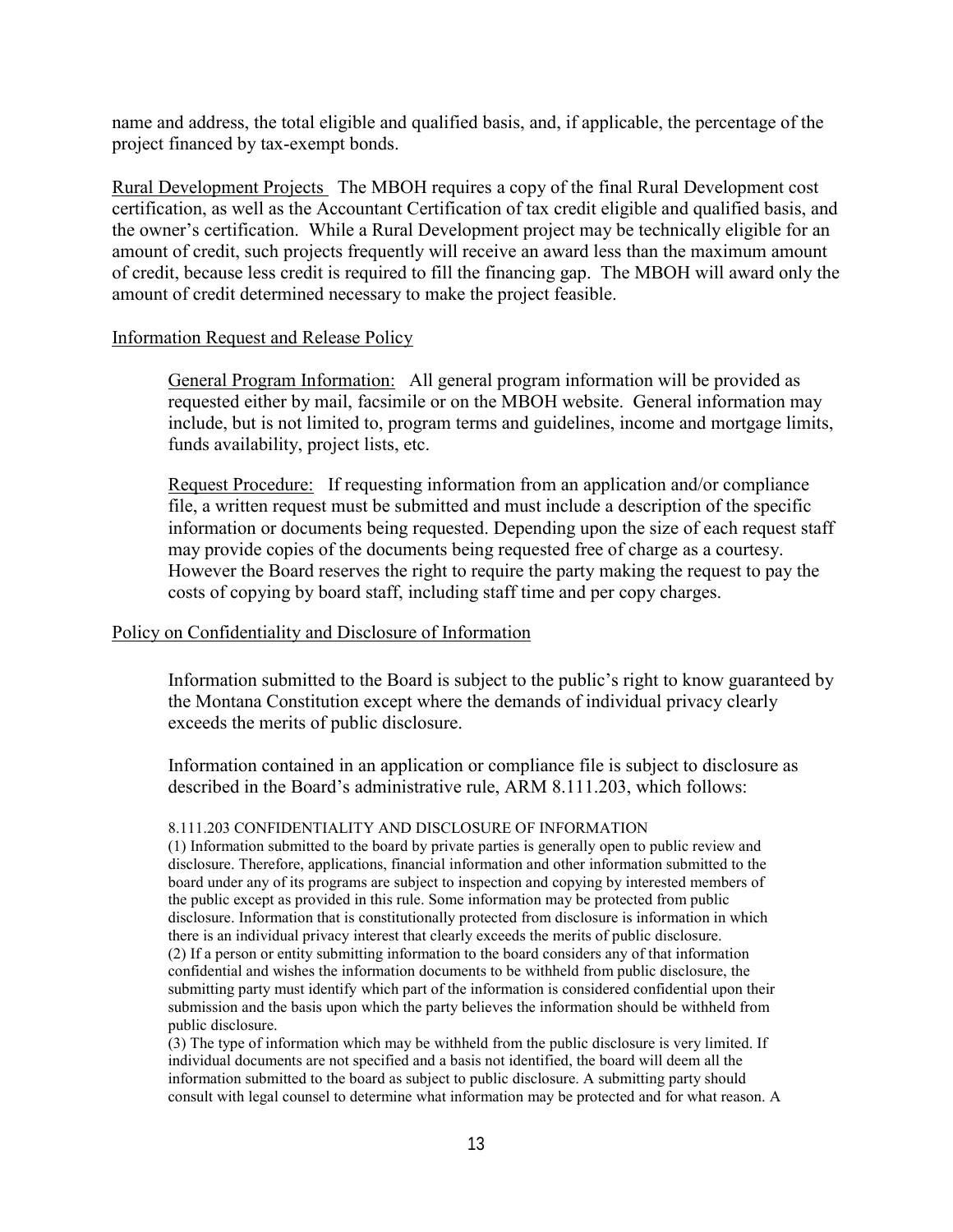<span id="page-14-0"></span>name and address, the total eligible and qualified basis, and, if applicable, the percentage of the project financed by tax-exempt bonds.

Rural Development Projects The MBOH requires a copy of the final Rural Development cost certification, as well as the Accountant Certification of tax credit eligible and qualified basis, and the owner's certification. While a Rural Development project may be technically eligible for an amount of credit, such projects frequently will receive an award less than the maximum amount of credit, because less credit is required to fill the financing gap. The MBOH will award only the amount of credit determined necessary to make the project feasible.

#### Information Request and Release Policy

General Program Information: All general program information will be provided as requested either by mail, facsimile or on the MBOH website. General information may include, but is not limited to, program terms and guidelines, income and mortgage limits, funds availability, project lists, etc.

Request Procedure: If requesting information from an application and/or compliance file, a written request must be submitted and must include a description of the specific information or documents being requested. Depending upon the size of each request staff may provide copies of the documents being requested free of charge as a courtesy. However the Board reserves the right to require the party making the request to pay the costs of copying by board staff, including staff time and per copy charges.

### Policy on Confidentiality and Disclosure of Information

Information submitted to the Board is subject to the public's right to know guaranteed by the Montana Constitution except where the demands of individual privacy clearly exceeds the merits of public disclosure.

Information contained in an application or compliance file is subject to disclosure as described in the Board's administrative rule, ARM 8.111.203, which follows:

#### 8.111.203 CONFIDENTIALITY AND DISCLOSURE OF INFORMATION

(1) Information submitted to the board by private parties is generally open to public review and disclosure. Therefore, applications, financial information and other information submitted to the board under any of its programs are subject to inspection and copying by interested members of the public except as provided in this rule. Some information may be protected from public disclosure. Information that is constitutionally protected from disclosure is information in which there is an individual privacy interest that clearly exceeds the merits of public disclosure. (2) If a person or entity submitting information to the board considers any of that information confidential and wishes the information documents to be withheld from public disclosure, the submitting party must identify which part of the information is considered confidential upon their submission and the basis upon which the party believes the information should be withheld from public disclosure.

(3) The type of information which may be withheld from the public disclosure is very limited. If individual documents are not specified and a basis not identified, the board will deem all the information submitted to the board as subject to public disclosure. A submitting party should consult with legal counsel to determine what information may be protected and for what reason. A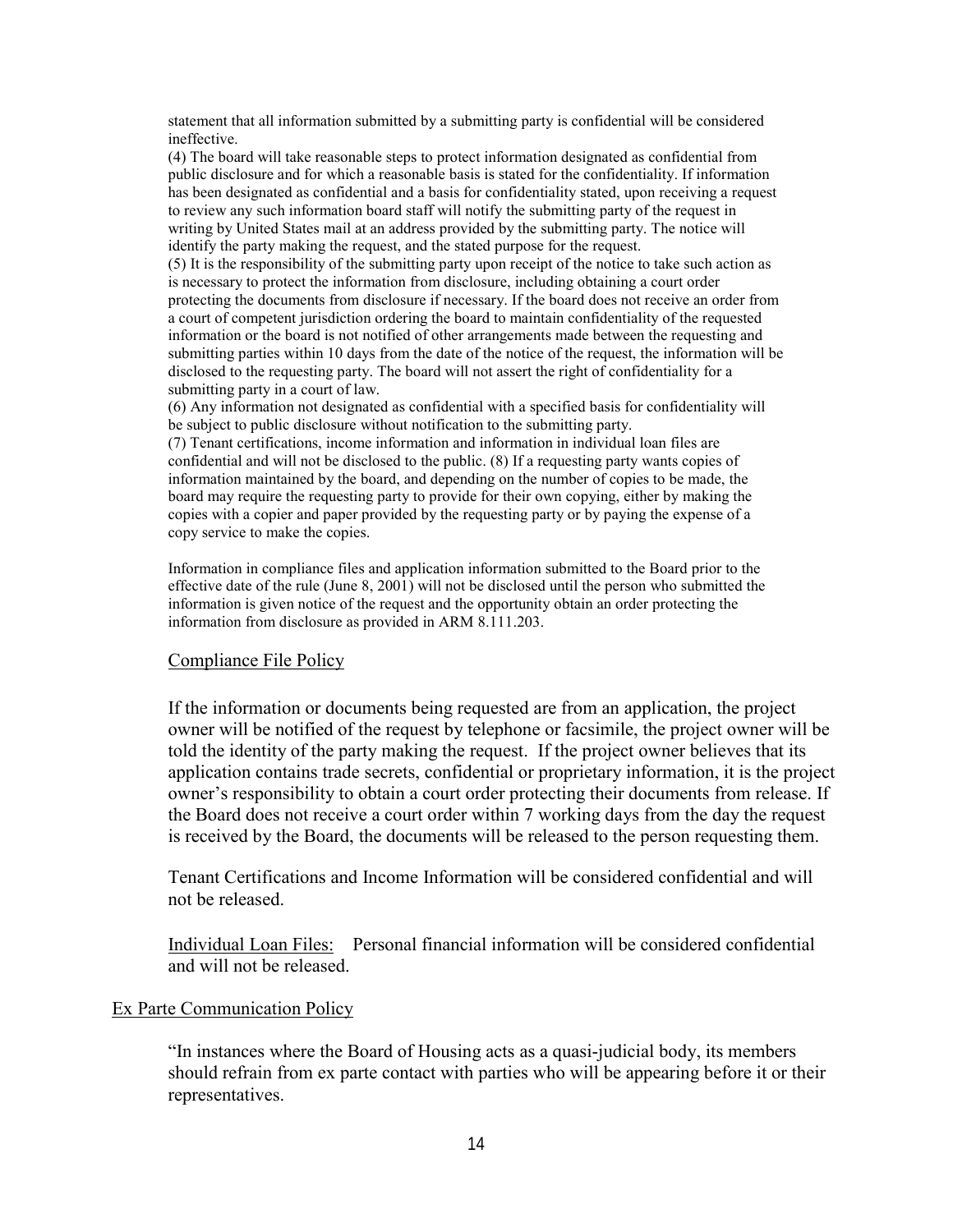<span id="page-15-0"></span>statement that all information submitted by a submitting party is confidential will be considered ineffective.

(4) The board will take reasonable steps to protect information designated as confidential from public disclosure and for which a reasonable basis is stated for the confidentiality. If information has been designated as confidential and a basis for confidentiality stated, upon receiving a request to review any such information board staff will notify the submitting party of the request in writing by United States mail at an address provided by the submitting party. The notice will identify the party making the request, and the stated purpose for the request.

(5) It is the responsibility of the submitting party upon receipt of the notice to take such action as is necessary to protect the information from disclosure, including obtaining a court order protecting the documents from disclosure if necessary. If the board does not receive an order from a court of competent jurisdiction ordering the board to maintain confidentiality of the requested information or the board is not notified of other arrangements made between the requesting and submitting parties within 10 days from the date of the notice of the request, the information will be disclosed to the requesting party. The board will not assert the right of confidentiality for a submitting party in a court of law.

(6) Any information not designated as confidential with a specified basis for confidentiality will be subject to public disclosure without notification to the submitting party.

(7) Tenant certifications, income information and information in individual loan files are confidential and will not be disclosed to the public. (8) If a requesting party wants copies of information maintained by the board, and depending on the number of copies to be made, the board may require the requesting party to provide for their own copying, either by making the copies with a copier and paper provided by the requesting party or by paying the expense of a copy service to make the copies.

Information in compliance files and application information submitted to the Board prior to the effective date of the rule (June 8, 2001) will not be disclosed until the person who submitted the information is given notice of the request and the opportunity obtain an order protecting the information from disclosure as provided in ARM 8.111.203.

#### Compliance File Policy

If the information or documents being requested are from an application, the project owner will be notified of the request by telephone or facsimile, the project owner will be told the identity of the party making the request. If the project owner believes that its application contains trade secrets, confidential or proprietary information, it is the project owner's responsibility to obtain a court order protecting their documents from release. If the Board does not receive a court order within 7 working days from the day the request is received by the Board, the documents will be released to the person requesting them.

Tenant Certifications and Income Information will be considered confidential and will not be released.

Individual Loan Files: Personal financial information will be considered confidential and will not be released.

#### Ex Parte Communication Policy

"In instances where the Board of Housing acts as a quasi-judicial body, its members should refrain from ex parte contact with parties who will be appearing before it or their representatives.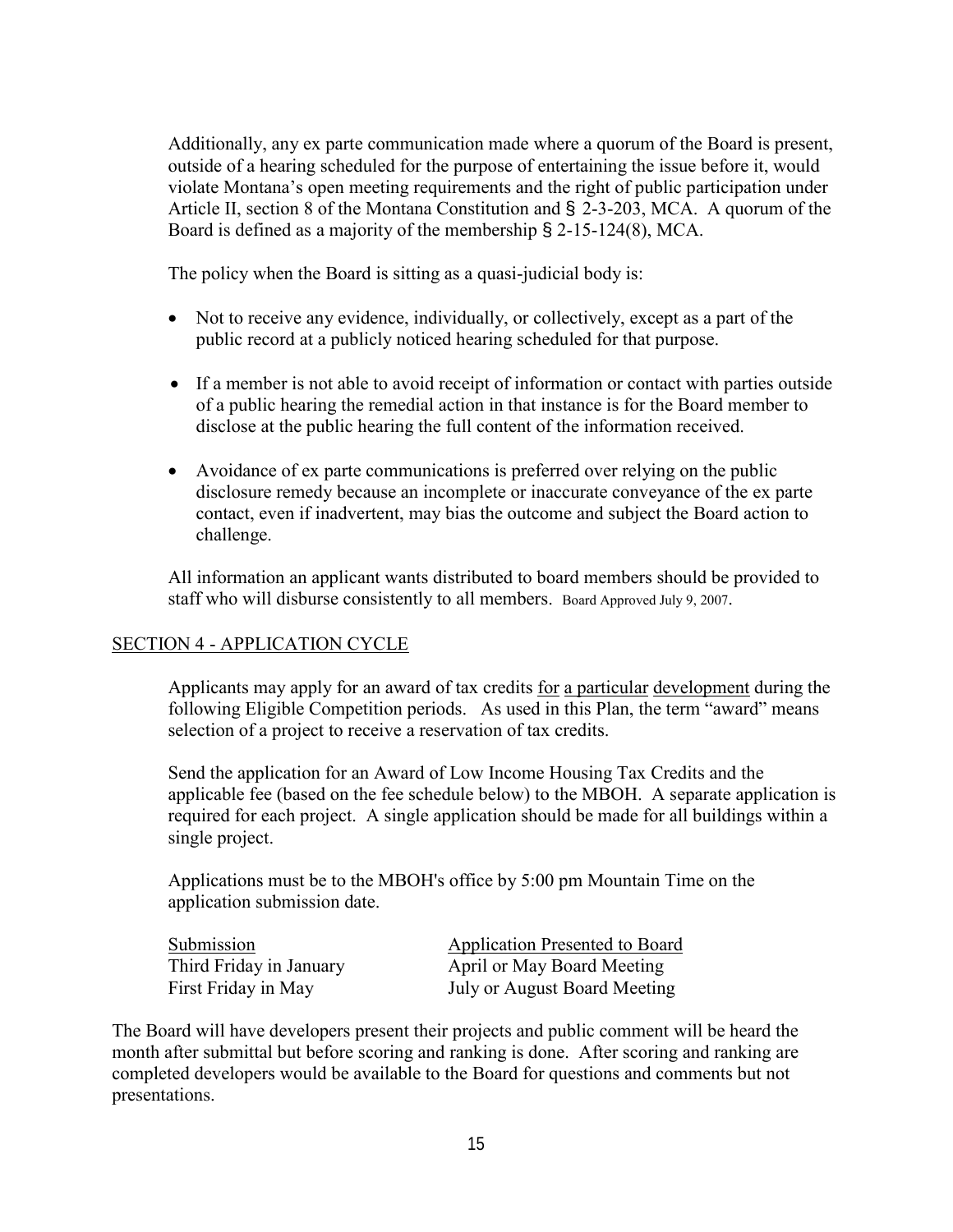<span id="page-16-0"></span>Additionally, any ex parte communication made where a quorum of the Board is present, outside of a hearing scheduled for the purpose of entertaining the issue before it, would violate Montana's open meeting requirements and the right of public participation under Article II, section 8 of the Montana Constitution and § 2-3-203, MCA. A quorum of the Board is defined as a majority of the membership § 2-15-124(8), MCA.

The policy when the Board is sitting as a quasi-judicial body is:

- Not to receive any evidence, individually, or collectively, except as a part of the public record at a publicly noticed hearing scheduled for that purpose.
- If a member is not able to avoid receipt of information or contact with parties outside of a public hearing the remedial action in that instance is for the Board member to disclose at the public hearing the full content of the information received.
- Avoidance of ex parte communications is preferred over relying on the public disclosure remedy because an incomplete or inaccurate conveyance of the ex parte contact, even if inadvertent, may bias the outcome and subject the Board action to challenge.

All information an applicant wants distributed to board members should be provided to staff who will disburse consistently to all members. Board Approved July 9, 2007.

## SECTION 4 - APPLICATION CYCLE

Applicants may apply for an award of tax credits for a particular development during the following Eligible Competition periods. As used in this Plan, the term "award" means selection of a project to receive a reservation of tax credits.

Send the application for an Award of Low Income Housing Tax Credits and the applicable fee (based on the fee schedule below) to the MBOH. A separate application is required for each project. A single application should be made for all buildings within a single project.

Applications must be to the MBOH's office by 5:00 pm Mountain Time on the application submission date.

Submission **Application Presented to Board** Third Friday in January **April or May Board Meeting** First Friday in May July or August Board Meeting

The Board will have developers present their projects and public comment will be heard the month after submittal but before scoring and ranking is done. After scoring and ranking are completed developers would be available to the Board for questions and comments but not presentations.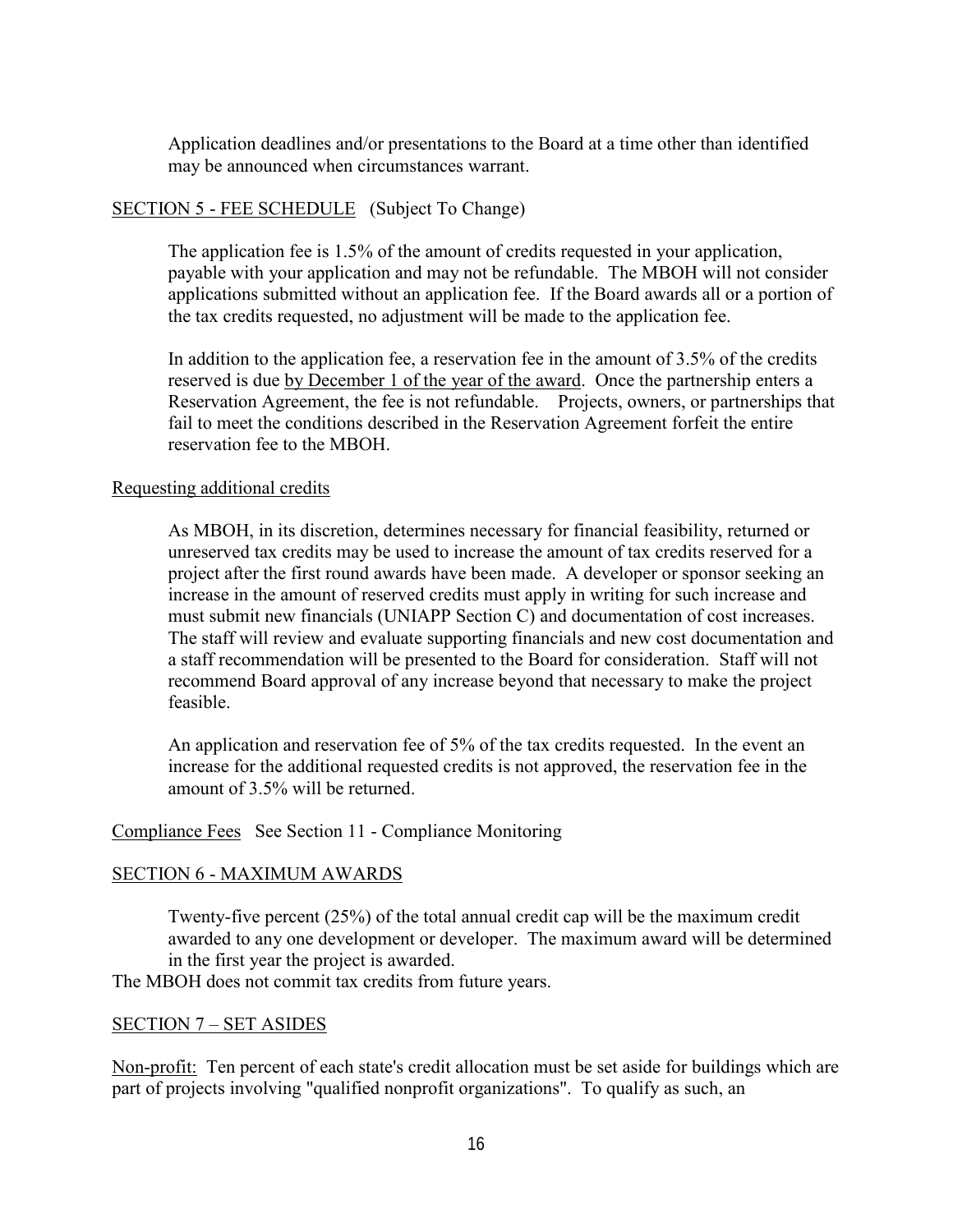<span id="page-17-0"></span>Application deadlines and/or presentations to the Board at a time other than identified may be announced when circumstances warrant.

### SECTION 5 - FEE SCHEDULE (Subject To Change)

The application fee is 1.5% of the amount of credits requested in your application, payable with your application and may not be refundable. The MBOH will not consider applications submitted without an application fee. If the Board awards all or a portion of the tax credits requested, no adjustment will be made to the application fee.

In addition to the application fee, a reservation fee in the amount of 3.5% of the credits reserved is due by December 1 of the year of the award. Once the partnership enters a Reservation Agreement, the fee is not refundable. Projects, owners, or partnerships that fail to meet the conditions described in the Reservation Agreement forfeit the entire reservation fee to the MBOH.

### Requesting additional credits

As MBOH, in its discretion, determines necessary for financial feasibility, returned or unreserved tax credits may be used to increase the amount of tax credits reserved for a project after the first round awards have been made. A developer or sponsor seeking an increase in the amount of reserved credits must apply in writing for such increase and must submit new financials (UNIAPP Section C) and documentation of cost increases. The staff will review and evaluate supporting financials and new cost documentation and a staff recommendation will be presented to the Board for consideration. Staff will not recommend Board approval of any increase beyond that necessary to make the project feasible.

An application and reservation fee of 5% of the tax credits requested. In the event an increase for the additional requested credits is not approved, the reservation fee in the amount of 3.5% will be returned.

Compliance Fees See Section 11 - Compliance Monitoring

### SECTION 6 - MAXIMUM AWARDS

Twenty-five percent (25%) of the total annual credit cap will be the maximum credit awarded to any one development or developer. The maximum award will be determined in the first year the project is awarded.

The MBOH does not commit tax credits from future years.

#### SECTION 7 – SET ASIDES

Non-profit: Ten percent of each state's credit allocation must be set aside for buildings which are part of projects involving "qualified nonprofit organizations". To qualify as such, an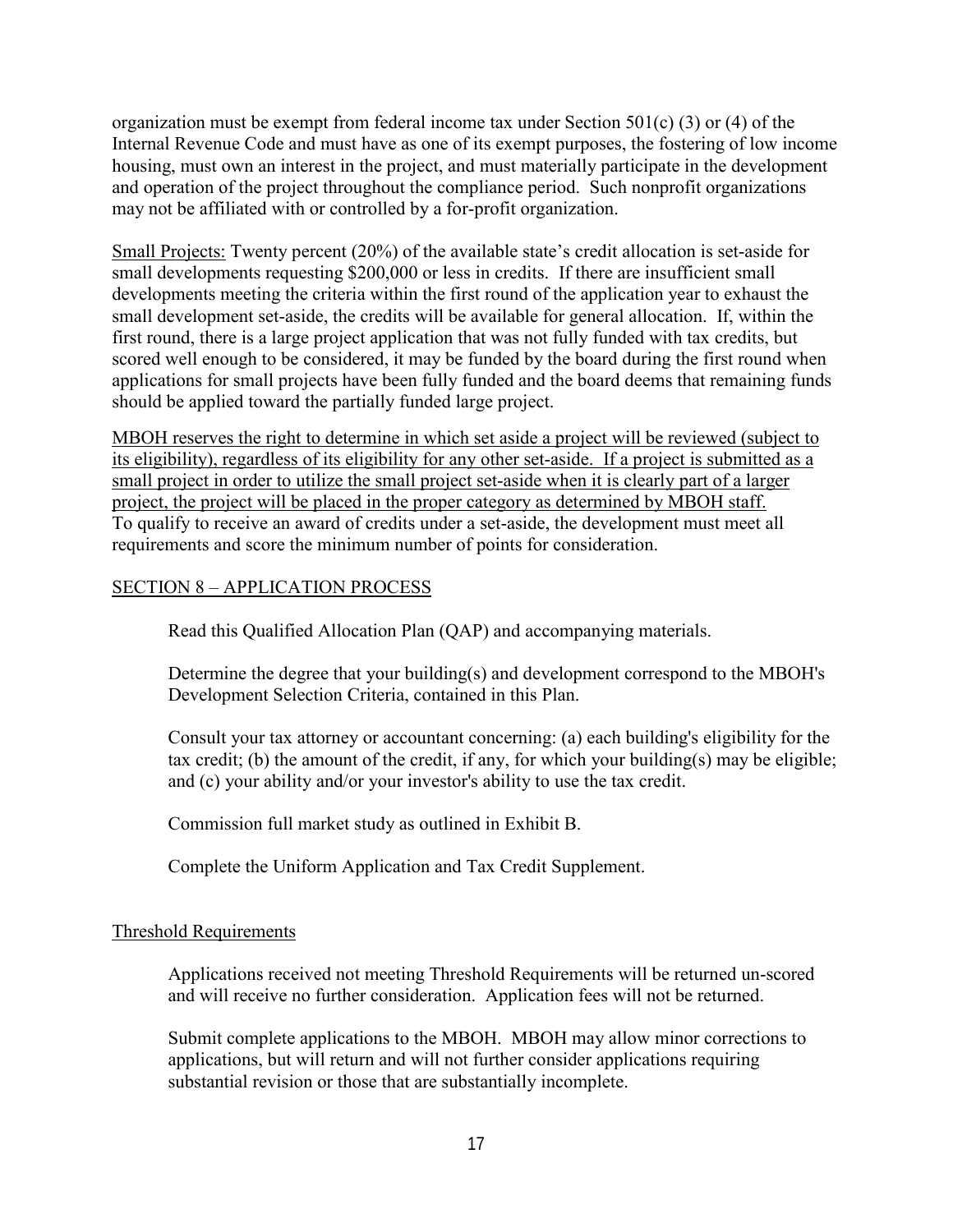<span id="page-18-0"></span>organization must be exempt from federal income tax under Section 501(c) (3) or (4) of the Internal Revenue Code and must have as one of its exempt purposes, the fostering of low income housing, must own an interest in the project, and must materially participate in the development and operation of the project throughout the compliance period. Such nonprofit organizations may not be affiliated with or controlled by a for-profit organization.

Small Projects: Twenty percent (20%) of the available state's credit allocation is set-aside for small developments requesting \$200,000 or less in credits. If there are insufficient small developments meeting the criteria within the first round of the application year to exhaust the small development set-aside, the credits will be available for general allocation. If, within the first round, there is a large project application that was not fully funded with tax credits, but scored well enough to be considered, it may be funded by the board during the first round when applications for small projects have been fully funded and the board deems that remaining funds should be applied toward the partially funded large project.

MBOH reserves the right to determine in which set aside a project will be reviewed (subject to its eligibility), regardless of its eligibility for any other set-aside. If a project is submitted as a small project in order to utilize the small project set-aside when it is clearly part of a larger project, the project will be placed in the proper category as determined by MBOH staff. To qualify to receive an award of credits under a set-aside, the development must meet all requirements and score the minimum number of points for consideration.

## SECTION 8 – APPLICATION PROCESS

Read this Qualified Allocation Plan (QAP) and accompanying materials.

Determine the degree that your building(s) and development correspond to the MBOH's Development Selection Criteria, contained in this Plan.

Consult your tax attorney or accountant concerning: (a) each building's eligibility for the tax credit; (b) the amount of the credit, if any, for which your building(s) may be eligible; and (c) your ability and/or your investor's ability to use the tax credit.

Commission full market study as outlined in Exhibit B.

Complete the Uniform Application and Tax Credit Supplement.

## Threshold Requirements

Applications received not meeting Threshold Requirements will be returned un-scored and will receive no further consideration. Application fees will not be returned.

Submit complete applications to the MBOH. MBOH may allow minor corrections to applications, but will return and will not further consider applications requiring substantial revision or those that are substantially incomplete.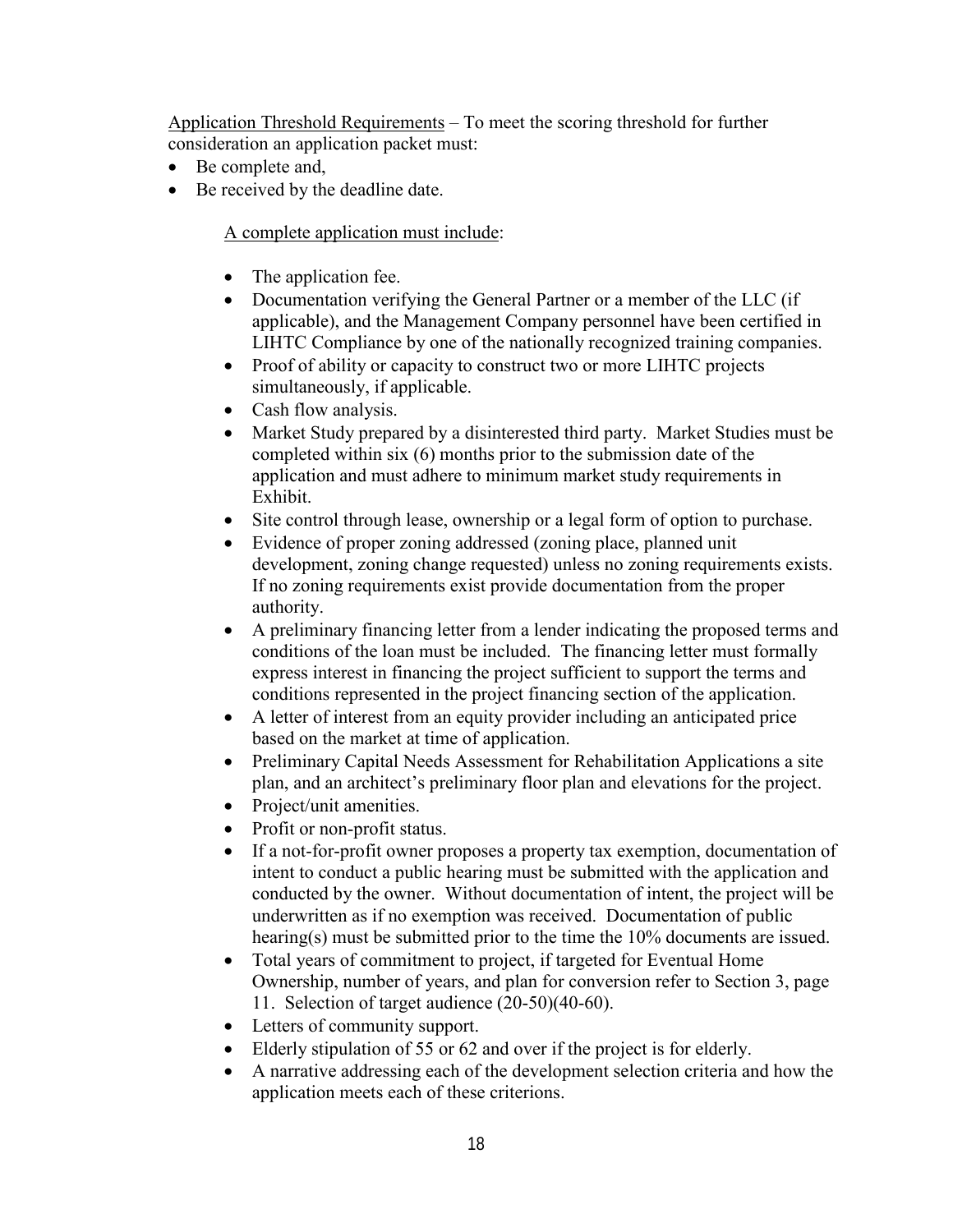Application Threshold Requirements – To meet the scoring threshold for further consideration an application packet must:

- Be complete and,
- Be received by the deadline date.

A complete application must include:

- The application fee.
- Documentation verifying the General Partner or a member of the LLC (if applicable), and the Management Company personnel have been certified in LIHTC Compliance by one of the nationally recognized training companies.
- Proof of ability or capacity to construct two or more LIHTC projects simultaneously, if applicable.
- Cash flow analysis.
- Market Study prepared by a disinterested third party. Market Studies must be completed within six (6) months prior to the submission date of the application and must adhere to minimum market study requirements in Exhibit.
- Site control through lease, ownership or a legal form of option to purchase.
- Evidence of proper zoning addressed (zoning place, planned unit development, zoning change requested) unless no zoning requirements exists. If no zoning requirements exist provide documentation from the proper authority.
- A preliminary financing letter from a lender indicating the proposed terms and conditions of the loan must be included. The financing letter must formally express interest in financing the project sufficient to support the terms and conditions represented in the project financing section of the application.
- A letter of interest from an equity provider including an anticipated price based on the market at time of application.
- Preliminary Capital Needs Assessment for Rehabilitation Applications a site plan, and an architect's preliminary floor plan and elevations for the project.
- Project/unit amenities.
- Profit or non-profit status.
- If a not-for-profit owner proposes a property tax exemption, documentation of intent to conduct a public hearing must be submitted with the application and conducted by the owner. Without documentation of intent, the project will be underwritten as if no exemption was received. Documentation of public hearing(s) must be submitted prior to the time the 10% documents are issued.
- Total years of commitment to project, if targeted for Eventual Home Ownership, number of years, and plan for conversion refer to Section 3, page 11. Selection of target audience (20-50)(40-60).
- Letters of community support.
- Elderly stipulation of 55 or 62 and over if the project is for elderly.
- A narrative addressing each of the development selection criteria and how the application meets each of these criterions.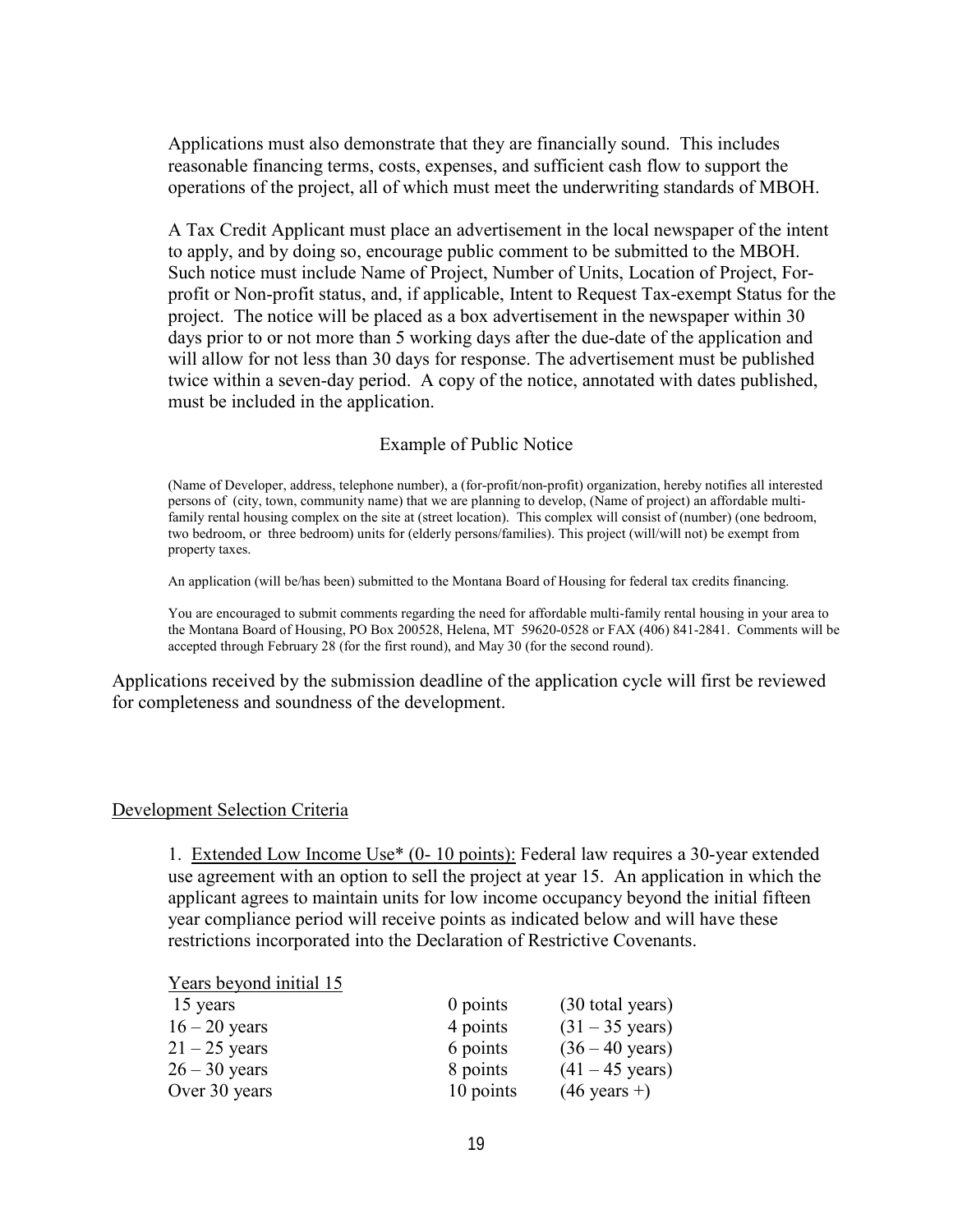<span id="page-20-0"></span>Applications must also demonstrate that they are financially sound. This includes reasonable financing terms, costs, expenses, and sufficient cash flow to support the operations of the project, all of which must meet the underwriting standards of MBOH.

A Tax Credit Applicant must place an advertisement in the local newspaper of the intent to apply, and by doing so, encourage public comment to be submitted to the MBOH. Such notice must include Name of Project, Number of Units, Location of Project, Forprofit or Non-profit status, and, if applicable, Intent to Request Tax-exempt Status for the project. The notice will be placed as a box advertisement in the newspaper within 30 days prior to or not more than 5 working days after the due-date of the application and will allow for not less than 30 days for response. The advertisement must be published twice within a seven-day period. A copy of the notice, annotated with dates published, must be included in the application.

#### Example of Public Notice

(Name of Developer, address, telephone number), a (for-profit/non-profit) organization, hereby notifies all interested persons of (city, town, community name) that we are planning to develop, (Name of project) an affordable multifamily rental housing complex on the site at (street location). This complex will consist of (number) (one bedroom, two bedroom, or three bedroom) units for (elderly persons/families). This project (will/will not) be exempt from property taxes.

An application (will be/has been) submitted to the Montana Board of Housing for federal tax credits financing.

You are encouraged to submit comments regarding the need for affordable multi-family rental housing in your area to the Montana Board of Housing, PO Box 200528, Helena, MT 59620-0528 or FAX (406) 841-2841. Comments will be accepted through February 28 (for the first round), and May 30 (for the second round).

Applications received by the submission deadline of the application cycle will first be reviewed for completeness and soundness of the development.

#### Development Selection Criteria

1. Extended Low Income Use\* (0- 10 points): Federal law requires a 30-year extended use agreement with an option to sell the project at year 15. An application in which the applicant agrees to maintain units for low income occupancy beyond the initial fifteen year compliance period will receive points as indicated below and will have these restrictions incorporated into the Declaration of Restrictive Covenants.

#### Years beyond initial 15

| 15 years        | 0 points  | (30 total years)          |
|-----------------|-----------|---------------------------|
| $16 - 20$ years | 4 points  | $(31 - 35 \text{ years})$ |
| $21 - 25$ years | 6 points  | $(36 - 40 \text{ years})$ |
| $26 - 30$ years | 8 points  | $(41 - 45 \text{ years})$ |
| Over 30 years   | 10 points | $(46 \text{ years} +)$    |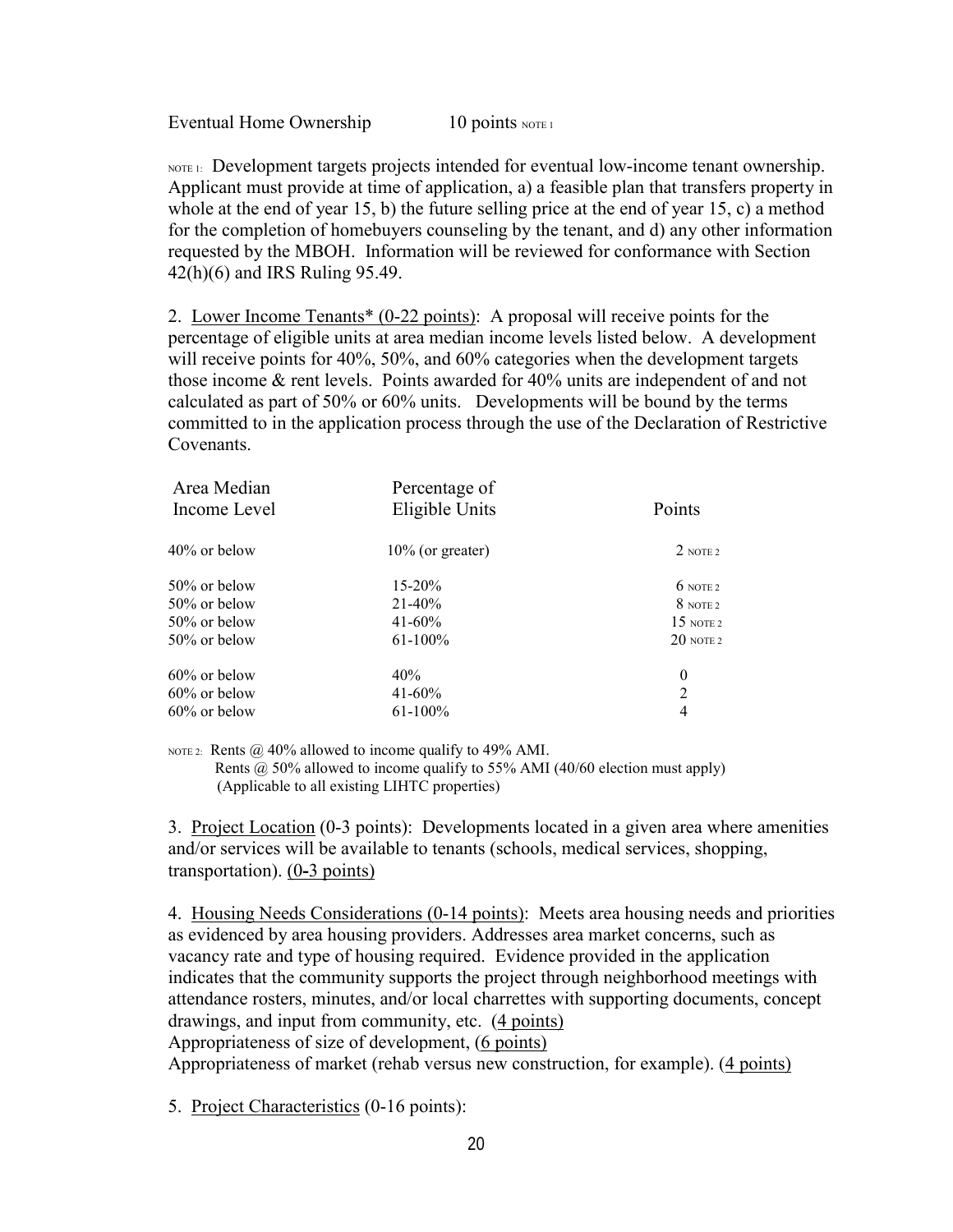Eventual Home Ownership  $10 \text{ points } \text{NOTE}$ 

 $N$ OTE 1: Development targets projects intended for eventual low-income tenant ownership. Applicant must provide at time of application, a) a feasible plan that transfers property in whole at the end of year 15, b) the future selling price at the end of year 15, c) a method for the completion of homebuyers counseling by the tenant, and d) any other information requested by the MBOH. Information will be reviewed for conformance with Section 42(h)(6) and IRS Ruling 95.49.

2. Lower Income Tenants\* (0-22 points): A proposal will receive points for the percentage of eligible units at area median income levels listed below. A development will receive points for 40%, 50%, and 60% categories when the development targets those income & rent levels. Points awarded for 40% units are independent of and not calculated as part of 50% or 60% units. Developments will be bound by the terms committed to in the application process through the use of the Declaration of Restrictive **Covenants** 

| Area Median<br>Income Level | Percentage of<br>Eligible Units | Points               |
|-----------------------------|---------------------------------|----------------------|
| $40\%$ or below             | $10\%$ (or greater)             | $2$ note 2           |
| $50\%$ or below             | $15 - 20%$                      | $6$ NOTE 2           |
| $50\%$ or below             | $21 - 40\%$                     | 8 NOTE 2             |
| $50\%$ or below             | $41 - 60\%$                     | $15 \text{ n}$ ote 2 |
| $50\%$ or below             | $61-100%$                       | $20$ note 2          |
| $60\%$ or below             | 40%                             | $\boldsymbol{0}$     |
| $60\%$ or below             | $41 - 60\%$                     | $\overline{2}$       |
| $60\%$ or below             | $61-100%$                       | 4                    |
|                             |                                 |                      |

NOTE 2: Rents  $\omega$  40% allowed to income qualify to 49% AMI. Rents @ 50% allowed to income qualify to 55% AMI (40/60 election must apply) (Applicable to all existing LIHTC properties)

3. Project Location (0-3 points): Developments located in a given area where amenities and/or services will be available to tenants (schools, medical services, shopping, transportation). (0**-**3 points)

4. Housing Needs Considerations (0-14 points): Meets area housing needs and priorities as evidenced by area housing providers. Addresses area market concerns, such as vacancy rate and type of housing required. Evidence provided in the application indicates that the community supports the project through neighborhood meetings with attendance rosters, minutes, and/or local charrettes with supporting documents, concept drawings, and input from community, etc. (4 points) Appropriateness of size of development, (6 points)

Appropriateness of market (rehab versus new construction, for example). (4 points)

5. Project Characteristics (0-16 points):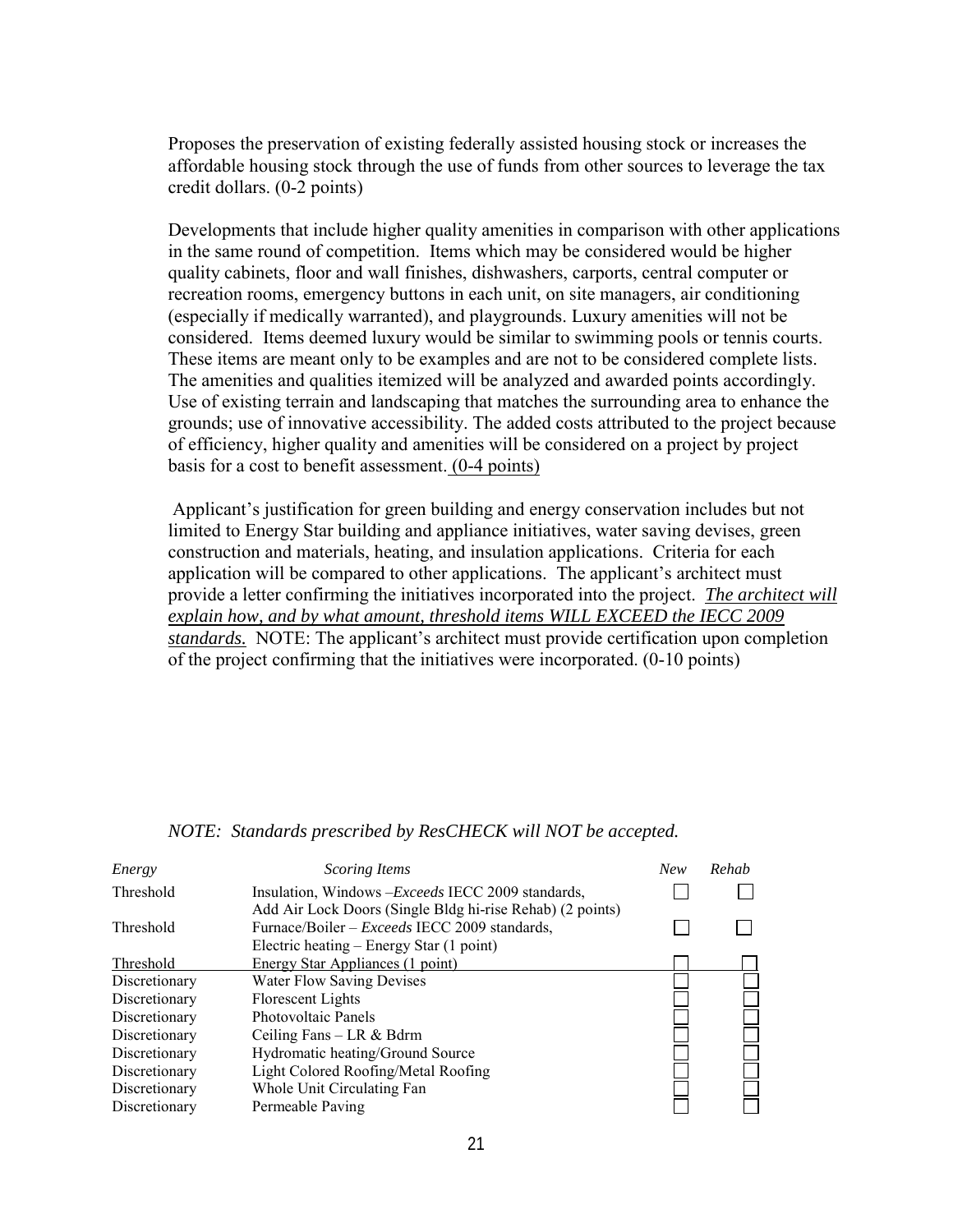Proposes the preservation of existing federally assisted housing stock or increases the affordable housing stock through the use of funds from other sources to leverage the tax credit dollars. (0-2 points)

Developments that include higher quality amenities in comparison with other applications in the same round of competition. Items which may be considered would be higher quality cabinets, floor and wall finishes, dishwashers, carports, central computer or recreation rooms, emergency buttons in each unit, on site managers, air conditioning (especially if medically warranted), and playgrounds. Luxury amenities will not be considered. Items deemed luxury would be similar to swimming pools or tennis courts. These items are meant only to be examples and are not to be considered complete lists. The amenities and qualities itemized will be analyzed and awarded points accordingly. Use of existing terrain and landscaping that matches the surrounding area to enhance the grounds; use of innovative accessibility. The added costs attributed to the project because of efficiency, higher quality and amenities will be considered on a project by project basis for a cost to benefit assessment. (0-4 points)

Applicant's justification for green building and energy conservation includes but not limited to Energy Star building and appliance initiatives, water saving devises, green construction and materials, heating, and insulation applications. Criteria for each application will be compared to other applications. The applicant's architect must provide a letter confirming the initiatives incorporated into the project.*The architect will explain how, and by what amount, threshold items WILL EXCEED the IECC 2009 standards.*NOTE: The applicant's architect must provide certification upon completion of the project confirming that the initiatives were incorporated. (0-10 points)

| Energy        | <b>Scoring Items</b>                                      | <b>New</b> | Rehab |
|---------------|-----------------------------------------------------------|------------|-------|
| Threshold     | Insulation, Windows - Exceeds IECC 2009 standards,        |            |       |
|               | Add Air Lock Doors (Single Bldg hi-rise Rehab) (2 points) |            |       |
| Threshold     | Furnace/Boiler – <i>Exceeds</i> IECC 2009 standards,      |            |       |
|               | Electric heating – Energy Star (1 point)                  |            |       |
| Threshold     | <b>Energy Star Appliances (1 point)</b>                   |            |       |
| Discretionary | <b>Water Flow Saving Devises</b>                          |            |       |
| Discretionary | Florescent Lights                                         |            |       |
| Discretionary | Photovoltaic Panels                                       |            |       |
| Discretionary | Ceiling Fans $-$ LR & Bdrm                                |            |       |
| Discretionary | Hydromatic heating/Ground Source                          |            |       |
| Discretionary | Light Colored Roofing/Metal Roofing                       |            |       |
| Discretionary | Whole Unit Circulating Fan                                |            |       |
| Discretionary | Permeable Paving                                          |            |       |

*NOTE: Standards prescribed by ResCHECK will NOT be accepted.*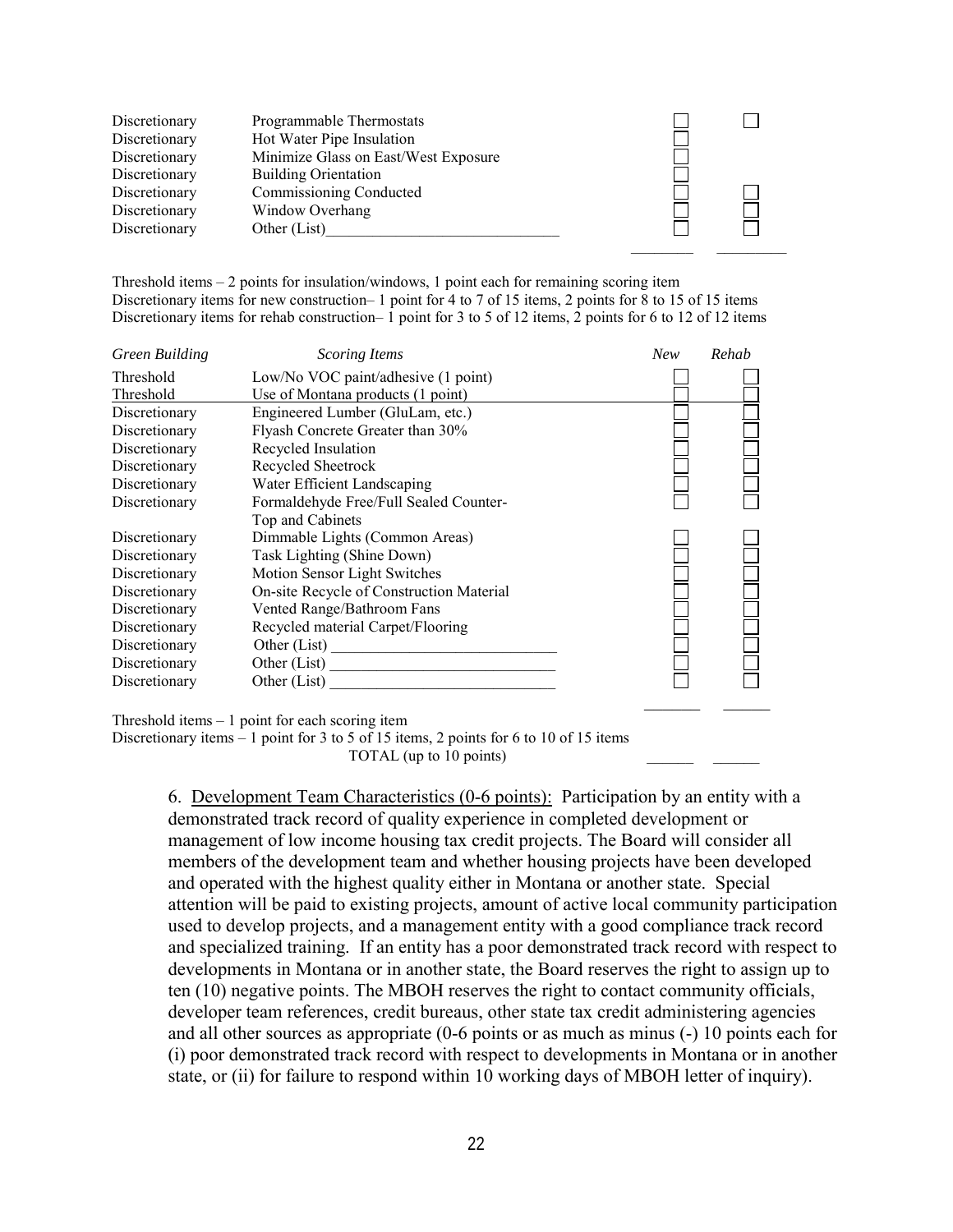

Threshold items – 2 points for insulation/windows, 1 point each for remaining scoring item Discretionary items for new construction– 1 point for 4 to 7 of 15 items, 2 points for 8 to 15 of 15 items Discretionary items for rehab construction– 1 point for 3 to 5 of 12 items, 2 points for 6 to 12 of 12 items

| <b>Green Building</b> | <b>Scoring Items</b>                     | <b>New</b> | Rehab |
|-----------------------|------------------------------------------|------------|-------|
| Threshold             | Low/No VOC paint/adhesive (1 point)      |            |       |
| Threshold             | Use of Montana products (1 point)        |            |       |
| Discretionary         | Engineered Lumber (GluLam, etc.)         |            |       |
| Discretionary         | Flyash Concrete Greater than 30%         |            |       |
| Discretionary         | Recycled Insulation                      |            |       |
| Discretionary         | Recycled Sheetrock                       |            |       |
| Discretionary         | Water Efficient Landscaping              |            |       |
| Discretionary         | Formaldehyde Free/Full Sealed Counter-   |            |       |
|                       | Top and Cabinets                         |            |       |
| Discretionary         | Dimmable Lights (Common Areas)           |            |       |
| Discretionary         | Task Lighting (Shine Down)               |            |       |
| Discretionary         | Motion Sensor Light Switches             |            |       |
| Discretionary         | On-site Recycle of Construction Material |            |       |
| Discretionary         | Vented Range/Bathroom Fans               |            |       |
| Discretionary         | Recycled material Carpet/Flooring        |            |       |
| Discretionary         | Other (List)                             |            |       |
| Discretionary         | Other (List)                             |            |       |
| Discretionary         | Other (List)                             |            |       |
|                       |                                          |            |       |

Threshold items – 1 point for each scoring item

Discretionary items – 1 point for 3 to 5 of 15 items, 2 points for 6 to 10 of 15 items

TOTAL (up to  $10$  points)

6. Development Team Characteristics (0-6 points): Participation by an entity with a demonstrated track record of quality experience in completed development or management of low income housing tax credit projects. The Board will consider all members of the development team and whether housing projects have been developed and operated with the highest quality either in Montana or another state. Special attention will be paid to existing projects, amount of active local community participation used to develop projects, and a management entity with a good compliance track record and specialized training. If an entity has a poor demonstrated track record with respect to developments in Montana or in another state, the Board reserves the right to assign up to ten (10) negative points. The MBOH reserves the right to contact community officials, developer team references, credit bureaus, other state tax credit administering agencies and all other sources as appropriate (0-6 points or as much as minus (-) 10 points each for (i) poor demonstrated track record with respect to developments in Montana or in another state, or (ii) for failure to respond within 10 working days of MBOH letter of inquiry).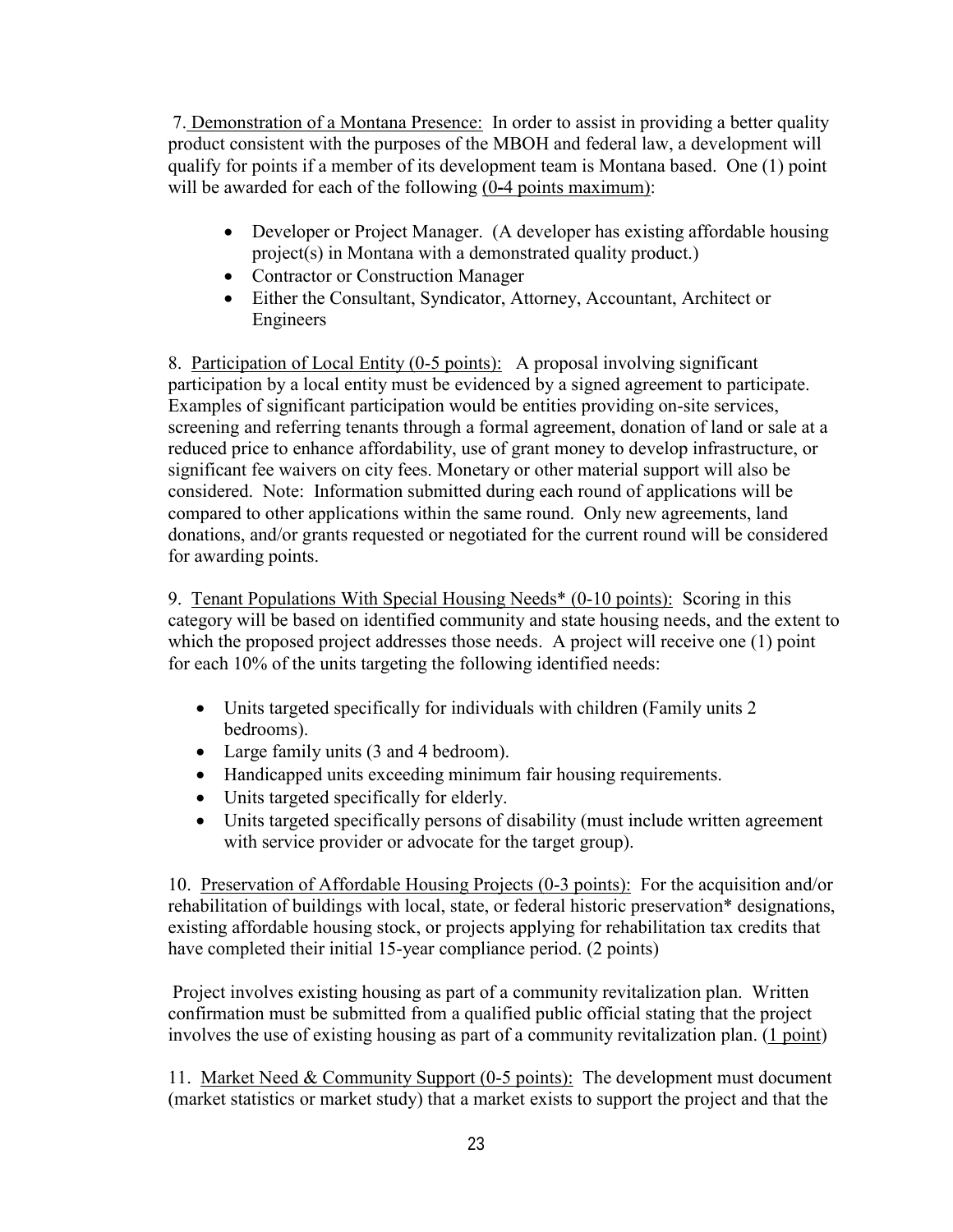7. Demonstration of a Montana Presence: In order to assist in providing a better quality product consistent with the purposes of the MBOH and federal law, a development will qualify for points if a member of its development team is Montana based. One (1) point will be awarded for each of the following (0**-**4 points maximum):

- Developer or Project Manager. (A developer has existing affordable housing project(s) in Montana with a demonstrated quality product.)
- Contractor or Construction Manager
- Either the Consultant, Syndicator, Attorney, Accountant, Architect or Engineers

8. Participation of Local Entity (0-5 points): A proposal involving significant participation by a local entity must be evidenced by a signed agreement to participate. Examples of significant participation would be entities providing on-site services, screening and referring tenants through a formal agreement, donation of land or sale at a reduced price to enhance affordability, use of grant money to develop infrastructure, or significant fee waivers on city fees. Monetary or other material support will also be considered. Note: Information submitted during each round of applications will be compared to other applications within the same round. Only new agreements, land donations, and/or grants requested or negotiated for the current round will be considered for awarding points.

9. Tenant Populations With Special Housing Needs\* (0-10 points): Scoring in this category will be based on identified community and state housing needs, and the extent to which the proposed project addresses those needs. A project will receive one (1) point for each 10% of the units targeting the following identified needs:

- Units targeted specifically for individuals with children (Family units 2) bedrooms).
- Large family units (3 and 4 bedroom).
- Handicapped units exceeding minimum fair housing requirements.
- Units targeted specifically for elderly.
- Units targeted specifically persons of disability (must include written agreement with service provider or advocate for the target group).

10. Preservation of Affordable Housing Projects (0-3 points): For the acquisition and/or rehabilitation of buildings with local, state, or federal historic preservation\* designations, existing affordable housing stock, or projects applying for rehabilitation tax credits that have completed their initial 15-year compliance period. (2 points)

 Project involves existing housing as part of a community revitalization plan. Written confirmation must be submitted from a qualified public official stating that the project involves the use of existing housing as part of a community revitalization plan. (1 point)

11. Market Need & Community Support (0-5 points): The development must document (market statistics or market study) that a market exists to support the project and that the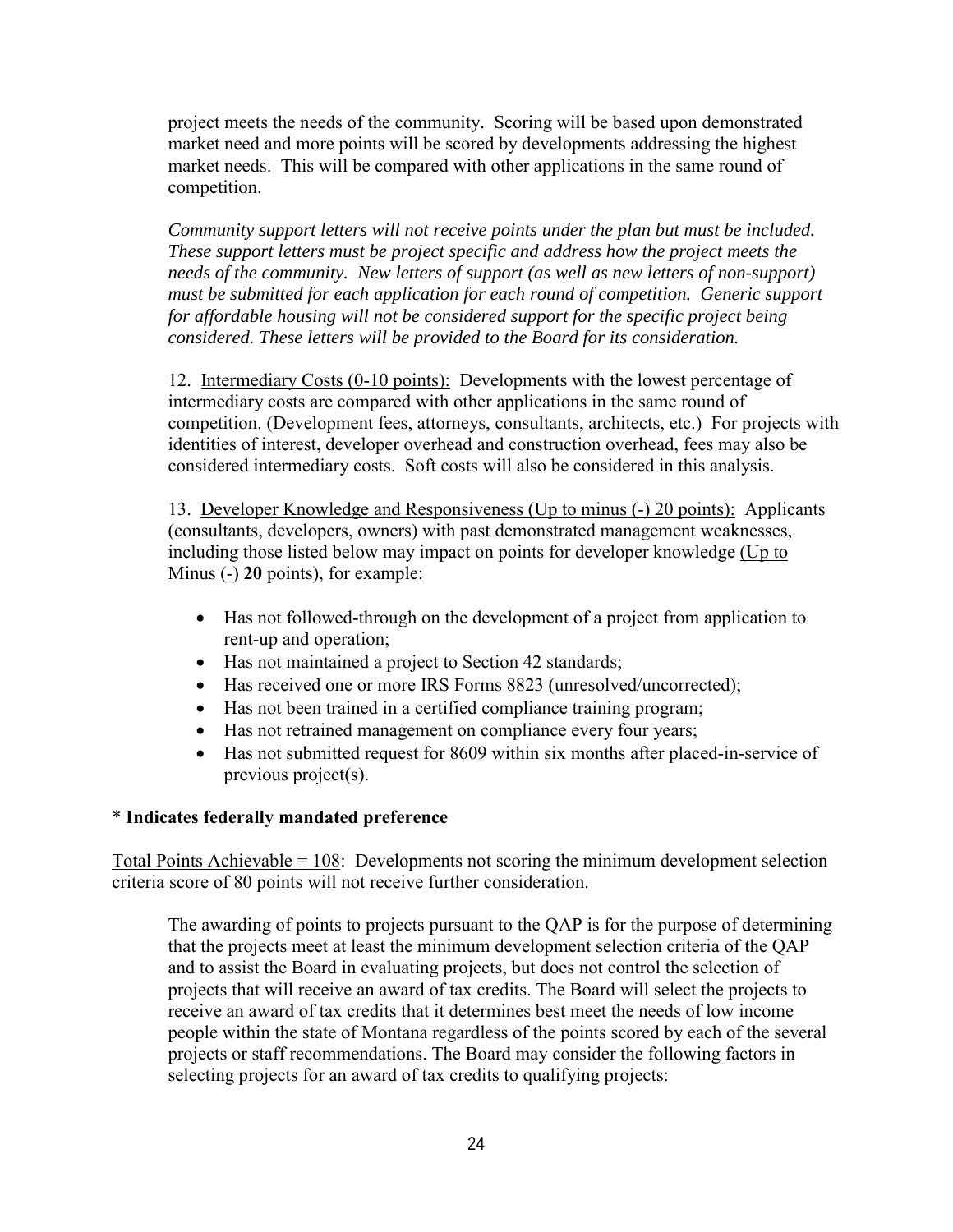project meets the needs of the community. Scoring will be based upon demonstrated market need and more points will be scored by developments addressing the highest market needs. This will be compared with other applications in the same round of competition.

*Community support letters will not receive points under the plan but must be included. These support letters must be project specific and address how the project meets the needs of the community. New letters of support (as well as new letters of non-support) must be submitted for each application for each round of competition. Generic support for affordable housing will not be considered support for the specific project being considered. These letters will be provided to the Board for its consideration.* 

12. Intermediary Costs (0-10 points): Developments with the lowest percentage of intermediary costs are compared with other applications in the same round of competition. (Development fees, attorneys, consultants, architects, etc.) For projects with identities of interest, developer overhead and construction overhead, fees may also be considered intermediary costs. Soft costs will also be considered in this analysis.

13. Developer Knowledge and Responsiveness (Up to minus (-) 20 points): Applicants (consultants, developers, owners) with past demonstrated management weaknesses, including those listed below may impact on points for developer knowledge (Up to Minus (-) **20** points), for example:

- Has not followed-through on the development of a project from application to rent-up and operation;
- Has not maintained a project to Section 42 standards;
- Has received one or more IRS Forms 8823 (unresolved/uncorrected);
- Has not been trained in a certified compliance training program;
- Has not retrained management on compliance every four years;
- Has not submitted request for 8609 within six months after placed-in-service of previous project(s).

## \* **Indicates federally mandated preference**

Total Points Achievable =  $108$ : Developments not scoring the minimum development selection criteria score of 80 points will not receive further consideration.

The awarding of points to projects pursuant to the QAP is for the purpose of determining that the projects meet at least the minimum development selection criteria of the QAP and to assist the Board in evaluating projects, but does not control the selection of projects that will receive an award of tax credits. The Board will select the projects to receive an award of tax credits that it determines best meet the needs of low income people within the state of Montana regardless of the points scored by each of the several projects or staff recommendations. The Board may consider the following factors in selecting projects for an award of tax credits to qualifying projects: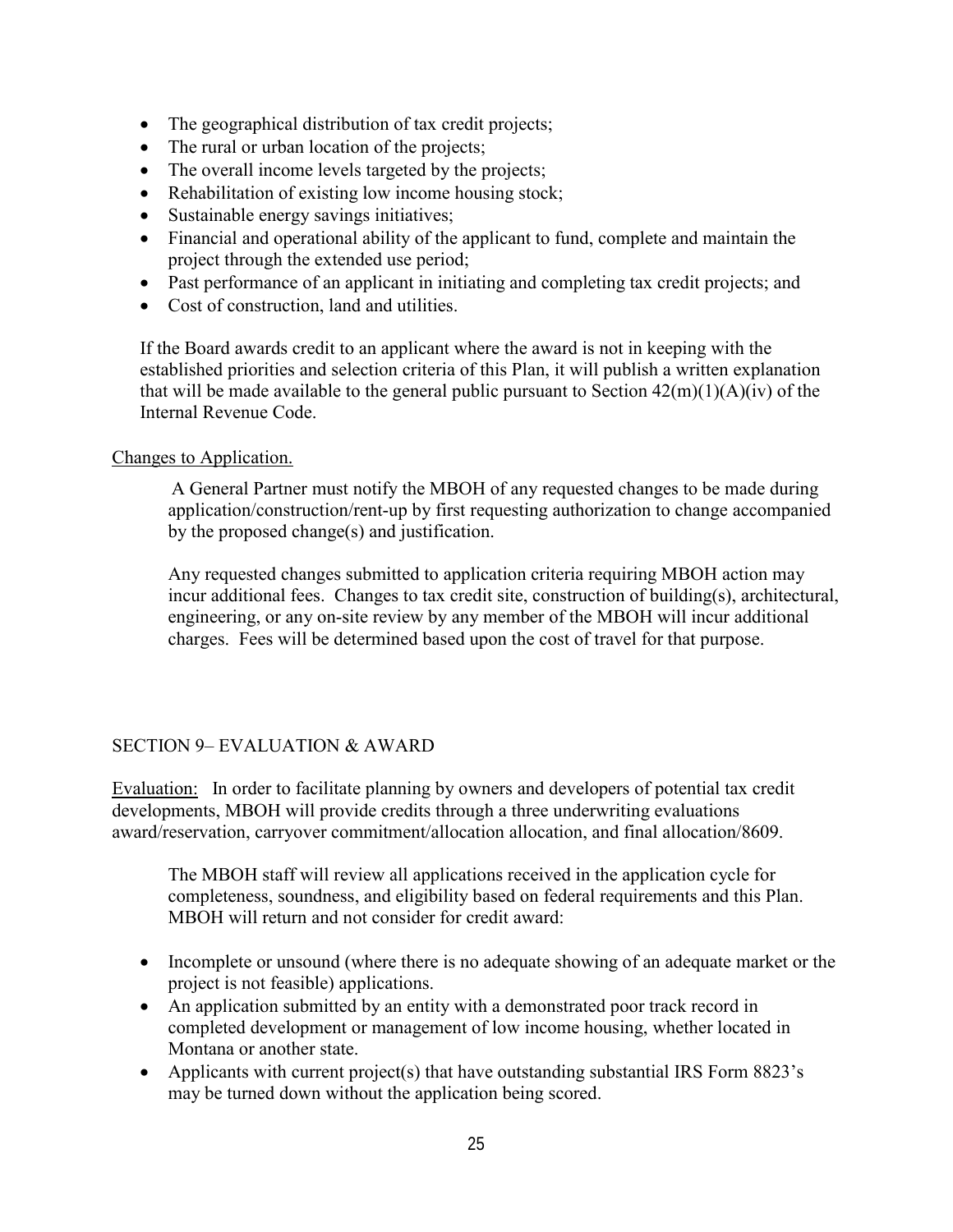- <span id="page-26-0"></span>• The geographical distribution of tax credit projects;
- The rural or urban location of the projects;
- The overall income levels targeted by the projects;
- Rehabilitation of existing low income housing stock;
- Sustainable energy savings initiatives;
- Financial and operational ability of the applicant to fund, complete and maintain the project through the extended use period;
- Past performance of an applicant in initiating and completing tax credit projects; and
- Cost of construction, land and utilities.

If the Board awards credit to an applicant where the award is not in keeping with the established priorities and selection criteria of this Plan, it will publish a written explanation that will be made available to the general public pursuant to Section  $42(m)(1)(A)(iv)$  of the Internal Revenue Code.

### Changes to Application.

A General Partner must notify the MBOH of any requested changes to be made during application/construction/rent-up by first requesting authorization to change accompanied by the proposed change(s) and justification.

Any requested changes submitted to application criteria requiring MBOH action may incur additional fees. Changes to tax credit site, construction of building(s), architectural, engineering, or any on-site review by any member of the MBOH will incur additional charges. Fees will be determined based upon the cost of travel for that purpose.

## SECTION 9– EVALUATION & AWARD

Evaluation: In order to facilitate planning by owners and developers of potential tax credit developments, MBOH will provide credits through a three underwriting evaluations award/reservation, carryover commitment/allocation allocation, and final allocation/8609.

The MBOH staff will review all applications received in the application cycle for completeness, soundness, and eligibility based on federal requirements and this Plan. MBOH will return and not consider for credit award:

- Incomplete or unsound (where there is no adequate showing of an adequate market or the project is not feasible) applications.
- An application submitted by an entity with a demonstrated poor track record in completed development or management of low income housing, whether located in Montana or another state.
- Applicants with current project(s) that have outstanding substantial IRS Form 8823's may be turned down without the application being scored.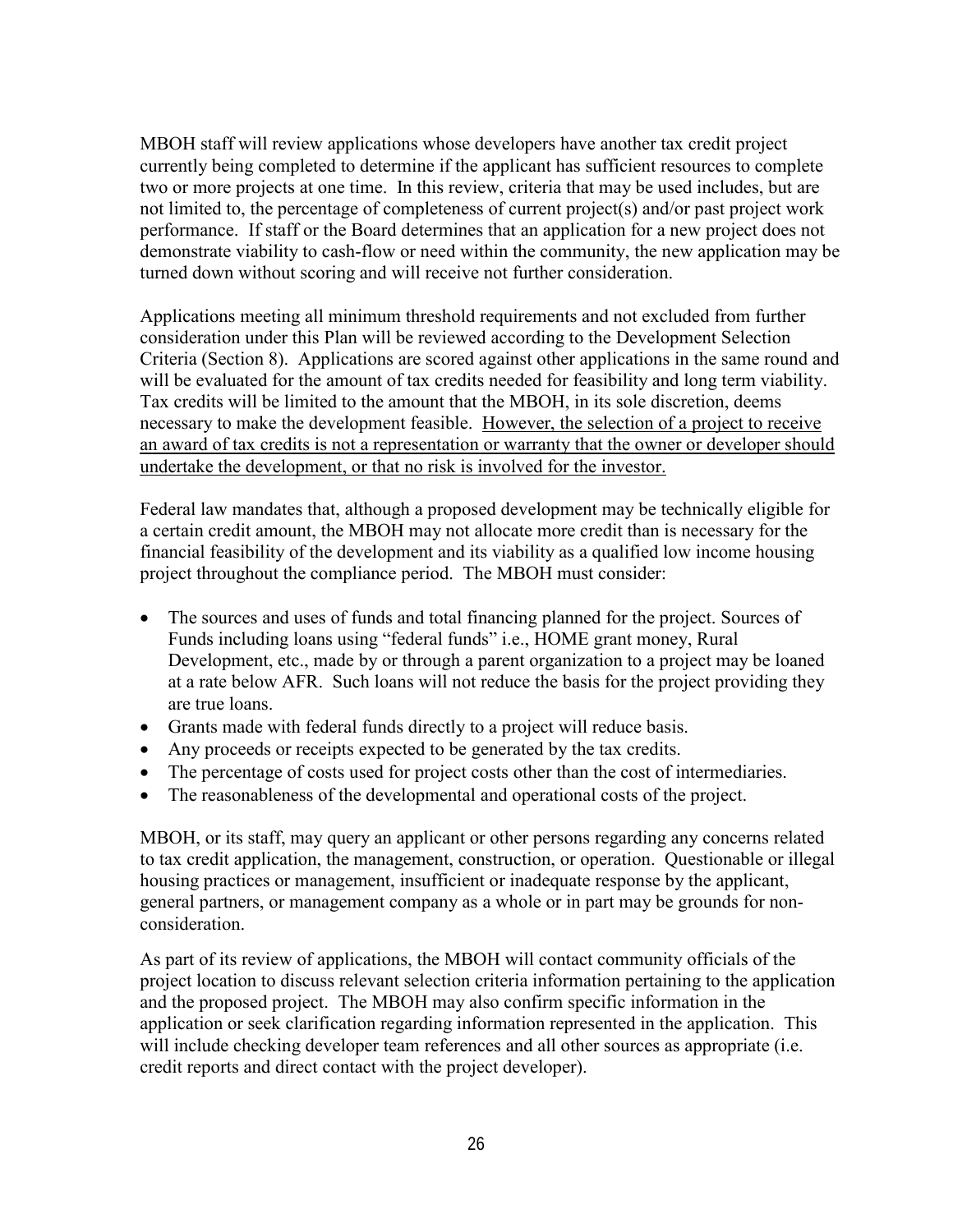MBOH staff will review applications whose developers have another tax credit project currently being completed to determine if the applicant has sufficient resources to complete two or more projects at one time. In this review, criteria that may be used includes, but are not limited to, the percentage of completeness of current project(s) and/or past project work performance. If staff or the Board determines that an application for a new project does not demonstrate viability to cash-flow or need within the community, the new application may be turned down without scoring and will receive not further consideration.

Applications meeting all minimum threshold requirements and not excluded from further consideration under this Plan will be reviewed according to the Development Selection Criteria (Section 8). Applications are scored against other applications in the same round and will be evaluated for the amount of tax credits needed for feasibility and long term viability. Tax credits will be limited to the amount that the MBOH, in its sole discretion, deems necessary to make the development feasible. However, the selection of a project to receive an award of tax credits is not a representation or warranty that the owner or developer should undertake the development, or that no risk is involved for the investor.

Federal law mandates that, although a proposed development may be technically eligible for a certain credit amount, the MBOH may not allocate more credit than is necessary for the financial feasibility of the development and its viability as a qualified low income housing project throughout the compliance period. The MBOH must consider:

- The sources and uses of funds and total financing planned for the project. Sources of Funds including loans using "federal funds" i.e., HOME grant money, Rural Development, etc., made by or through a parent organization to a project may be loaned at a rate below AFR. Such loans will not reduce the basis for the project providing they are true loans.
- Grants made with federal funds directly to a project will reduce basis.
- Any proceeds or receipts expected to be generated by the tax credits.
- The percentage of costs used for project costs other than the cost of intermediaries.
- The reasonableness of the developmental and operational costs of the project.

MBOH, or its staff, may query an applicant or other persons regarding any concerns related to tax credit application, the management, construction, or operation. Questionable or illegal housing practices or management, insufficient or inadequate response by the applicant, general partners, or management company as a whole or in part may be grounds for nonconsideration.

As part of its review of applications, the MBOH will contact community officials of the project location to discuss relevant selection criteria information pertaining to the application and the proposed project. The MBOH may also confirm specific information in the application or seek clarification regarding information represented in the application. This will include checking developer team references and all other sources as appropriate (i.e. credit reports and direct contact with the project developer).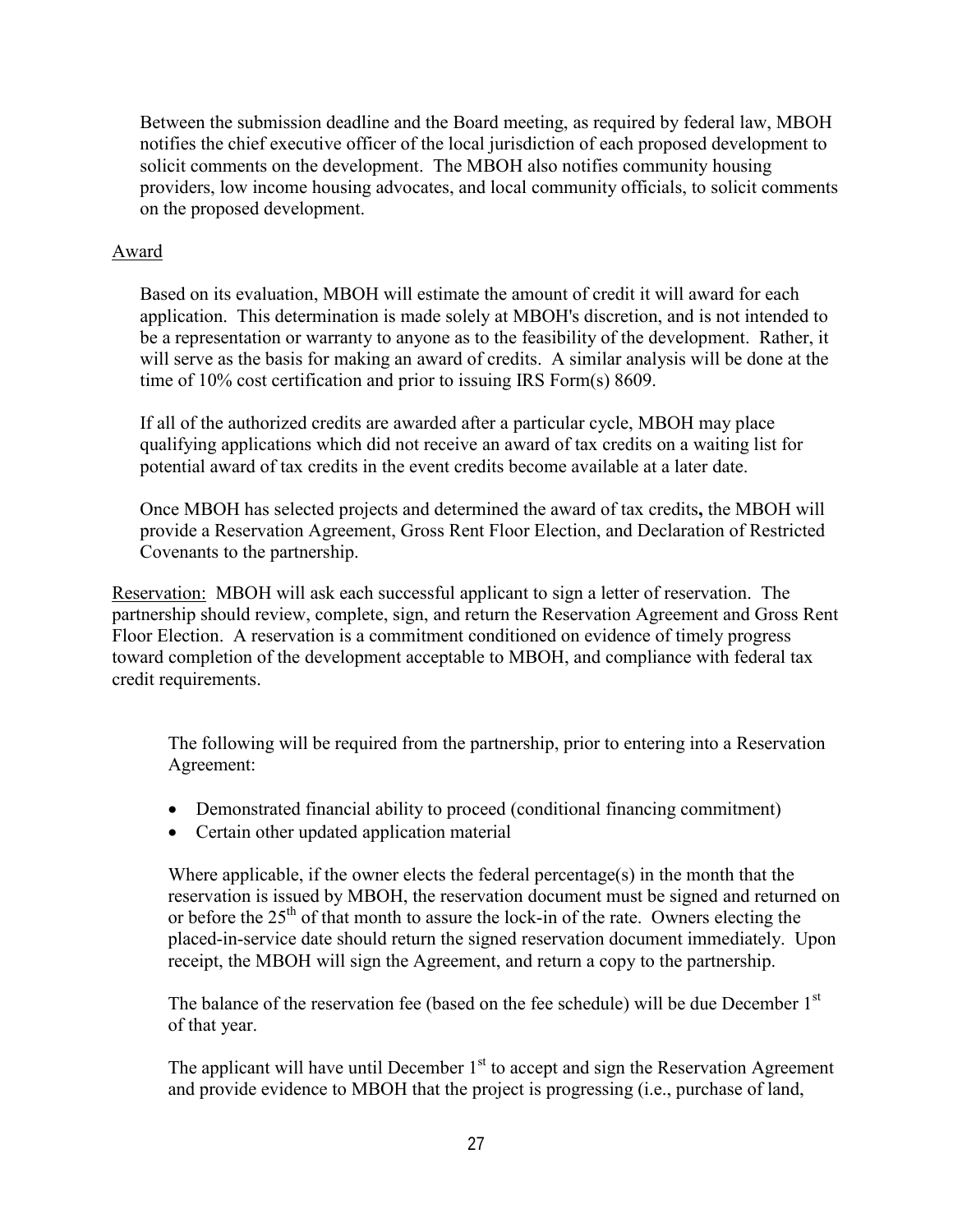<span id="page-28-0"></span>Between the submission deadline and the Board meeting, as required by federal law, MBOH notifies the chief executive officer of the local jurisdiction of each proposed development to solicit comments on the development. The MBOH also notifies community housing providers, low income housing advocates, and local community officials, to solicit comments on the proposed development.

### Award

Based on its evaluation, MBOH will estimate the amount of credit it will award for each application. This determination is made solely at MBOH's discretion, and is not intended to be a representation or warranty to anyone as to the feasibility of the development. Rather, it will serve as the basis for making an award of credits. A similar analysis will be done at the time of 10% cost certification and prior to issuing IRS Form(s) 8609.

If all of the authorized credits are awarded after a particular cycle, MBOH may place qualifying applications which did not receive an award of tax credits on a waiting list for potential award of tax credits in the event credits become available at a later date.

Once MBOH has selected projects and determined the award of tax credits**,** the MBOH will provide a Reservation Agreement, Gross Rent Floor Election, and Declaration of Restricted Covenants to the partnership.

Reservation:MBOH will ask each successful applicant to sign a letter of reservation. The partnership should review, complete, sign, and return the Reservation Agreement and Gross Rent Floor Election. A reservation is a commitment conditioned on evidence of timely progress toward completion of the development acceptable to MBOH, and compliance with federal tax credit requirements.

The following will be required from the partnership, prior to entering into a Reservation Agreement:

- Demonstrated financial ability to proceed (conditional financing commitment)
- Certain other updated application material

Where applicable, if the owner elects the federal percentage(s) in the month that the reservation is issued by MBOH, the reservation document must be signed and returned on or before the  $25<sup>th</sup>$  of that month to assure the lock-in of the rate. Owners electing the placed-in-service date should return the signed reservation document immediately. Upon receipt, the MBOH will sign the Agreement, and return a copy to the partnership.

The balance of the reservation fee (based on the fee schedule) will be due December 1<sup>st</sup> of that year.

The applicant will have until December  $1<sup>st</sup>$  to accept and sign the Reservation Agreement and provide evidence to MBOH that the project is progressing (i.e., purchase of land,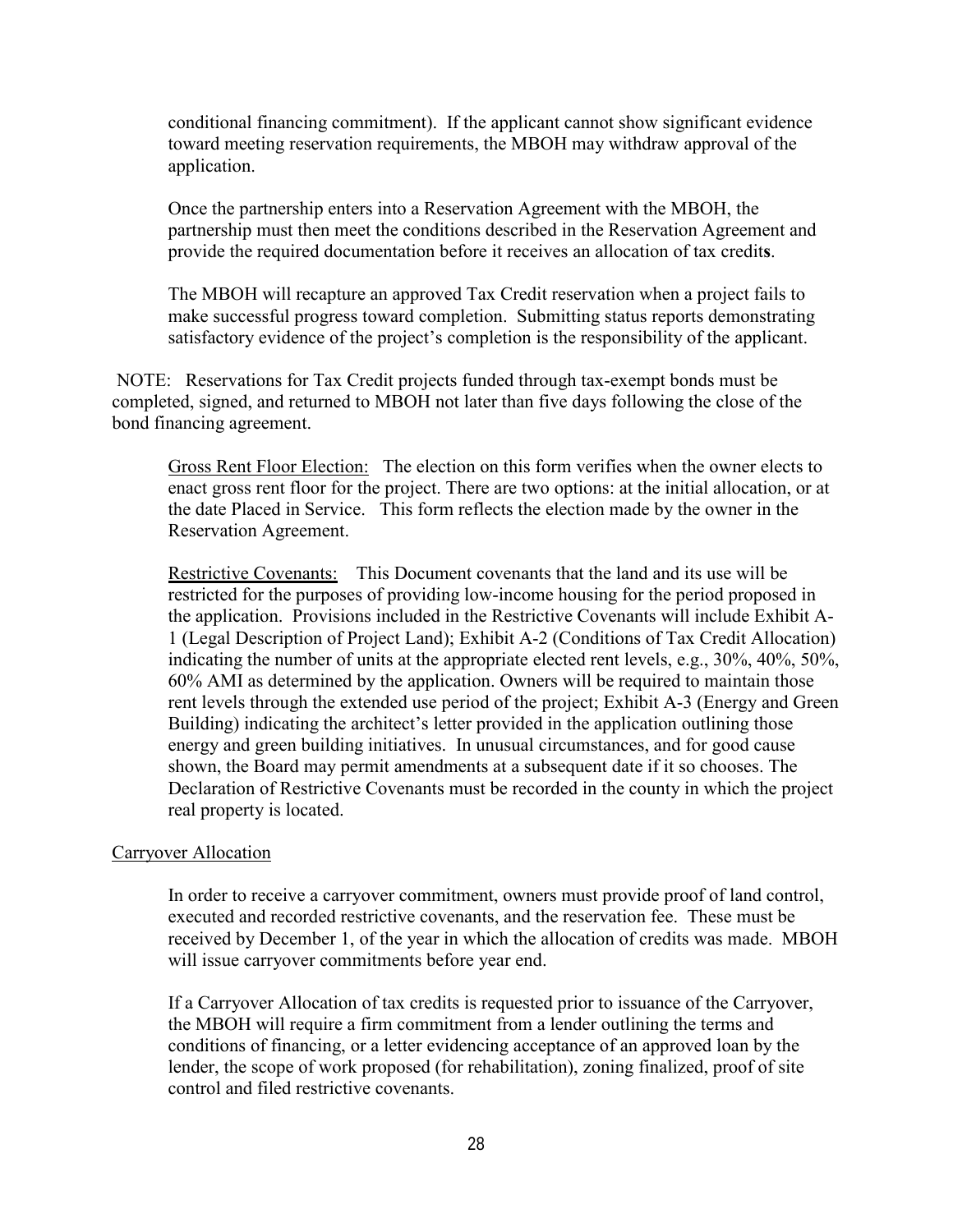<span id="page-29-0"></span>conditional financing commitment). If the applicant cannot show significant evidence toward meeting reservation requirements, the MBOH may withdraw approval of the application.

Once the partnership enters into a Reservation Agreement with the MBOH, the partnership must then meet the conditions described in the Reservation Agreement and provide the required documentation before it receives an allocation of tax credit**s**.

The MBOH will recapture an approved Tax Credit reservation when a project fails to make successful progress toward completion. Submitting status reports demonstrating satisfactory evidence of the project's completion is the responsibility of the applicant.

NOTE: Reservations for Tax Credit projects funded through tax-exempt bonds must be completed, signed, and returned to MBOH not later than five days following the close of the bond financing agreement.

Gross Rent Floor Election: The election on this form verifies when the owner elects to enact gross rent floor for the project. There are two options: at the initial allocation, or at the date Placed in Service. This form reflects the election made by the owner in the Reservation Agreement.

Restrictive Covenants: This Document covenants that the land and its use will be restricted for the purposes of providing low-income housing for the period proposed in the application. Provisions included in the Restrictive Covenants will include Exhibit A-1 (Legal Description of Project Land); Exhibit A-2 (Conditions of Tax Credit Allocation) indicating the number of units at the appropriate elected rent levels, e.g., 30%, 40%, 50%, 60% AMI as determined by the application. Owners will be required to maintain those rent levels through the extended use period of the project; Exhibit A-3 (Energy and Green Building) indicating the architect's letter provided in the application outlining those energy and green building initiatives. In unusual circumstances, and for good cause shown, the Board may permit amendments at a subsequent date if it so chooses. The Declaration of Restrictive Covenants must be recorded in the county in which the project real property is located.

### Carryover Allocation

In order to receive a carryover commitment, owners must provide proof of land control, executed and recorded restrictive covenants, and the reservation fee. These must be received by December 1, of the year in which the allocation of credits was made. MBOH will issue carryover commitments before year end.

If a Carryover Allocation of tax credits is requested prior to issuance of the Carryover, the MBOH will require a firm commitment from a lender outlining the terms and conditions of financing, or a letter evidencing acceptance of an approved loan by the lender, the scope of work proposed (for rehabilitation), zoning finalized, proof of site control and filed restrictive covenants.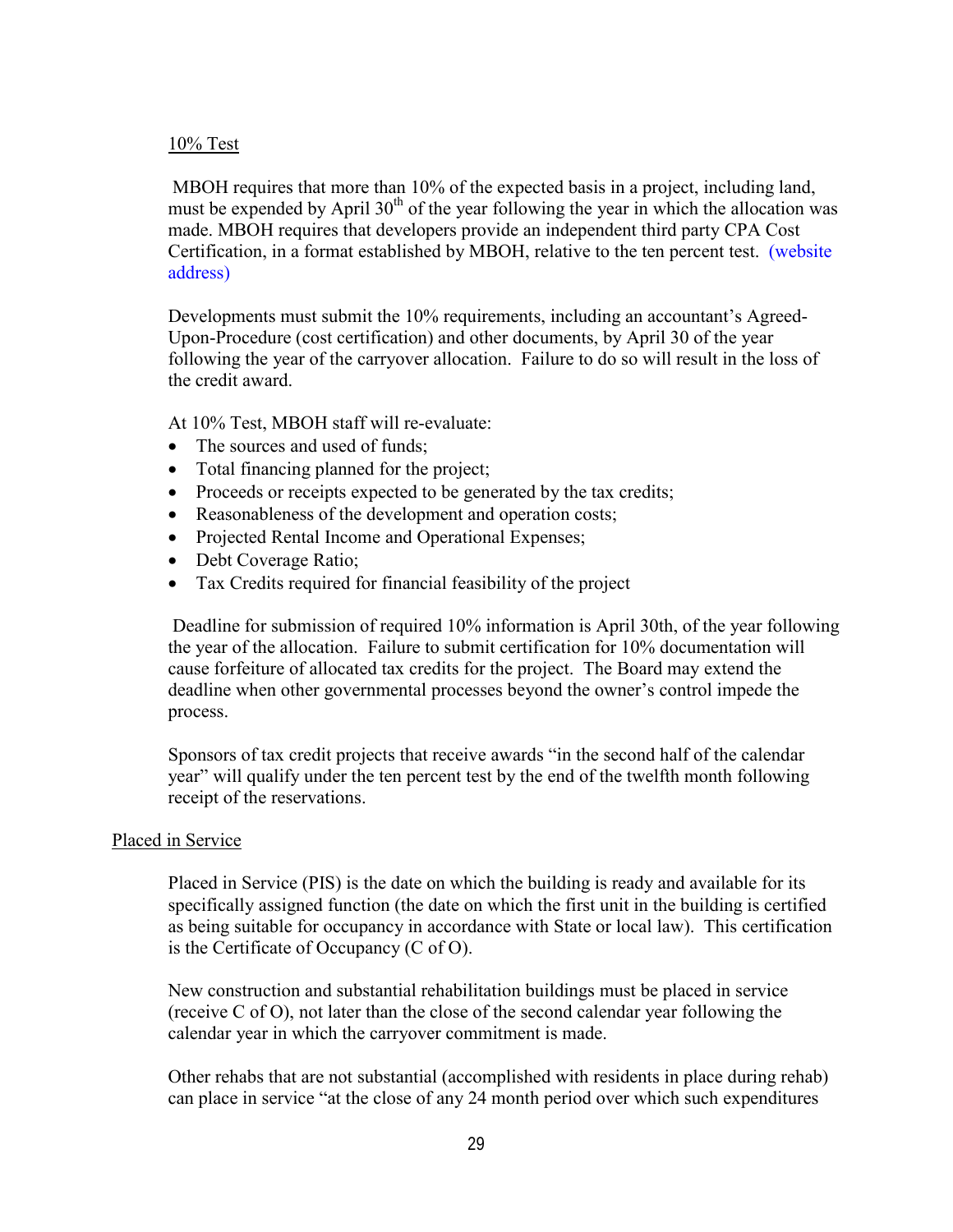#### <span id="page-30-0"></span>10% Test

 MBOH requires that more than 10% of the expected basis in a project, including land, must be expended by April  $30<sup>th</sup>$  of the year following the year in which the allocation was made. MBOH requires that developers provide an independent third party CPA Cost Certification, in a format established by MBOH, relative to the ten percent test. (website address)

Developments must submit the 10% requirements, including an accountant's Agreed-Upon-Procedure (cost certification) and other documents, by April 30 of the year following the year of the carryover allocation. Failure to do so will result in the loss of the credit award.

At 10% Test, MBOH staff will re-evaluate:

- The sources and used of funds;
- Total financing planned for the project;
- Proceeds or receipts expected to be generated by the tax credits;
- Reasonableness of the development and operation costs;
- Projected Rental Income and Operational Expenses;
- Debt Coverage Ratio;
- Tax Credits required for financial feasibility of the project

 Deadline for submission of required 10% information is April 30th, of the year following the year of the allocation. Failure to submit certification for 10% documentation will cause forfeiture of allocated tax credits for the project. The Board may extend the deadline when other governmental processes beyond the owner's control impede the process.

Sponsors of tax credit projects that receive awards "in the second half of the calendar year" will qualify under the ten percent test by the end of the twelfth month following receipt of the reservations.

### Placed in Service

Placed in Service (PIS) is the date on which the building is ready and available for its specifically assigned function (the date on which the first unit in the building is certified as being suitable for occupancy in accordance with State or local law). This certification is the Certificate of Occupancy (C of O).

New construction and substantial rehabilitation buildings must be placed in service (receive C of O), not later than the close of the second calendar year following the calendar year in which the carryover commitment is made.

Other rehabs that are not substantial (accomplished with residents in place during rehab) can place in service "at the close of any 24 month period over which such expenditures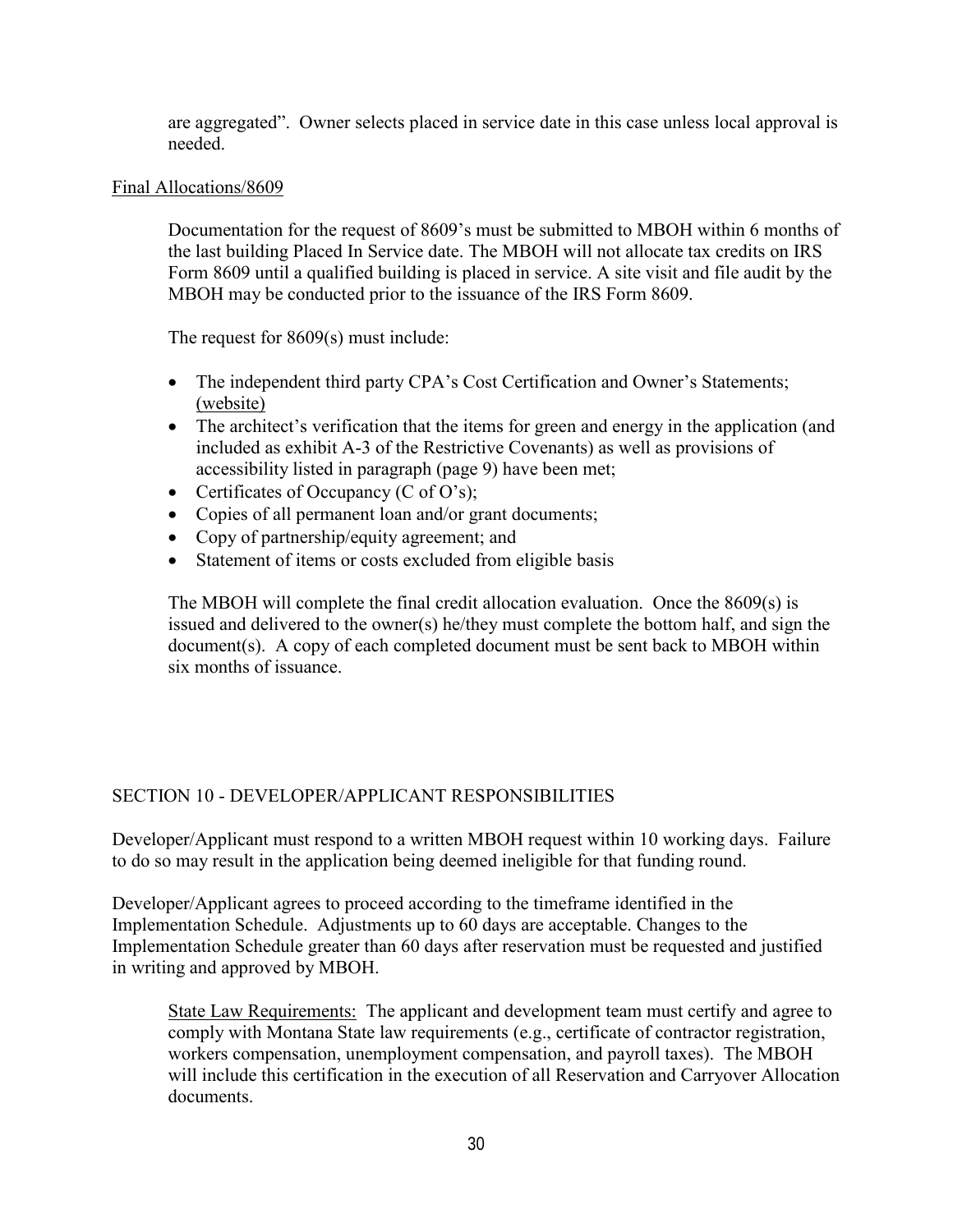<span id="page-31-0"></span>are aggregated". Owner selects placed in service date in this case unless local approval is needed.

### Final Allocations/8609

Documentation for the request of 8609's must be submitted to MBOH within 6 months of the last building Placed In Service date. The MBOH will not allocate tax credits on IRS Form 8609 until a qualified building is placed in service. A site visit and file audit by the MBOH may be conducted prior to the issuance of the IRS Form 8609.

The request for 8609(s) must include:

- The independent third party CPA's Cost Certification and Owner's Statements; (website)
- The architect's verification that the items for green and energy in the application (and included as exhibit A-3 of the Restrictive Covenants) as well as provisions of accessibility listed in paragraph (page 9) have been met;
- Certificates of Occupancy (C of O's);
- Copies of all permanent loan and/or grant documents;
- Copy of partnership/equity agreement; and
- Statement of items or costs excluded from eligible basis

The MBOH will complete the final credit allocation evaluation. Once the 8609(s) is issued and delivered to the owner(s) he/they must complete the bottom half, and sign the document(s). A copy of each completed document must be sent back to MBOH within six months of issuance.

## SECTION 10 - DEVELOPER/APPLICANT RESPONSIBILITIES

Developer/Applicant must respond to a written MBOH request within 10 working days. Failure to do so may result in the application being deemed ineligible for that funding round.

Developer/Applicant agrees to proceed according to the timeframe identified in the Implementation Schedule. Adjustments up to 60 days are acceptable. Changes to the Implementation Schedule greater than 60 days after reservation must be requested and justified in writing and approved by MBOH.

State Law Requirements: The applicant and development team must certify and agree to comply with Montana State law requirements (e.g., certificate of contractor registration, workers compensation, unemployment compensation, and payroll taxes). The MBOH will include this certification in the execution of all Reservation and Carryover Allocation documents.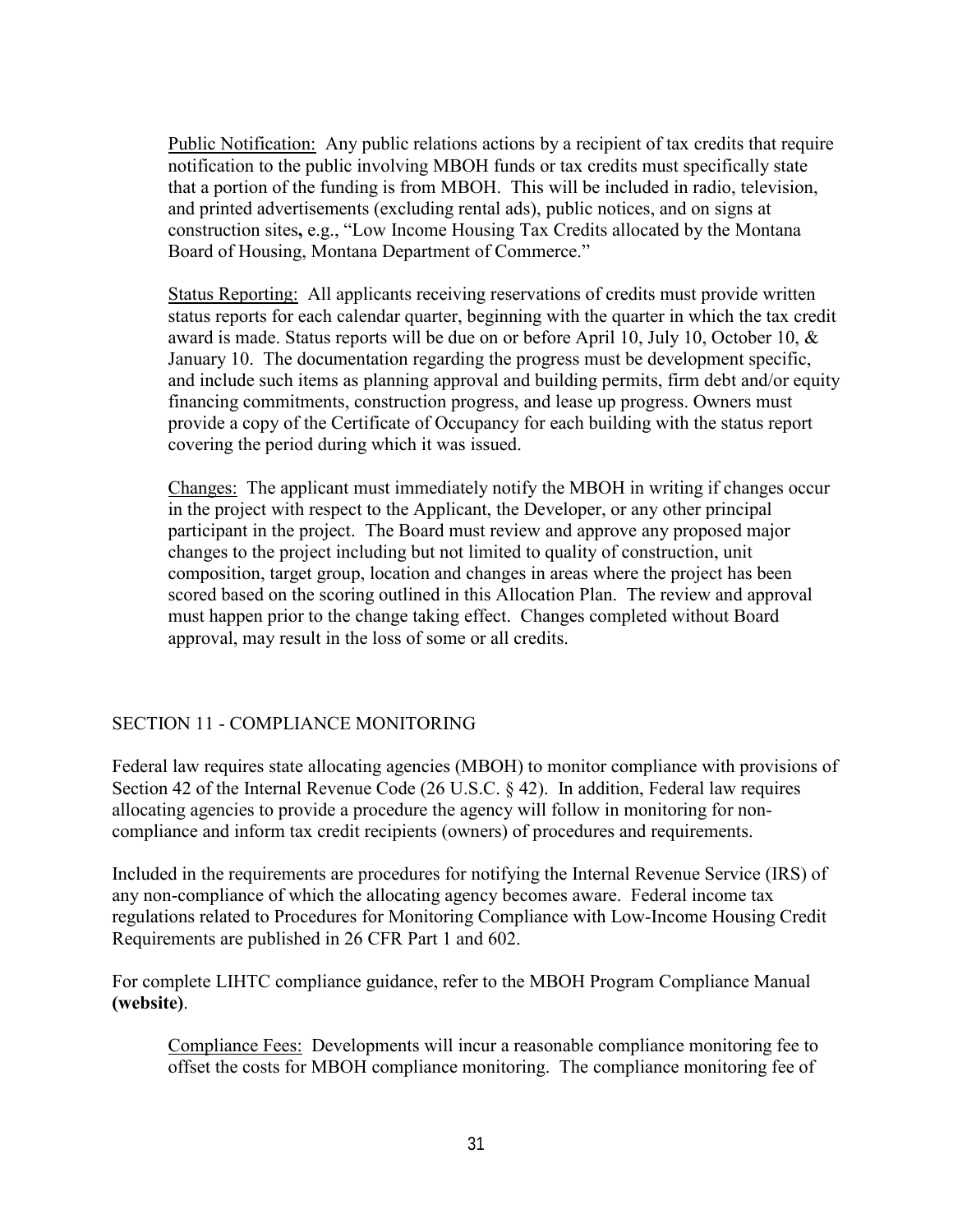<span id="page-32-0"></span>Public Notification: Any public relations actions by a recipient of tax credits that require notification to the public involving MBOH funds or tax credits must specifically state that a portion of the funding is from MBOH. This will be included in radio, television, and printed advertisements (excluding rental ads), public notices, and on signs at construction sites**,** e.g., "Low Income Housing Tax Credits allocated by the Montana Board of Housing, Montana Department of Commerce."

Status Reporting: All applicants receiving reservations of credits must provide written status reports for each calendar quarter, beginning with the quarter in which the tax credit award is made. Status reports will be due on or before April 10, July 10, October 10, & January 10. The documentation regarding the progress must be development specific, and include such items as planning approval and building permits, firm debt and/or equity financing commitments, construction progress, and lease up progress. Owners must provide a copy of the Certificate of Occupancy for each building with the status report covering the period during which it was issued.

Changes: The applicant must immediately notify the MBOH in writing if changes occur in the project with respect to the Applicant, the Developer, or any other principal participant in the project. The Board must review and approve any proposed major changes to the project including but not limited to quality of construction, unit composition, target group, location and changes in areas where the project has been scored based on the scoring outlined in this Allocation Plan. The review and approval must happen prior to the change taking effect. Changes completed without Board approval, may result in the loss of some or all credits.

## SECTION 11 - COMPLIANCE MONITORING

Federal law requires state allocating agencies (MBOH) to monitor compliance with provisions of Section 42 of the Internal Revenue Code (26 U.S.C. § 42). In addition, Federal law requires allocating agencies to provide a procedure the agency will follow in monitoring for noncompliance and inform tax credit recipients (owners) of procedures and requirements.

Included in the requirements are procedures for notifying the Internal Revenue Service (IRS) of any non-compliance of which the allocating agency becomes aware. Federal income tax regulations related to Procedures for Monitoring Compliance with Low-Income Housing Credit Requirements are published in 26 CFR Part 1 and 602.

For complete LIHTC compliance guidance, refer to the MBOH Program Compliance Manual **(website)**.

Compliance Fees: Developments will incur a reasonable compliance monitoring fee to offset the costs for MBOH compliance monitoring. The compliance monitoring fee of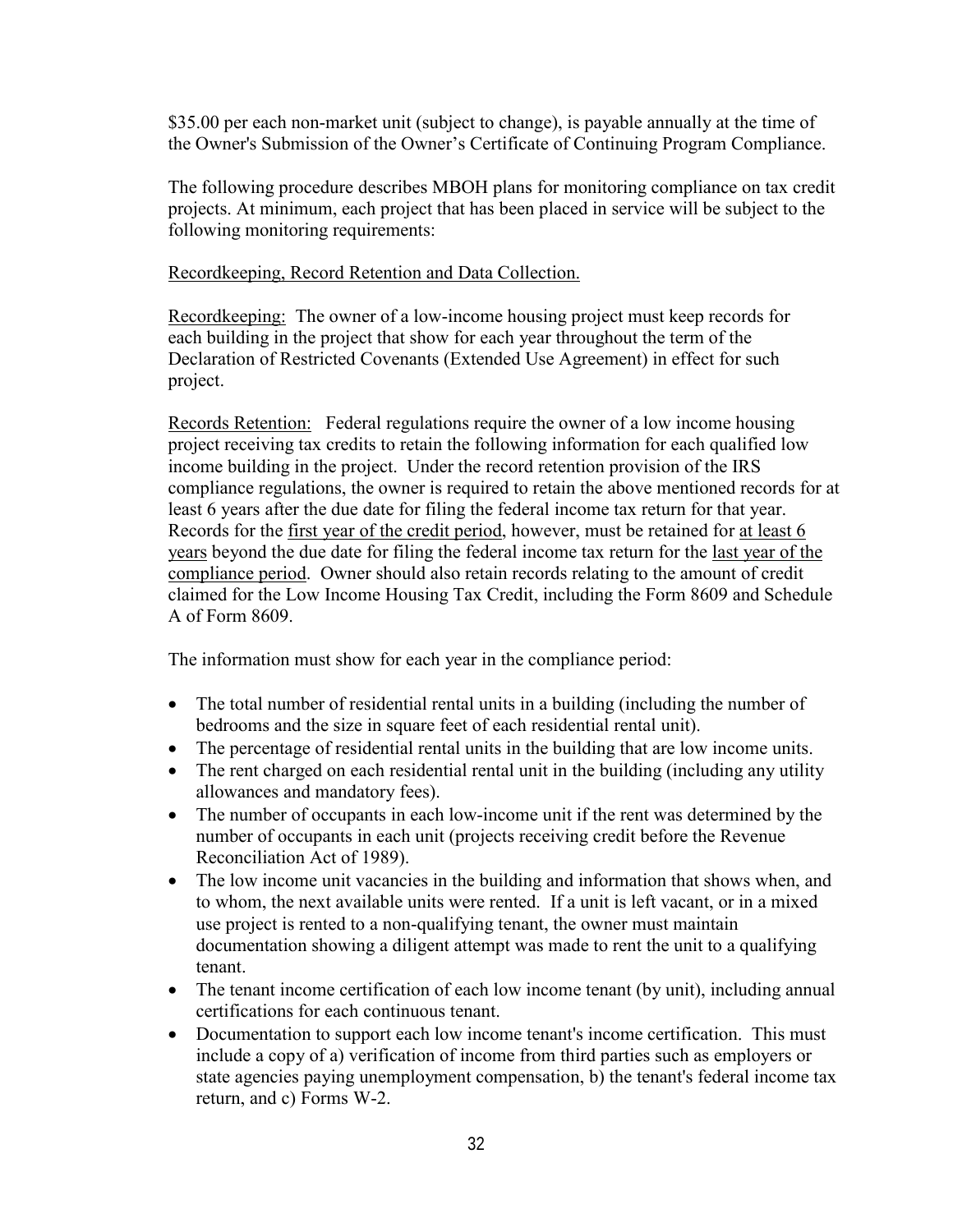\$35.00 per each non-market unit (subject to change), is payable annually at the time of the Owner's Submission of the Owner's Certificate of Continuing Program Compliance.

The following procedure describes MBOH plans for monitoring compliance on tax credit projects. At minimum, each project that has been placed in service will be subject to the following monitoring requirements:

Recordkeeping, Record Retention and Data Collection.

Recordkeeping: The owner of a low-income housing project must keep records for each building in the project that show for each year throughout the term of the Declaration of Restricted Covenants (Extended Use Agreement) in effect for such project.

Records Retention: Federal regulations require the owner of a low income housing project receiving tax credits to retain the following information for each qualified low income building in the project. Under the record retention provision of the IRS compliance regulations, the owner is required to retain the above mentioned records for at least 6 years after the due date for filing the federal income tax return for that year. Records for the first year of the credit period, however, must be retained for at least 6 years beyond the due date for filing the federal income tax return for the last year of the compliance period. Owner should also retain records relating to the amount of credit claimed for the Low Income Housing Tax Credit, including the Form 8609 and Schedule A of Form 8609.

The information must show for each year in the compliance period:

- The total number of residential rental units in a building (including the number of bedrooms and the size in square feet of each residential rental unit).
- The percentage of residential rental units in the building that are low income units.
- The rent charged on each residential rental unit in the building (including any utility allowances and mandatory fees).
- The number of occupants in each low-income unit if the rent was determined by the number of occupants in each unit (projects receiving credit before the Revenue Reconciliation Act of 1989).
- The low income unit vacancies in the building and information that shows when, and to whom, the next available units were rented. If a unit is left vacant, or in a mixed use project is rented to a non-qualifying tenant, the owner must maintain documentation showing a diligent attempt was made to rent the unit to a qualifying tenant.
- The tenant income certification of each low income tenant (by unit), including annual certifications for each continuous tenant.
- Documentation to support each low income tenant's income certification. This must include a copy of a) verification of income from third parties such as employers or state agencies paying unemployment compensation, b) the tenant's federal income tax return, and c) Forms W-2.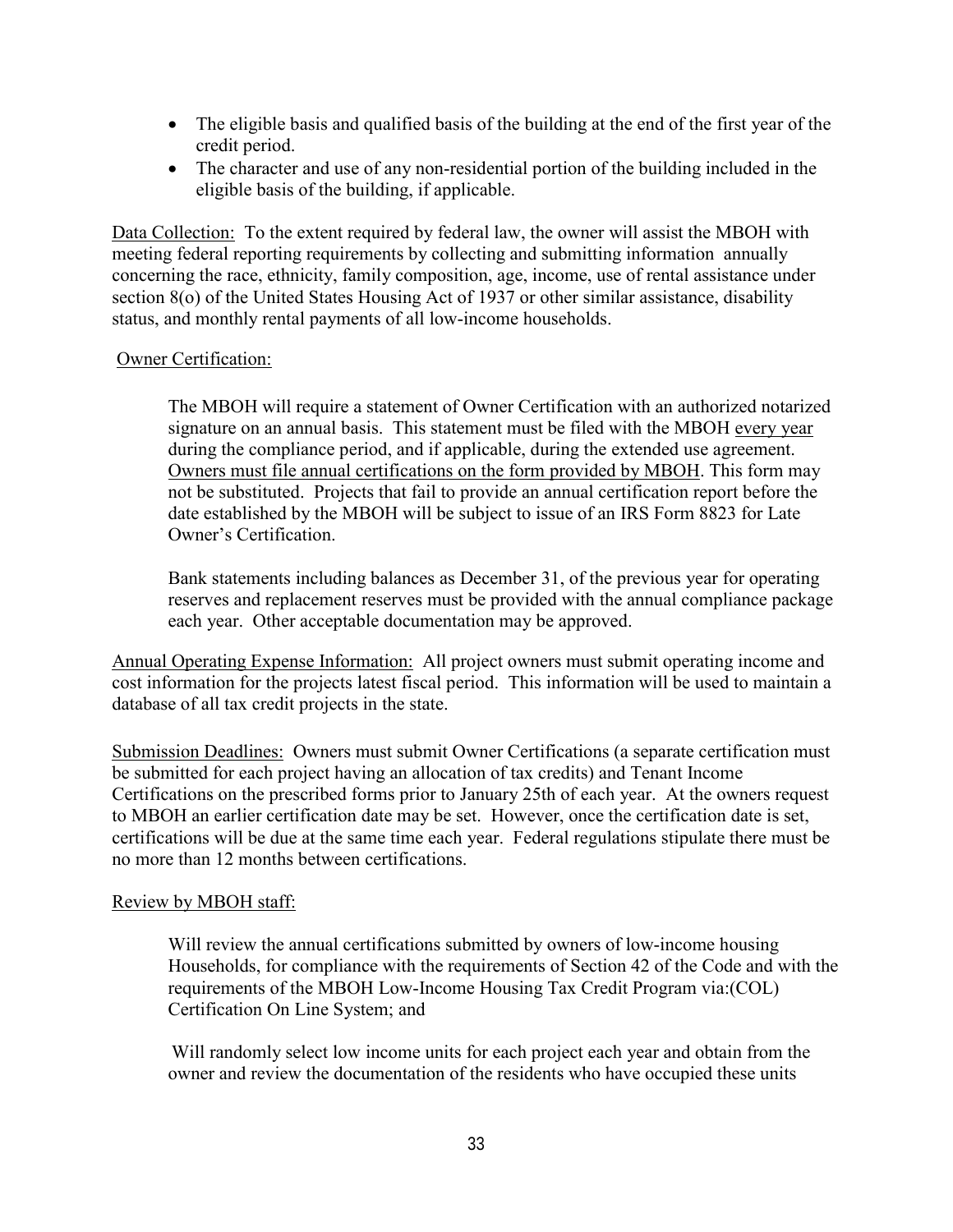- The eligible basis and qualified basis of the building at the end of the first year of the credit period.
- The character and use of any non-residential portion of the building included in the eligible basis of the building, if applicable.

Data Collection: To the extent required by federal law, the owner will assist the MBOH with meeting federal reporting requirements by collecting and submitting information annually concerning the race, ethnicity, family composition, age, income, use of rental assistance under section 8(o) of the United States Housing Act of 1937 or other similar assistance, disability status, and monthly rental payments of all low-income households.

### Owner Certification:

The MBOH will require a statement of Owner Certification with an authorized notarized signature on an annual basis. This statement must be filed with the MBOH every year during the compliance period, and if applicable, during the extended use agreement. Owners must file annual certifications on the form provided by MBOH. This form may not be substituted. Projects that fail to provide an annual certification report before the date established by the MBOH will be subject to issue of an IRS Form 8823 for Late Owner's Certification.

Bank statements including balances as December 31, of the previous year for operating reserves and replacement reserves must be provided with the annual compliance package each year. Other acceptable documentation may be approved.

Annual Operating Expense Information: All project owners must submit operating income and cost information for the projects latest fiscal period. This information will be used to maintain a database of all tax credit projects in the state.

Submission Deadlines: Owners must submit Owner Certifications (a separate certification must be submitted for each project having an allocation of tax credits) and Tenant Income Certifications on the prescribed forms prior to January 25th of each year. At the owners request to MBOH an earlier certification date may be set. However, once the certification date is set, certifications will be due at the same time each year. Federal regulations stipulate there must be no more than 12 months between certifications.

### Review by MBOH staff:

Will review the annual certifications submitted by owners of low-income housing Households, for compliance with the requirements of Section 42 of the Code and with the requirements of the MBOH Low-Income Housing Tax Credit Program via:(COL) Certification On Line System; and

Will randomly select low income units for each project each year and obtain from the owner and review the documentation of the residents who have occupied these units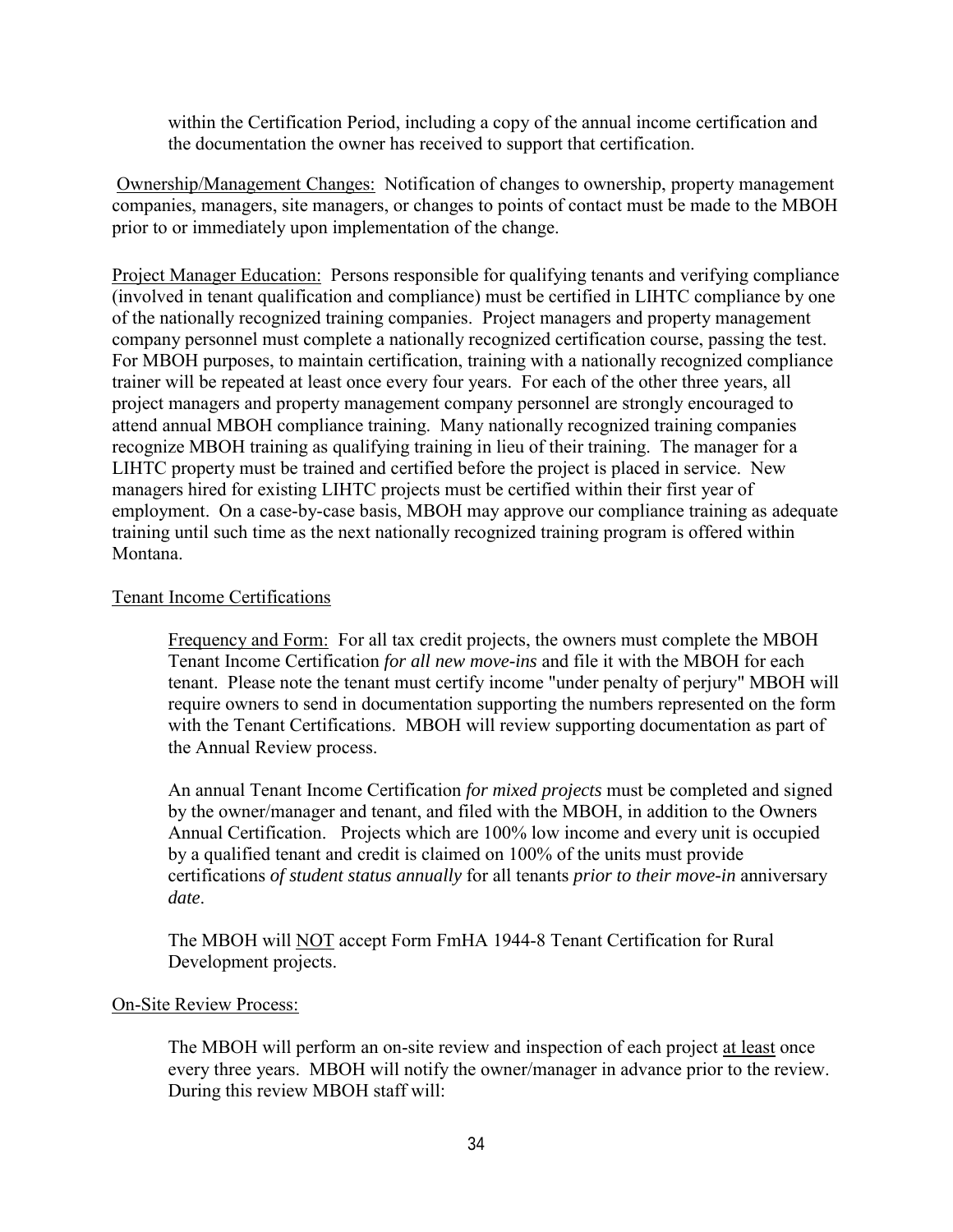within the Certification Period, including a copy of the annual income certification and the documentation the owner has received to support that certification.

 Ownership/Management Changes: Notification of changes to ownership, property management companies, managers, site managers, or changes to points of contact must be made to the MBOH prior to or immediately upon implementation of the change.

Project Manager Education: Persons responsible for qualifying tenants and verifying compliance (involved in tenant qualification and compliance) must be certified in LIHTC compliance by one of the nationally recognized training companies. Project managers and property management company personnel must complete a nationally recognized certification course, passing the test. For MBOH purposes, to maintain certification, training with a nationally recognized compliance trainer will be repeated at least once every four years. For each of the other three years, all project managers and property management company personnel are strongly encouraged to attend annual MBOH compliance training. Many nationally recognized training companies recognize MBOH training as qualifying training in lieu of their training. The manager for a LIHTC property must be trained and certified before the project is placed in service. New managers hired for existing LIHTC projects must be certified within their first year of employment. On a case-by-case basis, MBOH may approve our compliance training as adequate training until such time as the next nationally recognized training program is offered within Montana.

### Tenant Income Certifications

Frequency and Form: For all tax credit projects, the owners must complete the MBOH Tenant Income Certification *for all new move-ins* and file it with the MBOH for each tenant. Please note the tenant must certify income "under penalty of perjury" MBOH will require owners to send in documentation supporting the numbers represented on the form with the Tenant Certifications. MBOH will review supporting documentation as part of the Annual Review process.

An annual Tenant Income Certification *for mixed projects* must be completed and signed by the owner/manager and tenant, and filed with the MBOH, in addition to the Owners Annual Certification. Projects which are 100% low income and every unit is occupied by a qualified tenant and credit is claimed on 100% of the units must provide certifications *of student status annually* for all tenants *prior to their move-in* anniversary *date*.

The MBOH will NOT accept Form FmHA 1944-8 Tenant Certification for Rural Development projects.

### On-Site Review Process:

The MBOH will perform an on-site review and inspection of each project at least once every three years. MBOH will notify the owner/manager in advance prior to the review. During this review MBOH staff will: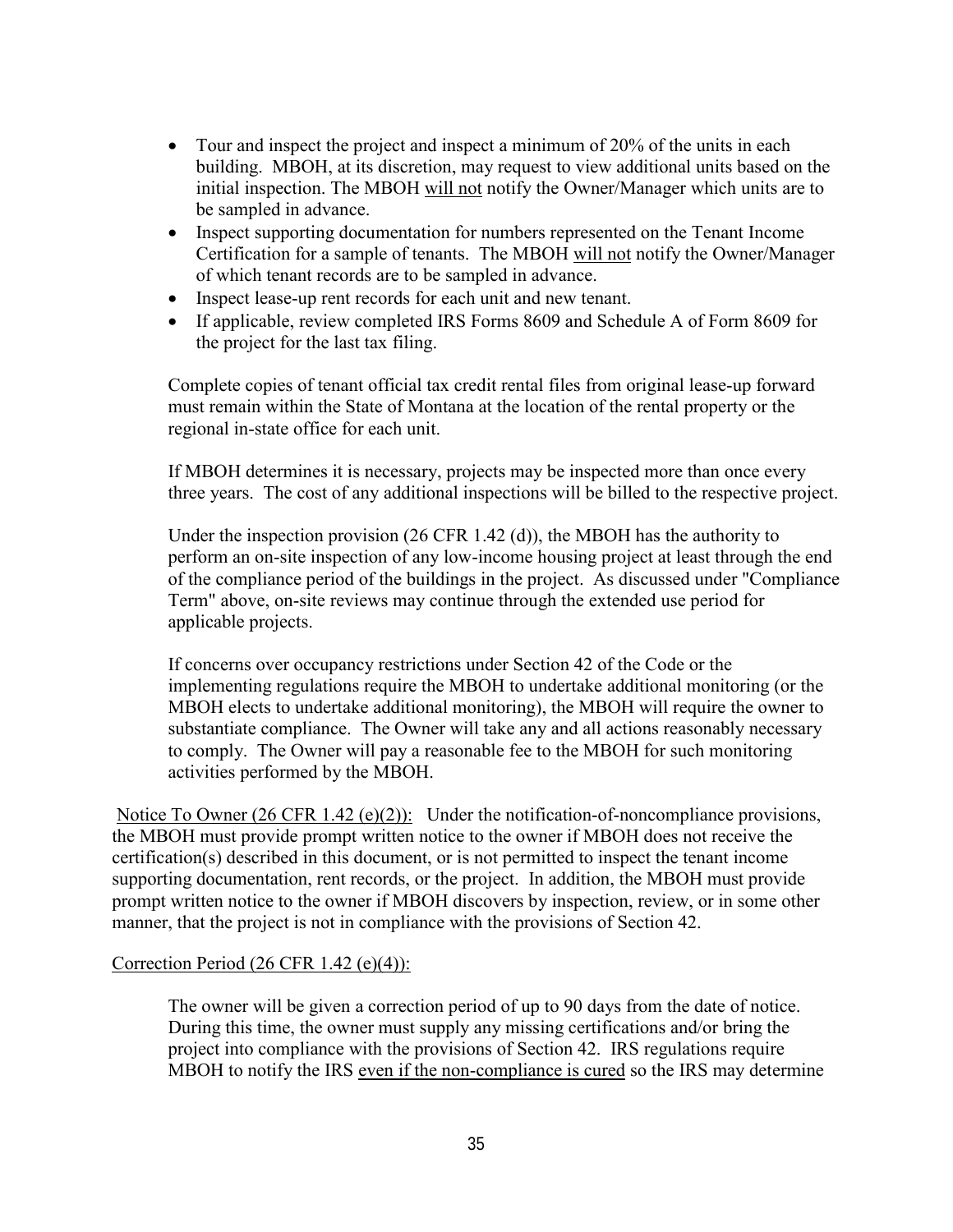- Tour and inspect the project and inspect a minimum of 20% of the units in each building. MBOH, at its discretion, may request to view additional units based on the initial inspection. The MBOH will not notify the Owner/Manager which units are to be sampled in advance.
- Inspect supporting documentation for numbers represented on the Tenant Income Certification for a sample of tenants. The MBOH will not notify the Owner/Manager of which tenant records are to be sampled in advance.
- Inspect lease-up rent records for each unit and new tenant.
- If applicable, review completed IRS Forms 8609 and Schedule A of Form 8609 for the project for the last tax filing.

Complete copies of tenant official tax credit rental files from original lease-up forward must remain within the State of Montana at the location of the rental property or the regional in-state office for each unit.

If MBOH determines it is necessary, projects may be inspected more than once every three years. The cost of any additional inspections will be billed to the respective project.

Under the inspection provision (26 CFR 1.42 (d)), the MBOH has the authority to perform an on-site inspection of any low-income housing project at least through the end of the compliance period of the buildings in the project. As discussed under "Compliance Term" above, on-site reviews may continue through the extended use period for applicable projects.

If concerns over occupancy restrictions under Section 42 of the Code or the implementing regulations require the MBOH to undertake additional monitoring (or the MBOH elects to undertake additional monitoring), the MBOH will require the owner to substantiate compliance. The Owner will take any and all actions reasonably necessary to comply. The Owner will pay a reasonable fee to the MBOH for such monitoring activities performed by the MBOH.

Notice To Owner (26 CFR 1.42 (e)(2)): Under the notification-of-noncompliance provisions, the MBOH must provide prompt written notice to the owner if MBOH does not receive the certification(s) described in this document, or is not permitted to inspect the tenant income supporting documentation, rent records, or the project. In addition, the MBOH must provide prompt written notice to the owner if MBOH discovers by inspection, review, or in some other manner, that the project is not in compliance with the provisions of Section 42.

## Correction Period (26 CFR 1.42 (e)(4)):

The owner will be given a correction period of up to 90 days from the date of notice. During this time, the owner must supply any missing certifications and/or bring the project into compliance with the provisions of Section 42. IRS regulations require MBOH to notify the IRS even if the non-compliance is cured so the IRS may determine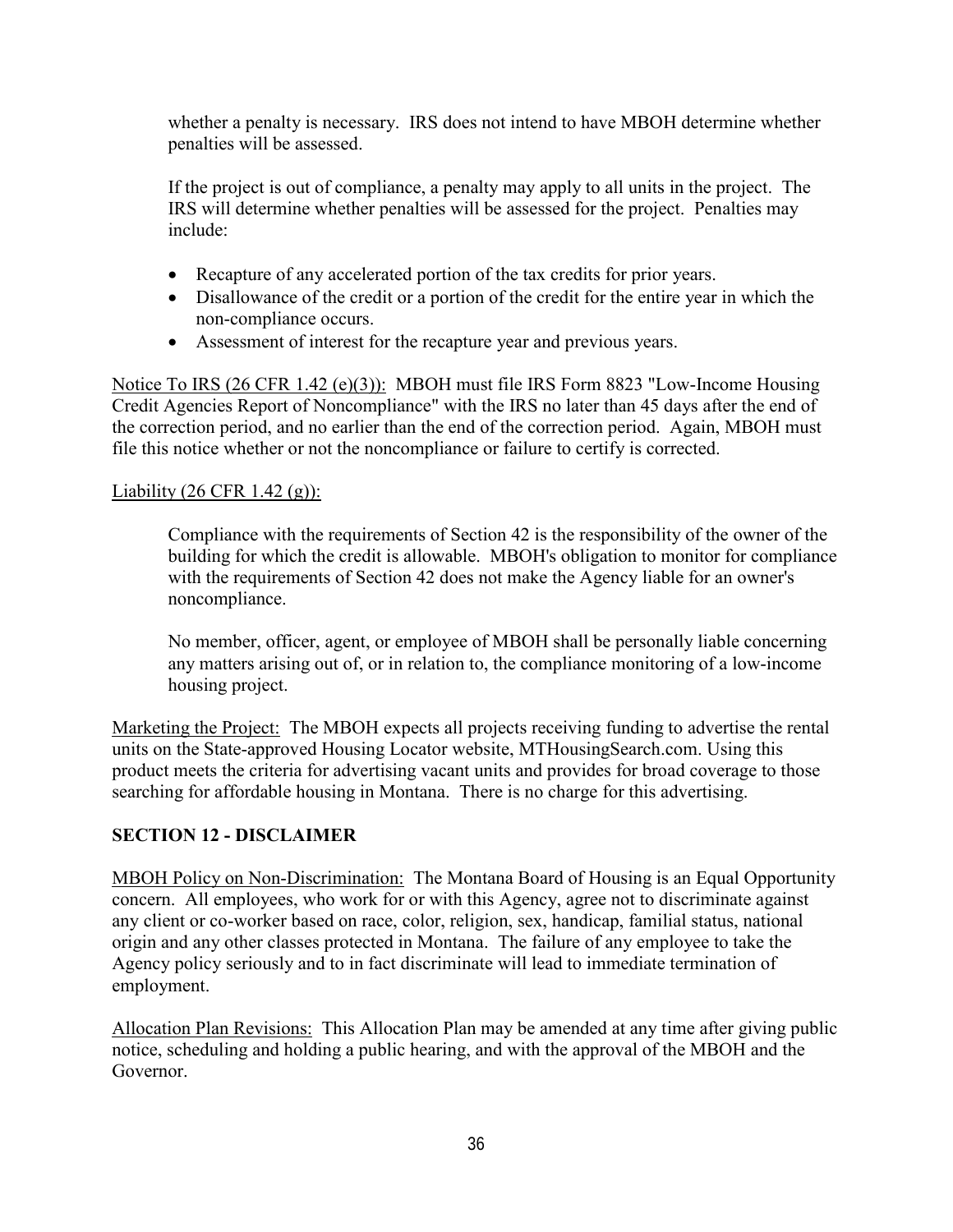<span id="page-37-0"></span>whether a penalty is necessary. IRS does not intend to have MBOH determine whether penalties will be assessed.

If the project is out of compliance, a penalty may apply to all units in the project. The IRS will determine whether penalties will be assessed for the project. Penalties may include:

- Recapture of any accelerated portion of the tax credits for prior years.
- Disallowance of the credit or a portion of the credit for the entire year in which the non-compliance occurs.
- Assessment of interest for the recapture year and previous years.

Notice To IRS (26 CFR 1.42 (e)(3)): MBOH must file IRS Form 8823 "Low-Income Housing Credit Agencies Report of Noncompliance" with the IRS no later than 45 days after the end of the correction period, and no earlier than the end of the correction period. Again, MBOH must file this notice whether or not the noncompliance or failure to certify is corrected.

## Liability  $(26 \text{ CFR } 1.42 \text{ (g)})$ :

Compliance with the requirements of Section 42 is the responsibility of the owner of the building for which the credit is allowable. MBOH's obligation to monitor for compliance with the requirements of Section 42 does not make the Agency liable for an owner's noncompliance.

No member, officer, agent, or employee of MBOH shall be personally liable concerning any matters arising out of, or in relation to, the compliance monitoring of a low-income housing project.

Marketing the Project: The MBOH expects all projects receiving funding to advertise the rental units on the State-approved Housing Locator website, MTHousingSearch.com. Using this product meets the criteria for advertising vacant units and provides for broad coverage to those searching for affordable housing in Montana. There is no charge for this advertising.

## **SECTION 12 - DISCLAIMER**

MBOH Policy on Non-Discrimination: The Montana Board of Housing is an Equal Opportunity concern. All employees, who work for or with this Agency, agree not to discriminate against any client or co-worker based on race, color, religion, sex, handicap, familial status, national origin and any other classes protected in Montana. The failure of any employee to take the Agency policy seriously and to in fact discriminate will lead to immediate termination of employment.

Allocation Plan Revisions:This Allocation Plan may be amended at any time after giving public notice, scheduling and holding a public hearing, and with the approval of the MBOH and the Governor.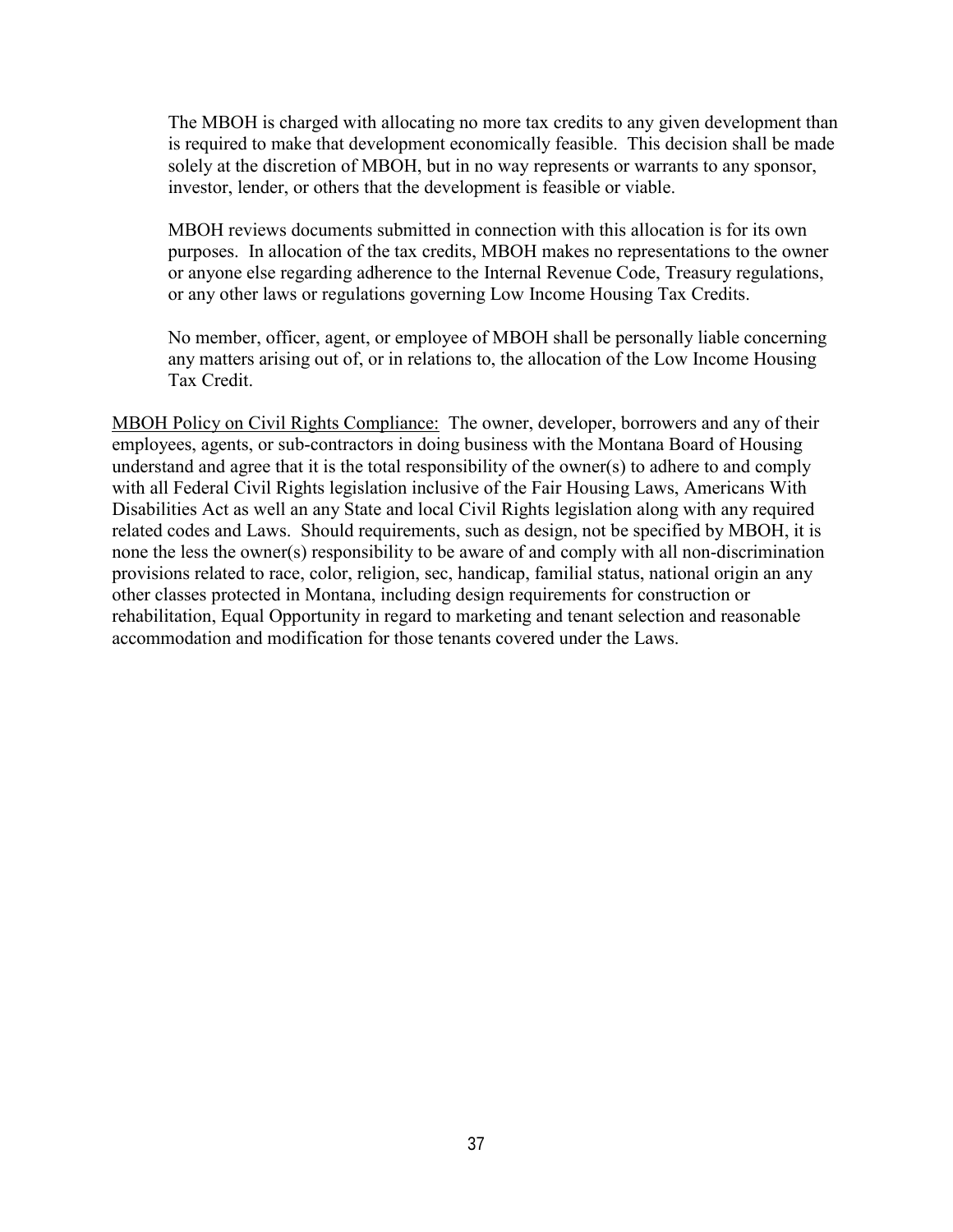The MBOH is charged with allocating no more tax credits to any given development than is required to make that development economically feasible. This decision shall be made solely at the discretion of MBOH, but in no way represents or warrants to any sponsor, investor, lender, or others that the development is feasible or viable.

MBOH reviews documents submitted in connection with this allocation is for its own purposes. In allocation of the tax credits, MBOH makes no representations to the owner or anyone else regarding adherence to the Internal Revenue Code, Treasury regulations, or any other laws or regulations governing Low Income Housing Tax Credits.

No member, officer, agent, or employee of MBOH shall be personally liable concerning any matters arising out of, or in relations to, the allocation of the Low Income Housing Tax Credit.

MBOH Policy on Civil Rights Compliance: The owner, developer, borrowers and any of their employees, agents, or sub-contractors in doing business with the Montana Board of Housing understand and agree that it is the total responsibility of the owner(s) to adhere to and comply with all Federal Civil Rights legislation inclusive of the Fair Housing Laws, Americans With Disabilities Act as well an any State and local Civil Rights legislation along with any required related codes and Laws. Should requirements, such as design, not be specified by MBOH, it is none the less the owner(s) responsibility to be aware of and comply with all non-discrimination provisions related to race, color, religion, sec, handicap, familial status, national origin an any other classes protected in Montana, including design requirements for construction or rehabilitation, Equal Opportunity in regard to marketing and tenant selection and reasonable accommodation and modification for those tenants covered under the Laws.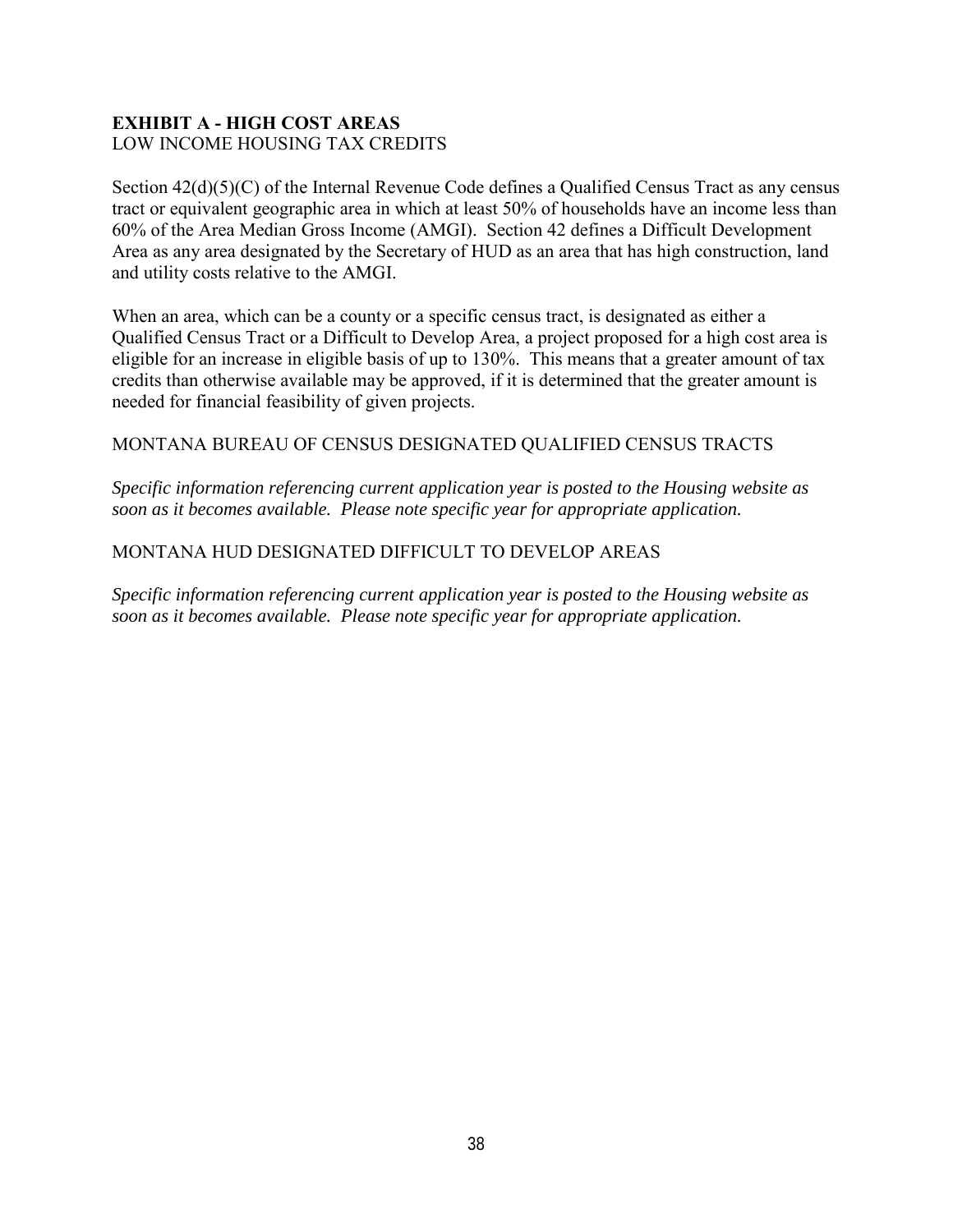## <span id="page-39-0"></span>**EXHIBIT A - HIGH COST AREAS**  LOW INCOME HOUSING TAX CREDITS

Section  $42(d)(5)(C)$  of the Internal Revenue Code defines a Qualified Census Tract as any census tract or equivalent geographic area in which at least 50% of households have an income less than 60% of the Area Median Gross Income (AMGI). Section 42 defines a Difficult Development Area as any area designated by the Secretary of HUD as an area that has high construction, land and utility costs relative to the AMGI.

When an area, which can be a county or a specific census tract, is designated as either a Qualified Census Tract or a Difficult to Develop Area, a project proposed for a high cost area is eligible for an increase in eligible basis of up to 130%. This means that a greater amount of tax credits than otherwise available may be approved, if it is determined that the greater amount is needed for financial feasibility of given projects.

## MONTANA BUREAU OF CENSUS DESIGNATED QUALIFIED CENSUS TRACTS

*Specific information referencing current application year is posted to the Housing website as soon as it becomes available. Please note specific year for appropriate application.* 

## MONTANA HUD DESIGNATED DIFFICULT TO DEVELOP AREAS

*Specific information referencing current application year is posted to the Housing website as soon as it becomes available. Please note specific year for appropriate application.*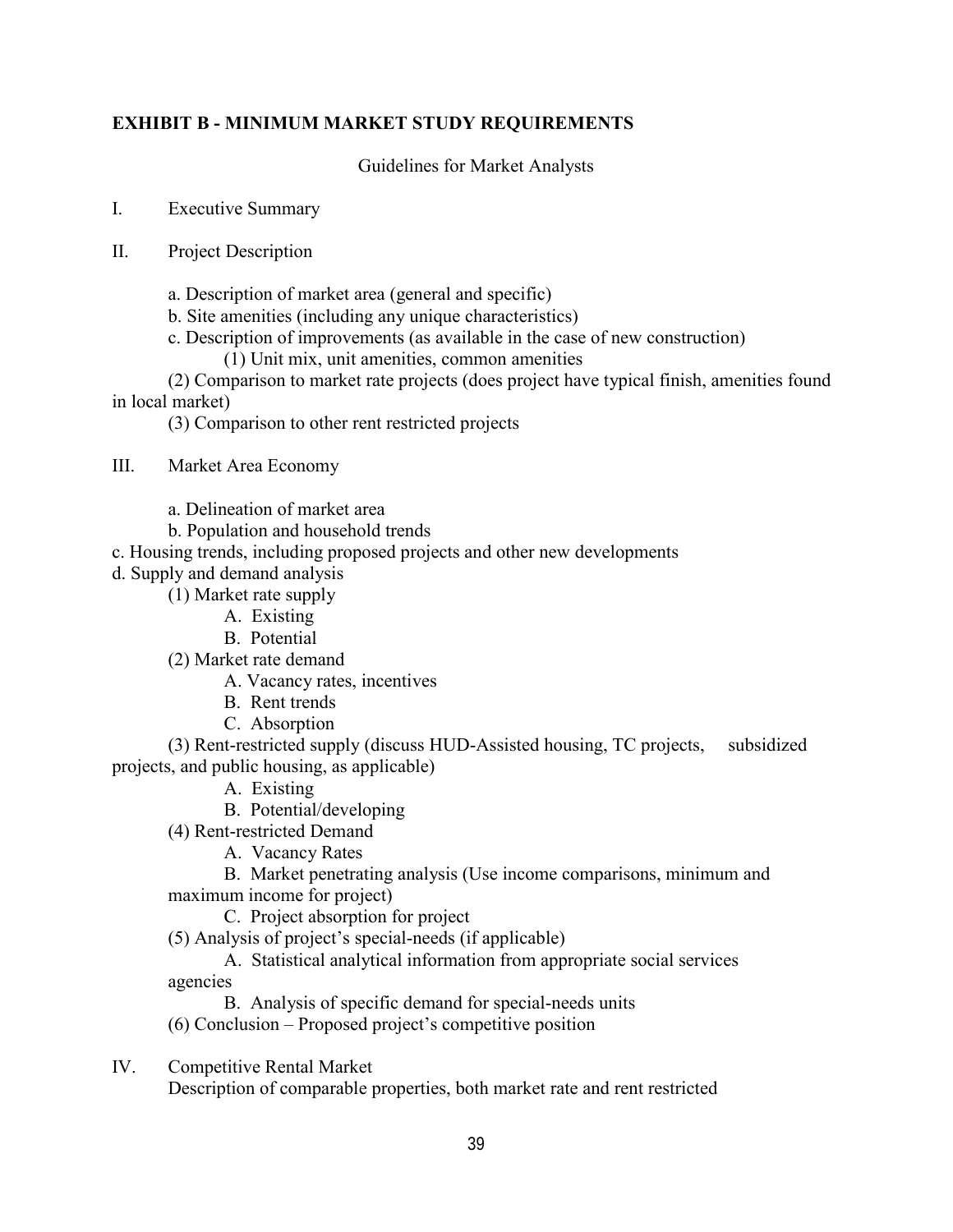## <span id="page-40-0"></span>**EXHIBIT B - MINIMUM MARKET STUDY REQUIREMENTS**

Guidelines for Market Analysts

I. Executive Summary

- II. Project Description
	- a. Description of market area (general and specific)
	- b. Site amenities (including any unique characteristics)
	- c. Description of improvements (as available in the case of new construction)
		- (1) Unit mix, unit amenities, common amenities

(2) Comparison to market rate projects (does project have typical finish, amenities found in local market)

(3) Comparison to other rent restricted projects

III. Market Area Economy

a. Delineation of market area

b. Population and household trends

c. Housing trends, including proposed projects and other new developments

d. Supply and demand analysis

(1) Market rate supply

- A. Existing
- B. Potential

(2) Market rate demand

A. Vacancy rates, incentives

- B. Rent trends
- C. Absorption

(3) Rent-restricted supply (discuss HUD-Assisted housing, TC projects, subsidized projects, and public housing, as applicable)

- A. Existing
- B. Potential/developing
- (4) Rent-restricted Demand
	- A. Vacancy Rates

 B. Market penetrating analysis (Use income comparisons, minimum and maximum income for project)

C. Project absorption for project

(5) Analysis of project's special-needs (if applicable)

 A. Statistical analytical information from appropriate social services agencies

B. Analysis of specific demand for special-needs units

(6) Conclusion – Proposed project's competitive position

IV. Competitive Rental Market

Description of comparable properties, both market rate and rent restricted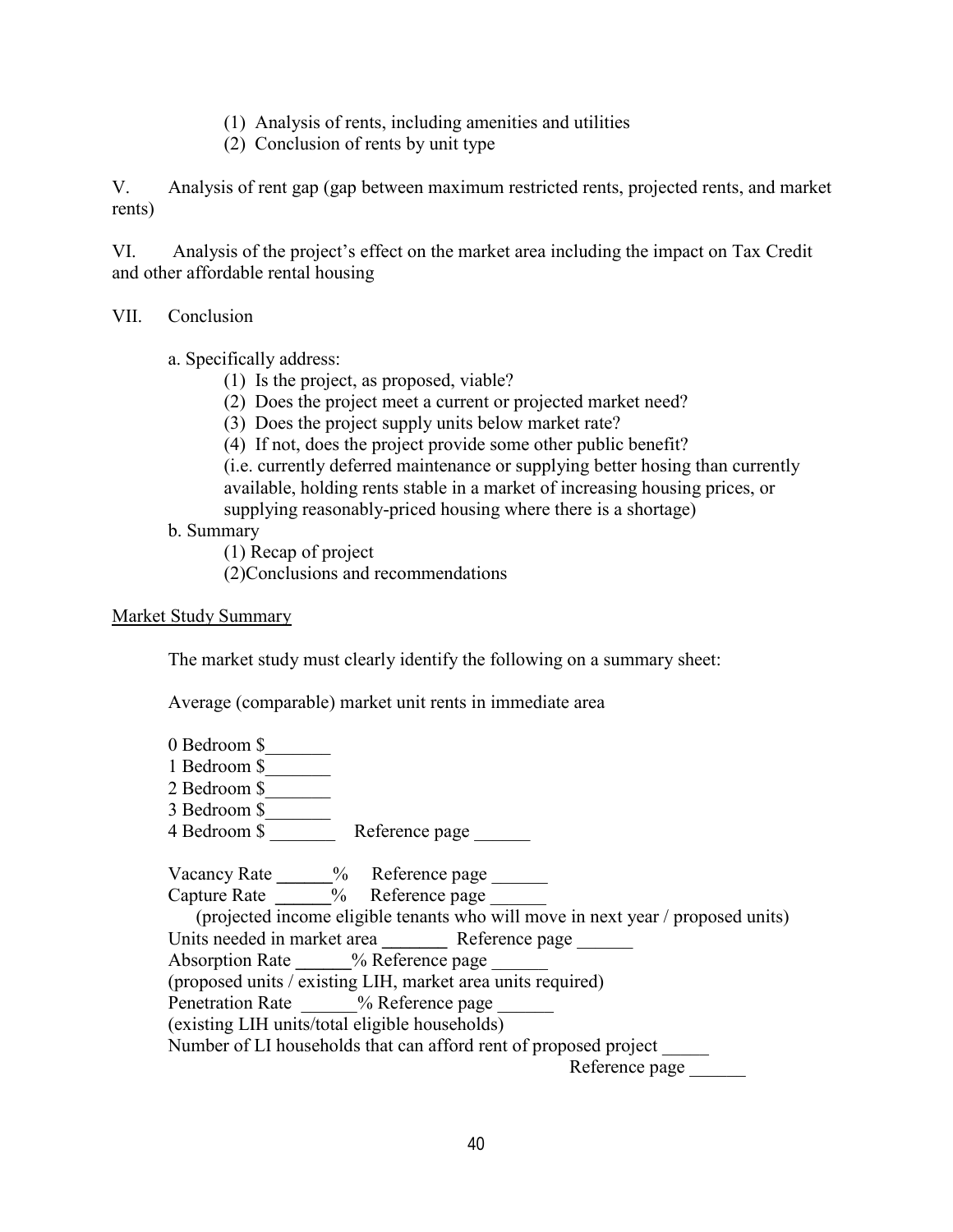- (1) Analysis of rents, including amenities and utilities
- (2) Conclusion of rents by unit type

V. Analysis of rent gap (gap between maximum restricted rents, projected rents, and market rents)

VI. Analysis of the project's effect on the market area including the impact on Tax Credit and other affordable rental housing

### VII. Conclusion

a. Specifically address:

- (1) Is the project, as proposed, viable?
- (2) Does the project meet a current or projected market need?
- (3) Does the project supply units below market rate?
- (4) If not, does the project provide some other public benefit?

(i.e. currently deferred maintenance or supplying better hosing than currently available, holding rents stable in a market of increasing housing prices, or supplying reasonably-priced housing where there is a shortage)

## b. Summary

(1) Recap of project

(2)Conclusions and recommendations

#### Market Study Summary

The market study must clearly identify the following on a summary sheet:

Average (comparable) market unit rents in immediate area

| 0 Bedroom \$                                                                    |
|---------------------------------------------------------------------------------|
| 1 Bedroom \$                                                                    |
| 2 Bedroom \$                                                                    |
| 3 Bedroom \$                                                                    |
| 4 Bedroom \$ Reference page                                                     |
|                                                                                 |
| Vacancy Rate ______% Reference page                                             |
| Capture Rate _________ % Reference page                                         |
| (projected income eligible tenants who will move in next year / proposed units) |
| Units needed in market area Reference page                                      |
| Absorption Rate % Reference page                                                |
| (proposed units / existing LIH, market area units required)                     |
| Penetration Rate % Reference page                                               |
| (existing LIH units/total eligible households)                                  |
| Number of LI households that can afford rent of proposed project                |
| Reference page                                                                  |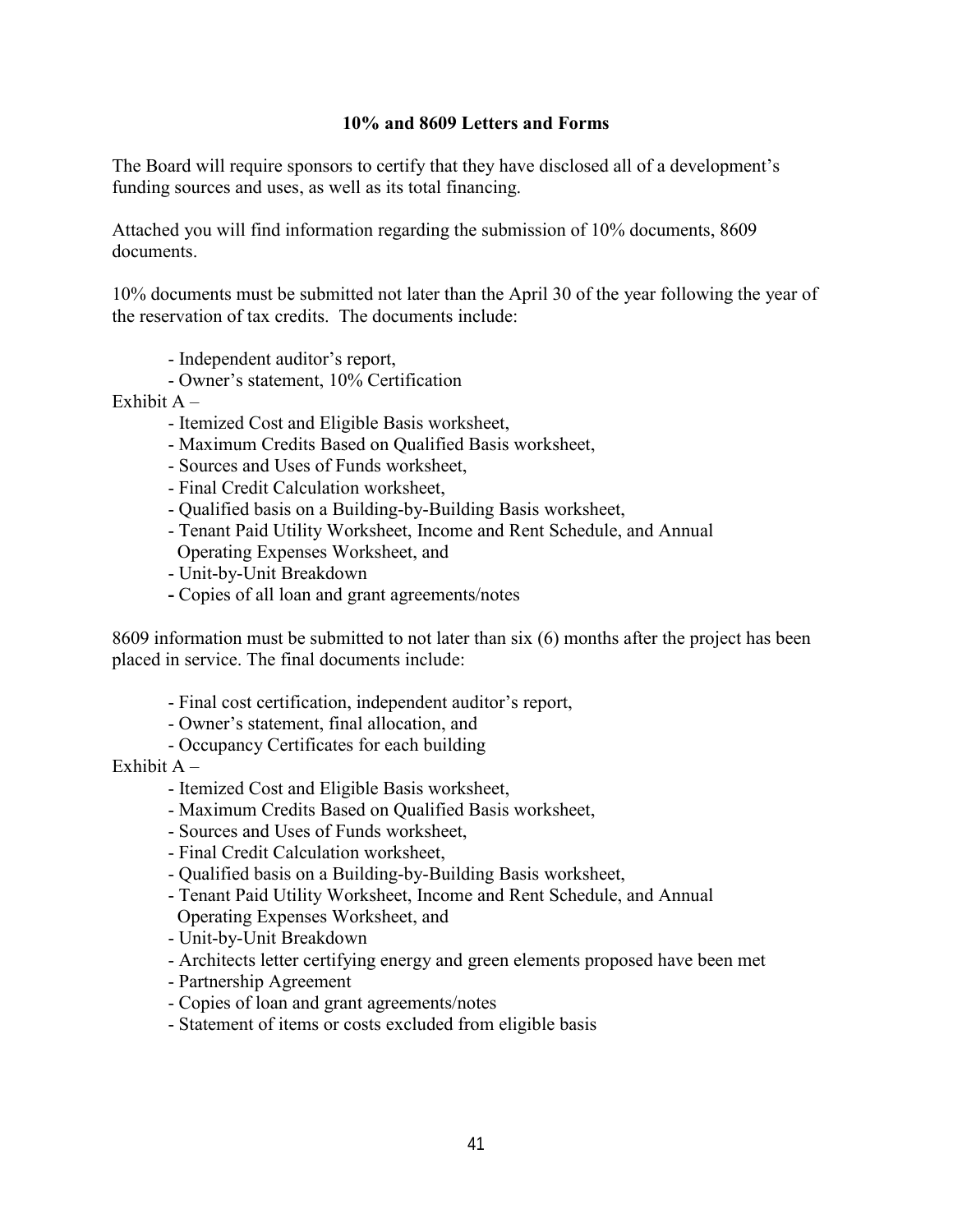### **10% and 8609 Letters and Forms**

<span id="page-42-0"></span>The Board will require sponsors to certify that they have disclosed all of a development's funding sources and uses, as well as its total financing.

Attached you will find information regarding the submission of 10% documents, 8609 documents.

10% documents must be submitted not later than the April 30 of the year following the year of the reservation of tax credits. The documents include:

- Independent auditor's report,
- Owner's statement, 10% Certification
- Exhibit  $A -$ 
	- Itemized Cost and Eligible Basis worksheet,
	- Maximum Credits Based on Qualified Basis worksheet,
	- Sources and Uses of Funds worksheet,
	- Final Credit Calculation worksheet,
	- Qualified basis on a Building-by-Building Basis worksheet,
	- Tenant Paid Utility Worksheet, Income and Rent Schedule, and Annual Operating Expenses Worksheet, and
	- Unit-by-Unit Breakdown
	- Copies of all loan and grant agreements/notes

8609 information must be submitted to not later than six (6) months after the project has been placed in service. The final documents include:

- Final cost certification, independent auditor's report,
- Owner's statement, final allocation, and
- Occupancy Certificates for each building

Exhibit  $A -$ 

- Itemized Cost and Eligible Basis worksheet,
- Maximum Credits Based on Qualified Basis worksheet,
- Sources and Uses of Funds worksheet,
- Final Credit Calculation worksheet,
- Qualified basis on a Building-by-Building Basis worksheet,
- Tenant Paid Utility Worksheet, Income and Rent Schedule, and Annual Operating Expenses Worksheet, and
- Unit-by-Unit Breakdown
- Architects letter certifying energy and green elements proposed have been met
- Partnership Agreement
- Copies of loan and grant agreements/notes
- Statement of items or costs excluded from eligible basis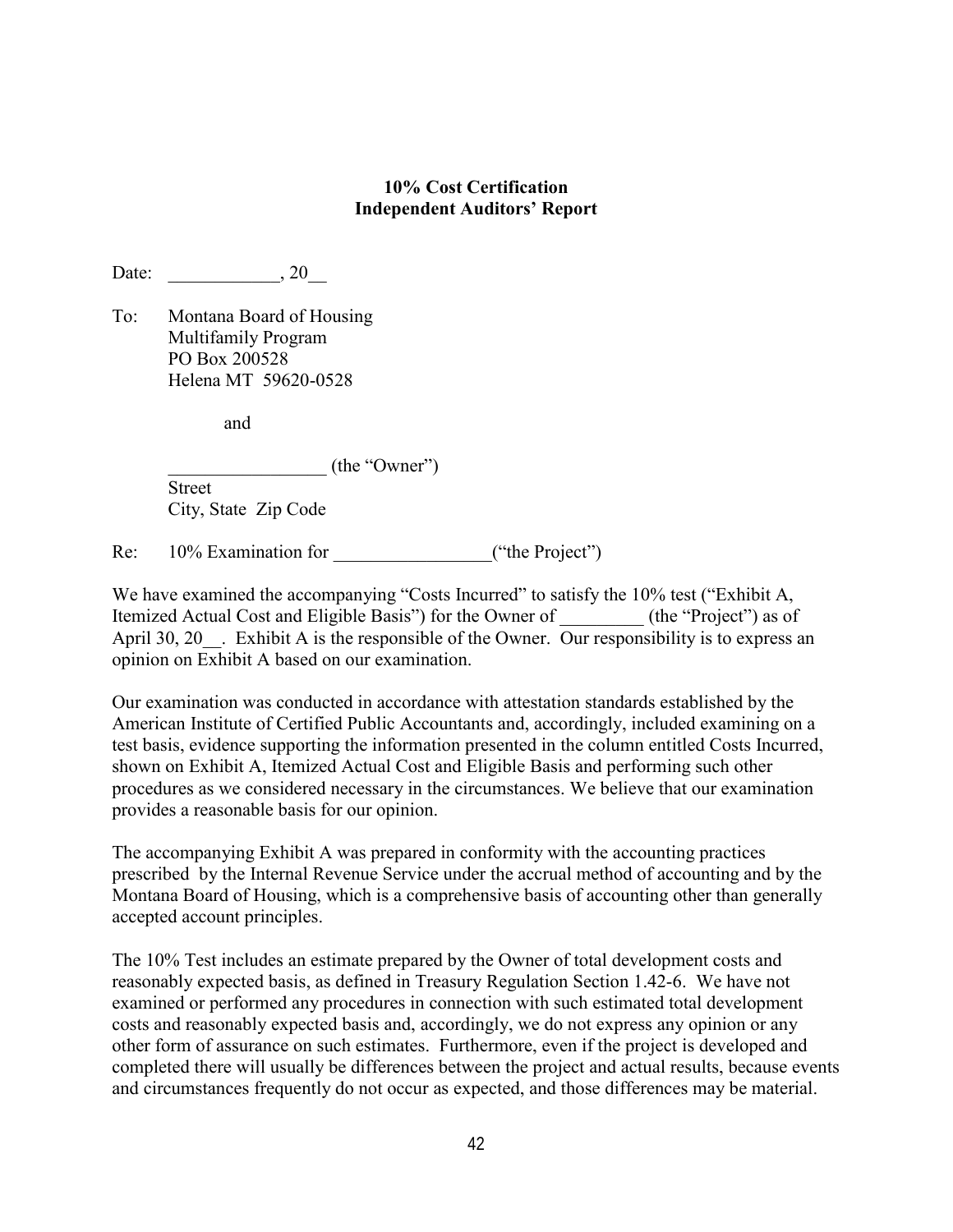### **10% Cost Certification Independent Auditors' Report**

Date:  $20$ 

To: Montana Board of Housing Multifamily Program PO Box 200528 Helena MT 59620-0528

and

\_\_\_\_\_\_\_\_\_\_\_\_\_\_\_\_\_ (the "Owner")

Street City, State Zip Code

Re:  $10\%$  Examination for  $($ "the Project")

We have examined the accompanying "Costs Incurred" to satisfy the 10% test ("Exhibit A, Itemized Actual Cost and Eligible Basis") for the Owner of  $($ the "Project"  $)$  as of April 30, 20 . Exhibit A is the responsible of the Owner. Our responsibility is to express an opinion on Exhibit A based on our examination.

Our examination was conducted in accordance with attestation standards established by the American Institute of Certified Public Accountants and, accordingly, included examining on a test basis, evidence supporting the information presented in the column entitled Costs Incurred, shown on Exhibit A, Itemized Actual Cost and Eligible Basis and performing such other procedures as we considered necessary in the circumstances. We believe that our examination provides a reasonable basis for our opinion.

The accompanying Exhibit A was prepared in conformity with the accounting practices prescribed by the Internal Revenue Service under the accrual method of accounting and by the Montana Board of Housing, which is a comprehensive basis of accounting other than generally accepted account principles.

The 10% Test includes an estimate prepared by the Owner of total development costs and reasonably expected basis, as defined in Treasury Regulation Section 1.42-6. We have not examined or performed any procedures in connection with such estimated total development costs and reasonably expected basis and, accordingly, we do not express any opinion or any other form of assurance on such estimates. Furthermore, even if the project is developed and completed there will usually be differences between the project and actual results, because events and circumstances frequently do not occur as expected, and those differences may be material.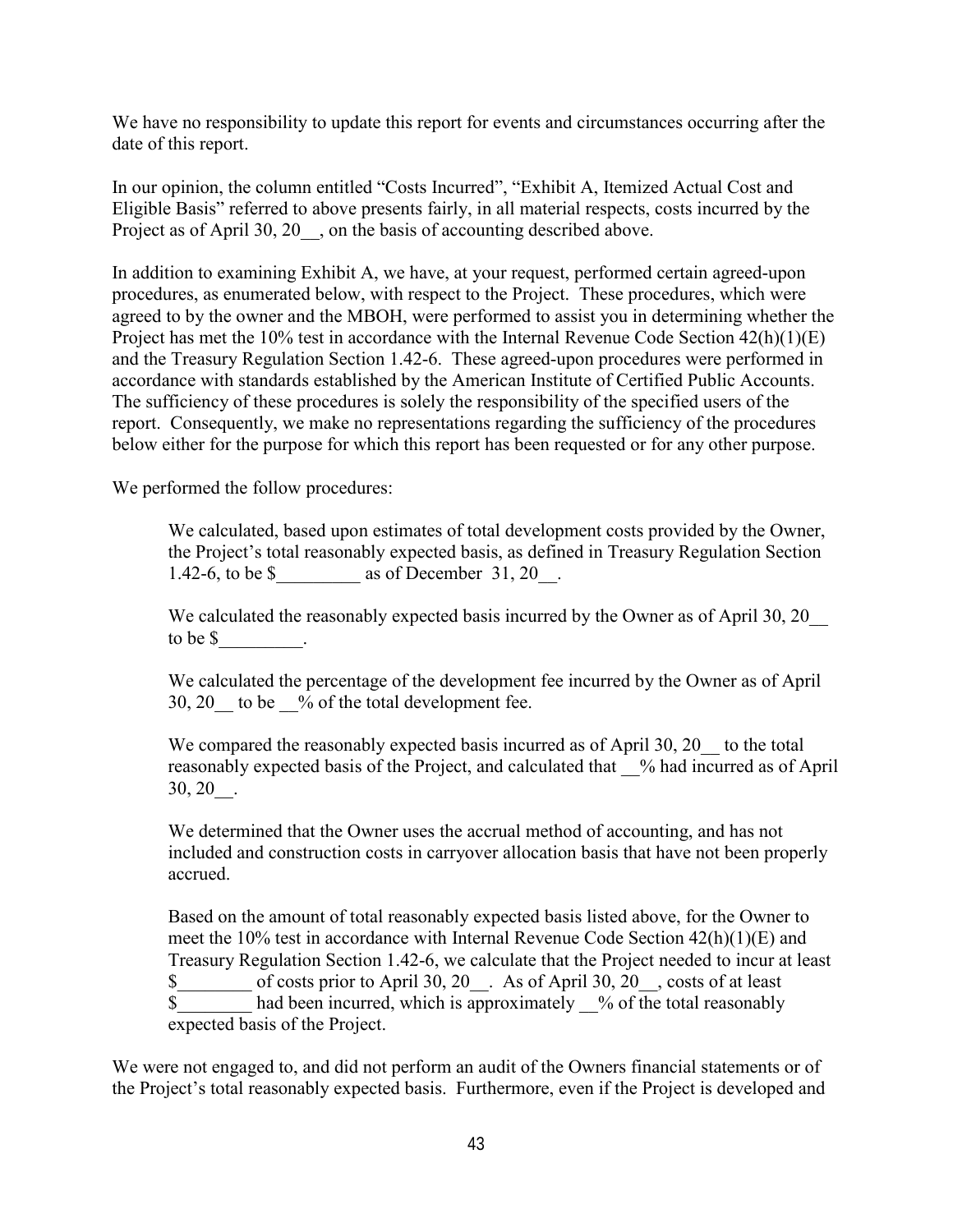We have no responsibility to update this report for events and circumstances occurring after the date of this report.

In our opinion, the column entitled "Costs Incurred", "Exhibit A, Itemized Actual Cost and Eligible Basis" referred to above presents fairly, in all material respects, costs incurred by the Project as of April 30, 20  $\phantom{0}$ , on the basis of accounting described above.

In addition to examining Exhibit A, we have, at your request, performed certain agreed-upon procedures, as enumerated below, with respect to the Project. These procedures, which were agreed to by the owner and the MBOH, were performed to assist you in determining whether the Project has met the 10% test in accordance with the Internal Revenue Code Section 42(h)(1)(E) and the Treasury Regulation Section 1.42-6. These agreed-upon procedures were performed in accordance with standards established by the American Institute of Certified Public Accounts. The sufficiency of these procedures is solely the responsibility of the specified users of the report. Consequently, we make no representations regarding the sufficiency of the procedures below either for the purpose for which this report has been requested or for any other purpose.

We performed the follow procedures:

We calculated, based upon estimates of total development costs provided by the Owner, the Project's total reasonably expected basis, as defined in Treasury Regulation Section 1.42-6, to be  $\text{\$}$  as of December 31, 20.

We calculated the reasonably expected basis incurred by the Owner as of April 30, 20 to be \$\_\_\_\_\_\_\_\_\_.

We calculated the percentage of the development fee incurred by the Owner as of April 30, 20 to be  $\%$  of the total development fee.

We compared the reasonably expected basis incurred as of April 30, 20 to the total reasonably expected basis of the Project, and calculated that \_\_% had incurred as of April 30, 20\_\_.

We determined that the Owner uses the accrual method of accounting, and has not included and construction costs in carryover allocation basis that have not been properly accrued.

Based on the amount of total reasonably expected basis listed above, for the Owner to meet the 10% test in accordance with Internal Revenue Code Section 42(h)(1)(E) and Treasury Regulation Section 1.42-6, we calculate that the Project needed to incur at least  $\overline{\text{S}}$  of costs prior to April 30, 20 . As of April 30, 20 , costs of at least  $\overline{\text{s}}$  had been incurred, which is approximately  $\%$  of the total reasonably expected basis of the Project.

We were not engaged to, and did not perform an audit of the Owners financial statements or of the Project's total reasonably expected basis. Furthermore, even if the Project is developed and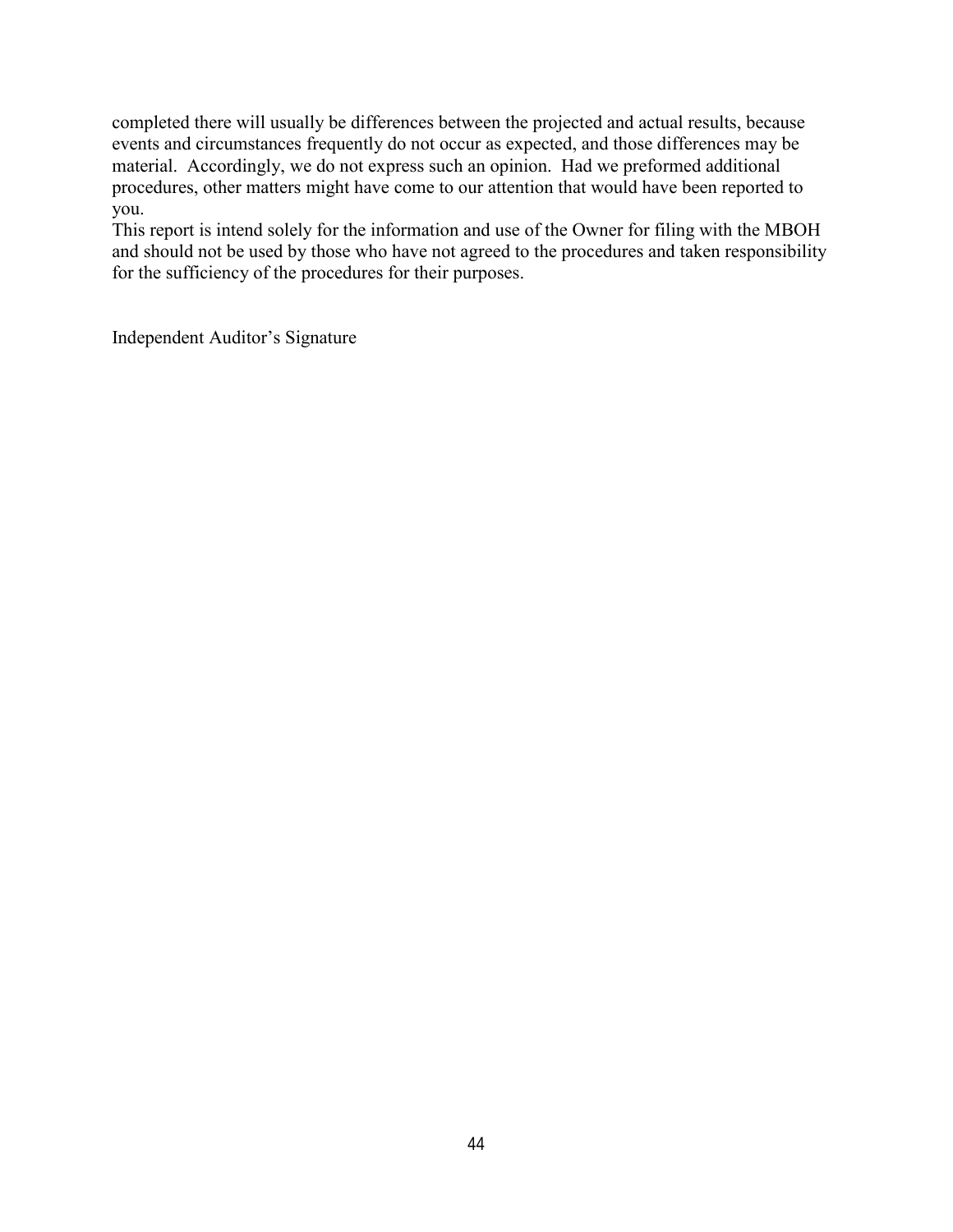completed there will usually be differences between the projected and actual results, because events and circumstances frequently do not occur as expected, and those differences may be material. Accordingly, we do not express such an opinion. Had we preformed additional procedures, other matters might have come to our attention that would have been reported to you.

This report is intend solely for the information and use of the Owner for filing with the MBOH and should not be used by those who have not agreed to the procedures and taken responsibility for the sufficiency of the procedures for their purposes.

Independent Auditor's Signature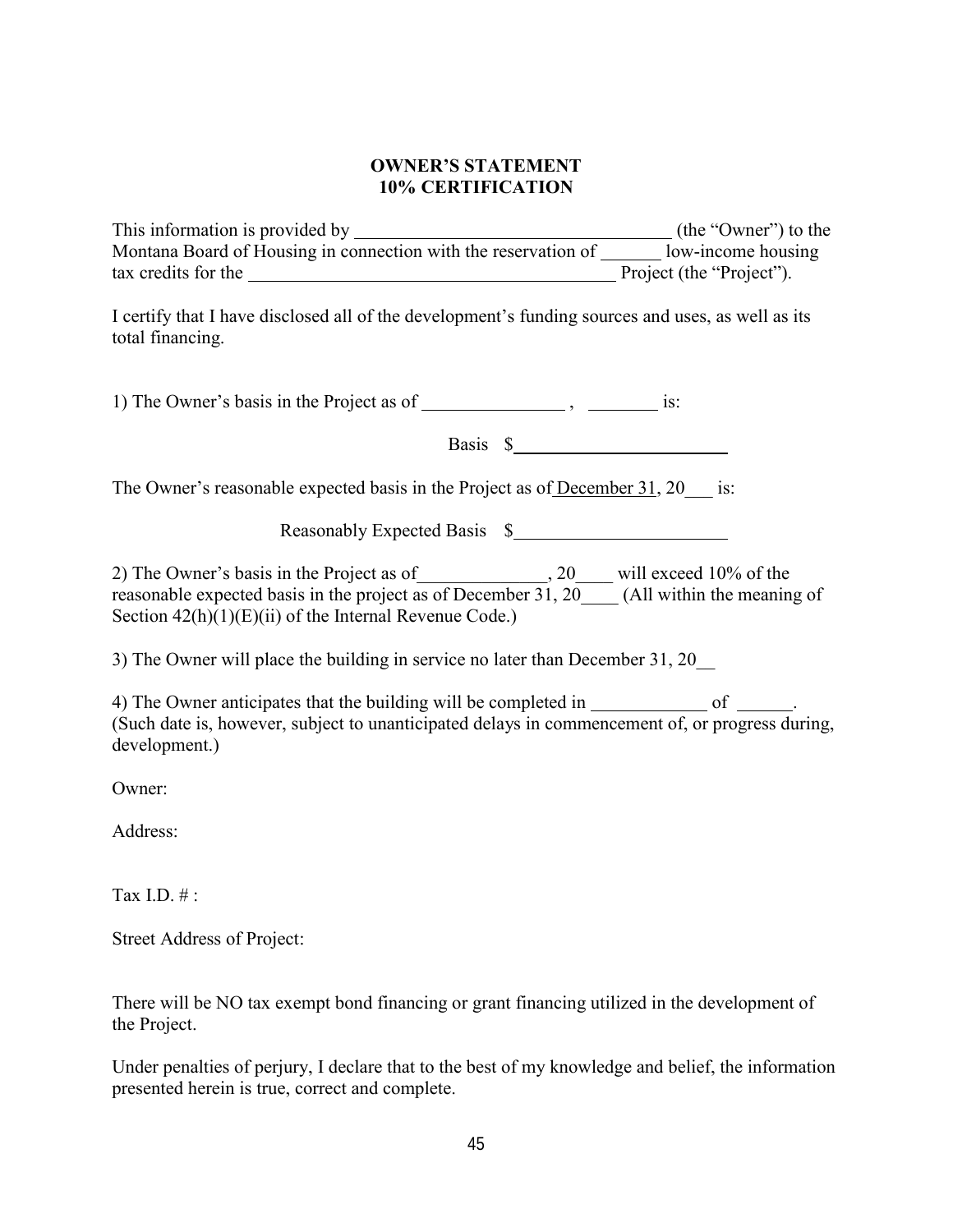### **OWNER'S STATEMENT 10% CERTIFICATION**

This information is provided by (the "Owner") to the Montana Board of Housing in connection with the reservation of  $\frac{1}{\sqrt{2}}$  low-income housing tax credits for the Project (the "Project").

I certify that I have disclosed all of the development's funding sources and uses, as well as its total financing.

1) The Owner's basis in the Project as of  $\frac{1}{\sqrt{1-\frac{1}{n}}}\$ ,  $\frac{1}{\sqrt{1-\frac{1}{n}}}\$  is:

Basis \$

The Owner's reasonable expected basis in the Project as of December 31, 20 \_\_\_ is:

Reasonably Expected Basis \$

2) The Owner's basis in the Project as of \_\_\_\_\_\_\_\_\_\_\_\_\_,  $20$  \_\_\_\_ will exceed 10% of the reasonable expected basis in the project as of December 31, 20\_\_\_\_(All within the meaning of Section  $42(h)(1)(E)(ii)$  of the Internal Revenue Code.)

3) The Owner will place the building in service no later than December 31, 20\_\_

4) The Owner anticipates that the building will be completed in of or (Such date is, however, subject to unanticipated delays in commencement of, or progress during, development.)

Owner:

Address:

Tax I.D.  $\#$ .

Street Address of Project:

There will be NO tax exempt bond financing or grant financing utilized in the development of the Project.

Under penalties of perjury, I declare that to the best of my knowledge and belief, the information presented herein is true, correct and complete.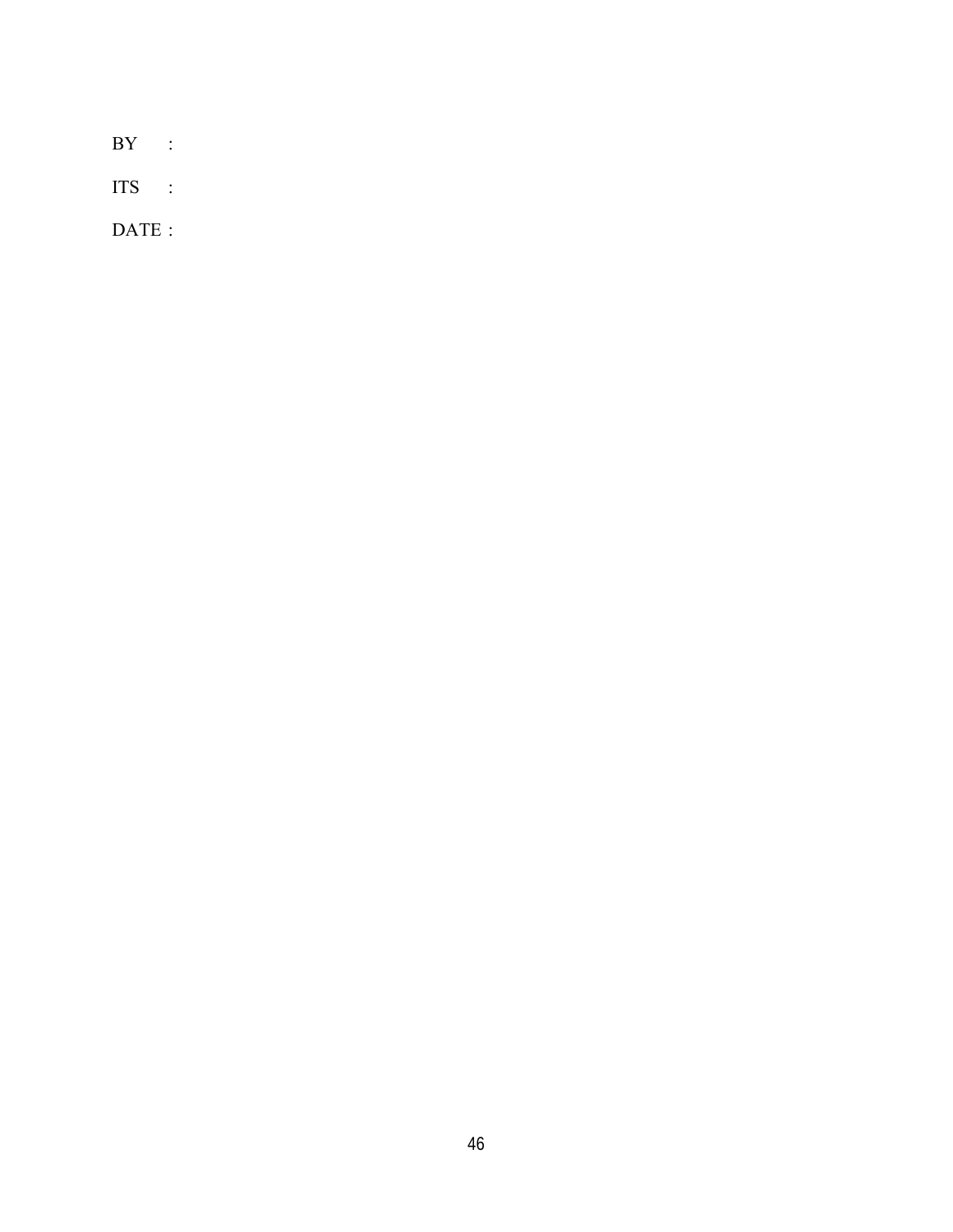BY :

ITS :

DATE :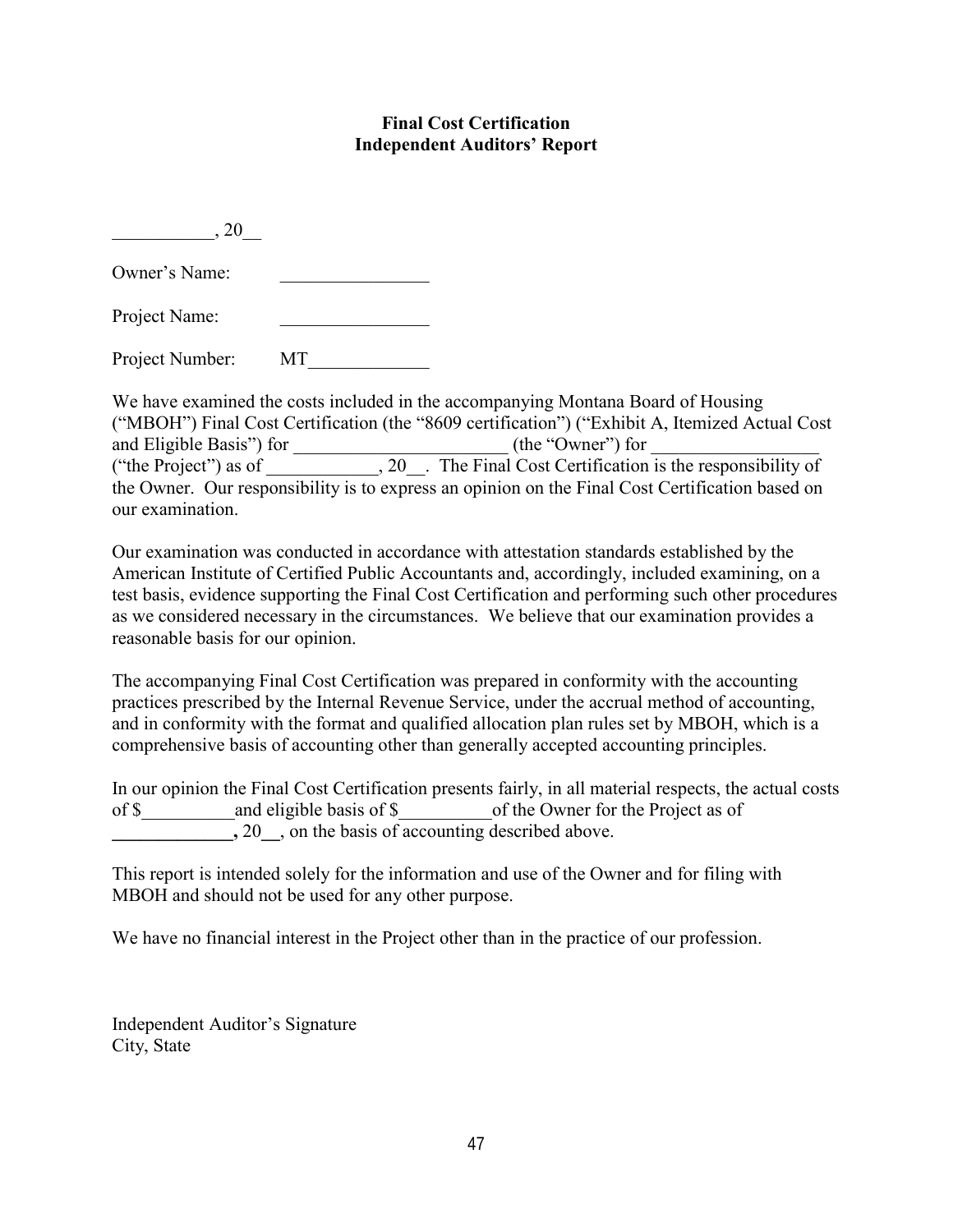### **Final Cost Certification Independent Auditors' Report**

 $, 20$ Owner's Name: Project Name:

Project Number: MT

We have examined the costs included in the accompanying Montana Board of Housing ("MBOH") Final Cost Certification (the "8609 certification") ("Exhibit A, Itemized Actual Cost and Eligible Basis") for  $(the "Owner")$  for ("the Project") as of \_\_\_\_\_\_\_\_\_\_\_\_, 20\_\_. The Final Cost Certification is the responsibility of the Owner. Our responsibility is to express an opinion on the Final Cost Certification based on our examination.

Our examination was conducted in accordance with attestation standards established by the American Institute of Certified Public Accountants and, accordingly, included examining, on a test basis, evidence supporting the Final Cost Certification and performing such other procedures as we considered necessary in the circumstances. We believe that our examination provides a reasonable basis for our opinion.

The accompanying Final Cost Certification was prepared in conformity with the accounting practices prescribed by the Internal Revenue Service, under the accrual method of accounting, and in conformity with the format and qualified allocation plan rules set by MBOH, which is a comprehensive basis of accounting other than generally accepted accounting principles.

|       |                                               | In our opinion the Final Cost Certification presents fairly, in all material respects, the actual costs |
|-------|-----------------------------------------------|---------------------------------------------------------------------------------------------------------|
| of \$ | and eligible basis of \$                      | of the Owner for the Project as of                                                                      |
|       | , on the basis of accounting described above. |                                                                                                         |

This report is intended solely for the information and use of the Owner and for filing with MBOH and should not be used for any other purpose.

We have no financial interest in the Project other than in the practice of our profession.

Independent Auditor's Signature City, State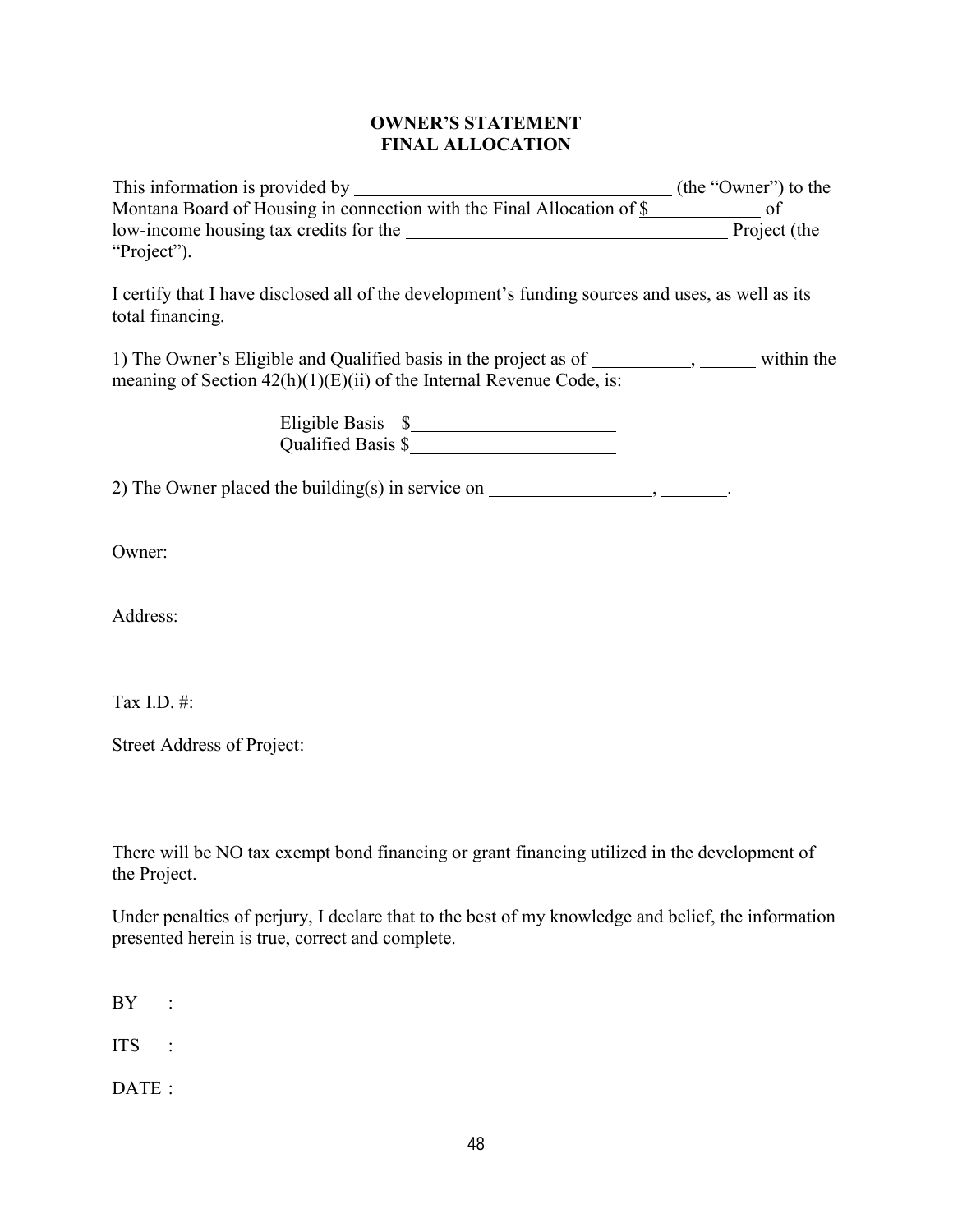### **OWNER'S STATEMENT FINAL ALLOCATION**

| This information is provided by                                        | (the "Owner") to the |
|------------------------------------------------------------------------|----------------------|
| Montana Board of Housing in connection with the Final Allocation of \$ |                      |
| low-income housing tax credits for the                                 | Project (the         |
| "Project").                                                            |                      |

I certify that I have disclosed all of the development's funding sources and uses, as well as its total financing.

1) The Owner's Eligible and Qualified basis in the project as of \_\_\_\_\_\_\_\_\_, \_\_\_\_\_\_ within the meaning of Section  $42(h)(1)(E)(ii)$  of the Internal Revenue Code, is:

 Eligible Basis \$ Qualified Basis \$

2) The Owner placed the building(s) in service on  $\overline{\phantom{a}}$ .

Owner:

Address:

Tax I.D. #:

Street Address of Project:

There will be NO tax exempt bond financing or grant financing utilized in the development of the Project.

Under penalties of perjury, I declare that to the best of my knowledge and belief, the information presented herein is true, correct and complete.

BY :

ITS :

DATE: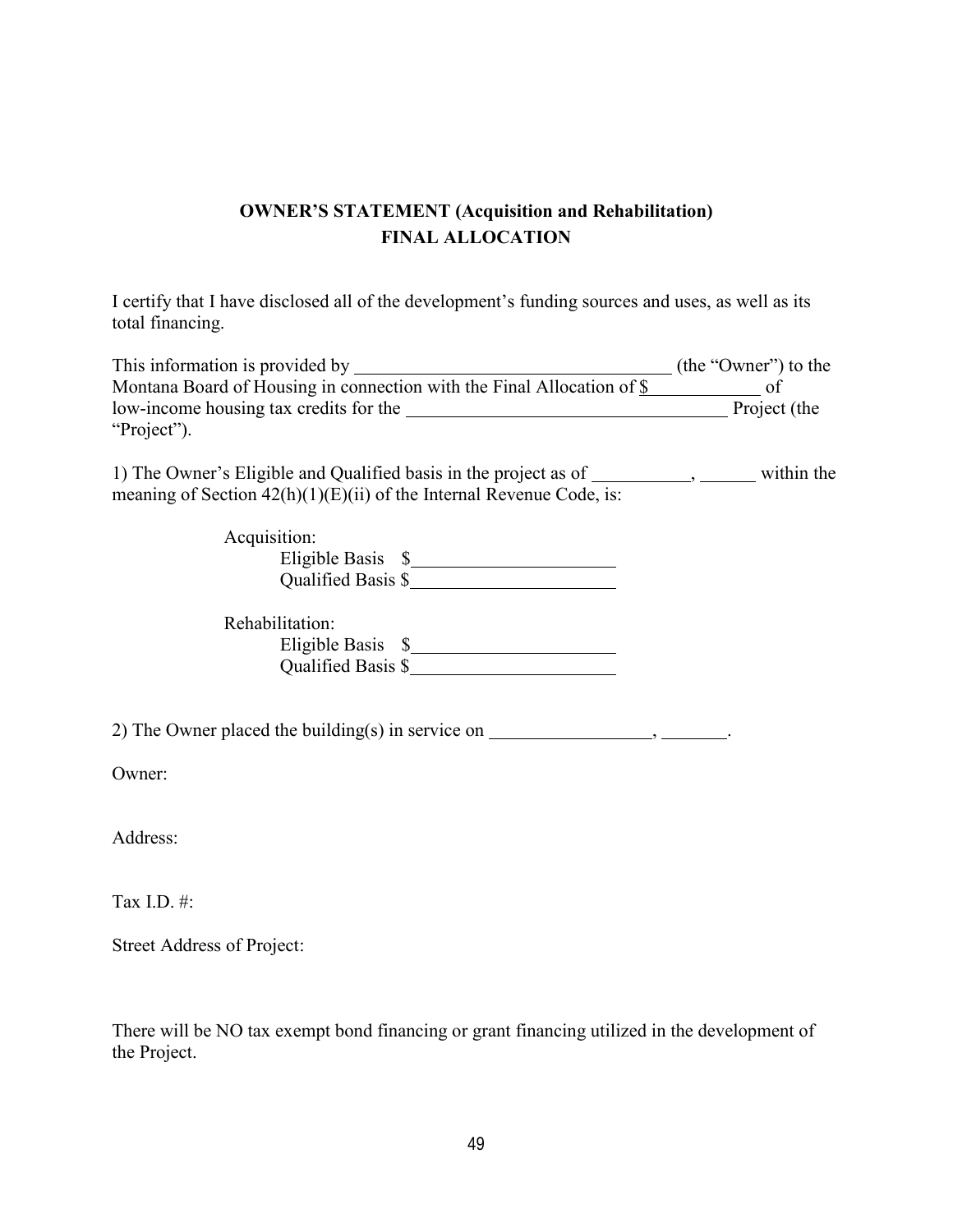# **OWNER'S STATEMENT (Acquisition and Rehabilitation) FINAL ALLOCATION**

I certify that I have disclosed all of the development's funding sources and uses, as well as its total financing.

| This information is provided by                                        | (the "Owner") to the |
|------------------------------------------------------------------------|----------------------|
| Montana Board of Housing in connection with the Final Allocation of \$ |                      |
| low-income housing tax credits for the                                 | Project (the         |
| "Project").                                                            |                      |

1) The Owner's Eligible and Qualified basis in the project as of \_\_\_\_\_\_\_\_\_\_, \_\_\_\_\_\_\_ within the meaning of Section  $42(h)(1)(E)(ii)$  of the Internal Revenue Code, is:

| Acquisition:       |  |
|--------------------|--|
| Eligible Basis \$  |  |
| Qualified Basis \$ |  |

| Rehabilitation:    |  |
|--------------------|--|
| Eligible Basis \$  |  |
| Qualified Basis \$ |  |

2) The Owner placed the building(s) in service on  $\frac{1}{\sqrt{2\pi}}$ .

Owner:

Address:

Tax I.D. #:

Street Address of Project:

There will be NO tax exempt bond financing or grant financing utilized in the development of the Project.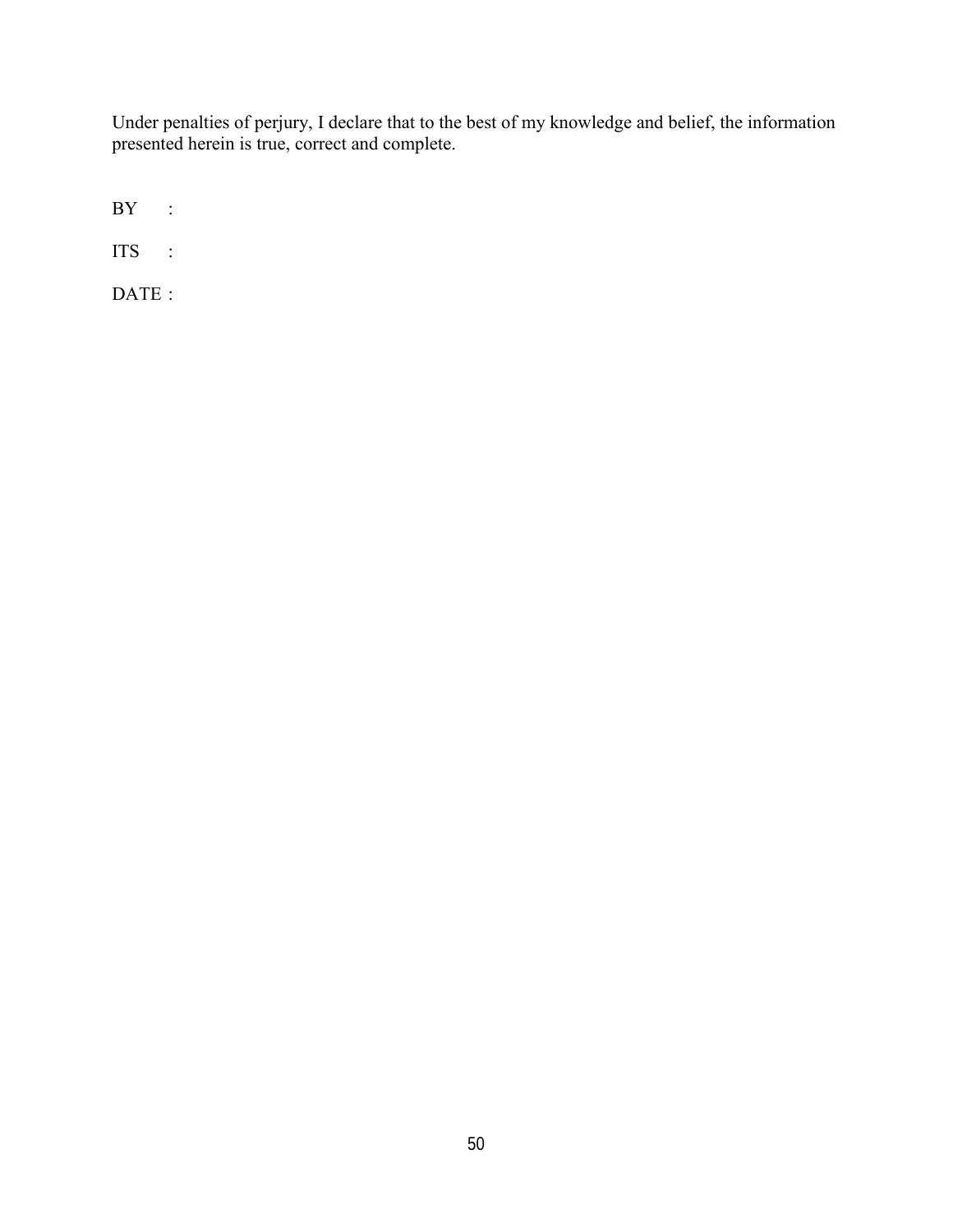Under penalties of perjury, I declare that to the best of my knowledge and belief, the information presented herein is true, correct and complete.

BY :

ITS :

DATE :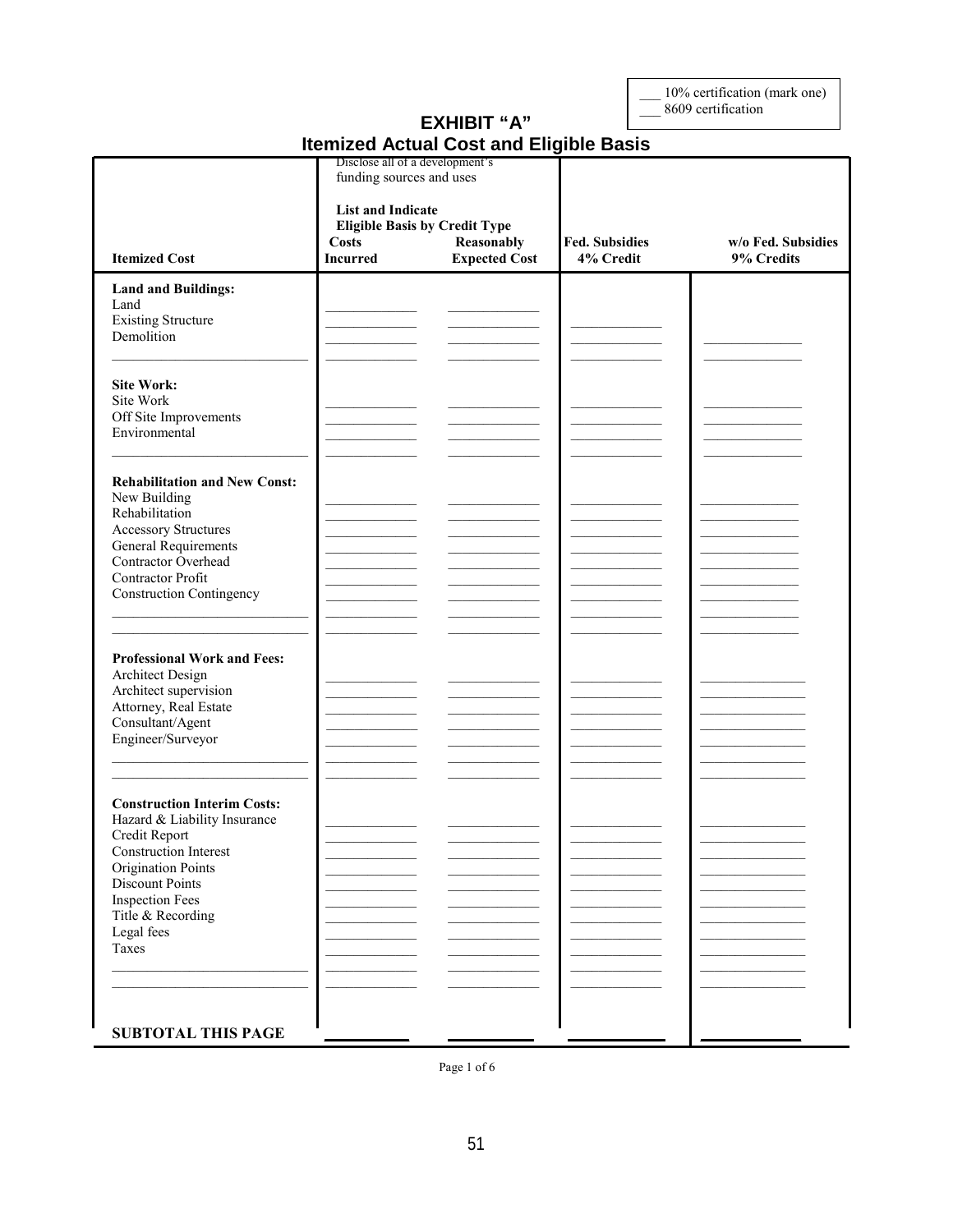10% certification (mark one)<br>8609 certification

## **EXHIBIT "A" Itemized Actual Cost and Eligible Basis**

|                                                                                                                                                                                                                                                  | Disclose all of a development's<br>funding sources and uses<br><b>List and Indicate</b><br><b>Eligible Basis by Credit Type</b> |                                    |                                    |                                  |
|--------------------------------------------------------------------------------------------------------------------------------------------------------------------------------------------------------------------------------------------------|---------------------------------------------------------------------------------------------------------------------------------|------------------------------------|------------------------------------|----------------------------------|
| <b>Itemized Cost</b>                                                                                                                                                                                                                             | <b>Costs</b><br><b>Incurred</b>                                                                                                 | Reasonably<br><b>Expected Cost</b> | <b>Fed. Subsidies</b><br>4% Credit | w/o Fed. Subsidies<br>9% Credits |
| <b>Land and Buildings:</b><br>Land<br><b>Existing Structure</b><br>Demolition                                                                                                                                                                    |                                                                                                                                 |                                    |                                    |                                  |
| <b>Site Work:</b><br>Site Work<br>Off Site Improvements<br>Environmental                                                                                                                                                                         |                                                                                                                                 |                                    |                                    |                                  |
| <b>Rehabilitation and New Const:</b><br>New Building<br>Rehabilitation<br><b>Accessory Structures</b><br><b>General Requirements</b><br>Contractor Overhead<br>Contractor Profit<br><b>Construction Contingency</b>                              |                                                                                                                                 |                                    |                                    |                                  |
| <b>Professional Work and Fees:</b><br><b>Architect Design</b><br>Architect supervision<br>Attorney, Real Estate<br>Consultant/Agent<br>Engineer/Surveyor                                                                                         |                                                                                                                                 |                                    |                                    |                                  |
| <b>Construction Interim Costs:</b><br>Hazard & Liability Insurance<br>Credit Report<br><b>Construction Interest</b><br><b>Origination Points</b><br><b>Discount Points</b><br><b>Inspection Fees</b><br>Title & Recording<br>Legal fees<br>Taxes |                                                                                                                                 |                                    |                                    |                                  |
| <b>SUBTOTAL THIS PAGE</b>                                                                                                                                                                                                                        |                                                                                                                                 |                                    |                                    |                                  |

Page 1 of  $6$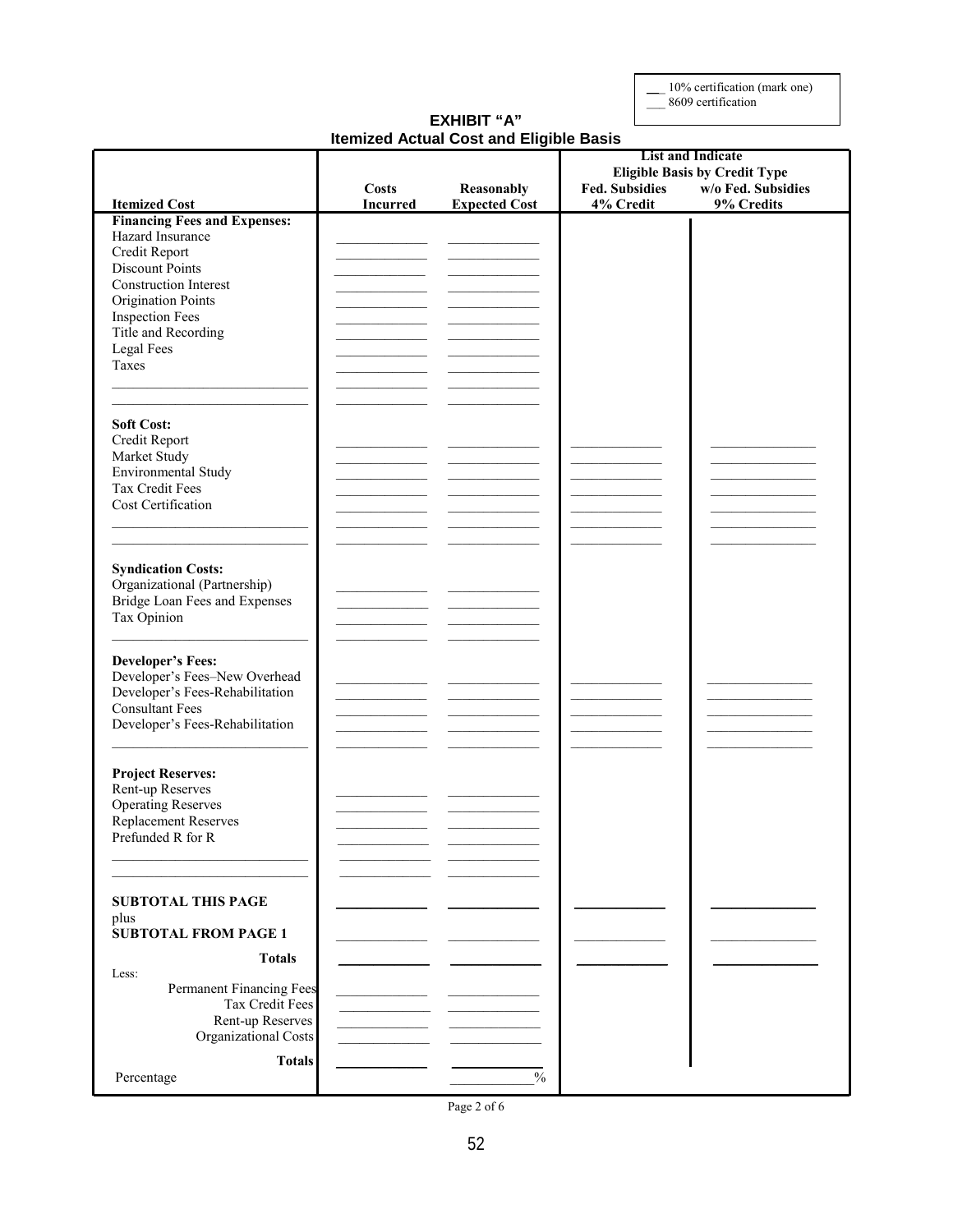\_\_\_ 10% certification (mark one) \_\_\_ 8609 certification

#### **EXHIBIT "A" Itemized Actual Cost and Eligible Basis**

| <b>Eligible Basis by Credit Type</b><br>w/o Fed. Subsidies<br><b>Fed. Subsidies</b><br><b>Costs</b><br>Reasonably<br>9% Credits<br><b>Itemized Cost</b><br><b>Incurred</b><br><b>Expected Cost</b><br>4% Credit<br><b>Financing Fees and Expenses:</b><br>Hazard Insurance<br>Credit Report<br>Discount Points<br><b>Construction Interest</b><br><b>Origination Points</b><br><b>Inspection Fees</b><br>Title and Recording<br>Legal Fees<br>Taxes<br><b>Soft Cost:</b><br>Credit Report<br>Market Study<br>Environmental Study<br>Tax Credit Fees<br>Cost Certification<br><b>Syndication Costs:</b><br>Organizational (Partnership)<br>Bridge Loan Fees and Expenses<br>Tax Opinion<br><b>Developer's Fees:</b><br>Developer's Fees-New Overhead<br>Developer's Fees-Rehabilitation<br><b>Consultant Fees</b><br>Developer's Fees-Rehabilitation<br><b>Project Reserves:</b><br>Rent-up Reserves<br><b>Operating Reserves</b><br>Replacement Reserves<br>Prefunded R for R<br><b>SUBTOTAL THIS PAGE</b><br>plus<br><b>SUBTOTAL FROM PAGE 1</b><br><b>Totals</b><br>Less:<br>Permanent Financing Fees<br>Tax Credit Fees<br>Rent-up Reserves<br>Organizational Costs<br><b>Totals</b><br>$\frac{0}{0}$<br>Percentage |  |  | <b>List and Indicate</b> |
|------------------------------------------------------------------------------------------------------------------------------------------------------------------------------------------------------------------------------------------------------------------------------------------------------------------------------------------------------------------------------------------------------------------------------------------------------------------------------------------------------------------------------------------------------------------------------------------------------------------------------------------------------------------------------------------------------------------------------------------------------------------------------------------------------------------------------------------------------------------------------------------------------------------------------------------------------------------------------------------------------------------------------------------------------------------------------------------------------------------------------------------------------------------------------------------------------------------------|--|--|--------------------------|
|                                                                                                                                                                                                                                                                                                                                                                                                                                                                                                                                                                                                                                                                                                                                                                                                                                                                                                                                                                                                                                                                                                                                                                                                                        |  |  |                          |
|                                                                                                                                                                                                                                                                                                                                                                                                                                                                                                                                                                                                                                                                                                                                                                                                                                                                                                                                                                                                                                                                                                                                                                                                                        |  |  |                          |
|                                                                                                                                                                                                                                                                                                                                                                                                                                                                                                                                                                                                                                                                                                                                                                                                                                                                                                                                                                                                                                                                                                                                                                                                                        |  |  |                          |
|                                                                                                                                                                                                                                                                                                                                                                                                                                                                                                                                                                                                                                                                                                                                                                                                                                                                                                                                                                                                                                                                                                                                                                                                                        |  |  |                          |
|                                                                                                                                                                                                                                                                                                                                                                                                                                                                                                                                                                                                                                                                                                                                                                                                                                                                                                                                                                                                                                                                                                                                                                                                                        |  |  |                          |
|                                                                                                                                                                                                                                                                                                                                                                                                                                                                                                                                                                                                                                                                                                                                                                                                                                                                                                                                                                                                                                                                                                                                                                                                                        |  |  |                          |
|                                                                                                                                                                                                                                                                                                                                                                                                                                                                                                                                                                                                                                                                                                                                                                                                                                                                                                                                                                                                                                                                                                                                                                                                                        |  |  |                          |
|                                                                                                                                                                                                                                                                                                                                                                                                                                                                                                                                                                                                                                                                                                                                                                                                                                                                                                                                                                                                                                                                                                                                                                                                                        |  |  |                          |
|                                                                                                                                                                                                                                                                                                                                                                                                                                                                                                                                                                                                                                                                                                                                                                                                                                                                                                                                                                                                                                                                                                                                                                                                                        |  |  |                          |
|                                                                                                                                                                                                                                                                                                                                                                                                                                                                                                                                                                                                                                                                                                                                                                                                                                                                                                                                                                                                                                                                                                                                                                                                                        |  |  |                          |
|                                                                                                                                                                                                                                                                                                                                                                                                                                                                                                                                                                                                                                                                                                                                                                                                                                                                                                                                                                                                                                                                                                                                                                                                                        |  |  |                          |
|                                                                                                                                                                                                                                                                                                                                                                                                                                                                                                                                                                                                                                                                                                                                                                                                                                                                                                                                                                                                                                                                                                                                                                                                                        |  |  |                          |
|                                                                                                                                                                                                                                                                                                                                                                                                                                                                                                                                                                                                                                                                                                                                                                                                                                                                                                                                                                                                                                                                                                                                                                                                                        |  |  |                          |
|                                                                                                                                                                                                                                                                                                                                                                                                                                                                                                                                                                                                                                                                                                                                                                                                                                                                                                                                                                                                                                                                                                                                                                                                                        |  |  |                          |
|                                                                                                                                                                                                                                                                                                                                                                                                                                                                                                                                                                                                                                                                                                                                                                                                                                                                                                                                                                                                                                                                                                                                                                                                                        |  |  |                          |
|                                                                                                                                                                                                                                                                                                                                                                                                                                                                                                                                                                                                                                                                                                                                                                                                                                                                                                                                                                                                                                                                                                                                                                                                                        |  |  |                          |
|                                                                                                                                                                                                                                                                                                                                                                                                                                                                                                                                                                                                                                                                                                                                                                                                                                                                                                                                                                                                                                                                                                                                                                                                                        |  |  |                          |
|                                                                                                                                                                                                                                                                                                                                                                                                                                                                                                                                                                                                                                                                                                                                                                                                                                                                                                                                                                                                                                                                                                                                                                                                                        |  |  |                          |
|                                                                                                                                                                                                                                                                                                                                                                                                                                                                                                                                                                                                                                                                                                                                                                                                                                                                                                                                                                                                                                                                                                                                                                                                                        |  |  |                          |
|                                                                                                                                                                                                                                                                                                                                                                                                                                                                                                                                                                                                                                                                                                                                                                                                                                                                                                                                                                                                                                                                                                                                                                                                                        |  |  |                          |
|                                                                                                                                                                                                                                                                                                                                                                                                                                                                                                                                                                                                                                                                                                                                                                                                                                                                                                                                                                                                                                                                                                                                                                                                                        |  |  |                          |
|                                                                                                                                                                                                                                                                                                                                                                                                                                                                                                                                                                                                                                                                                                                                                                                                                                                                                                                                                                                                                                                                                                                                                                                                                        |  |  |                          |
|                                                                                                                                                                                                                                                                                                                                                                                                                                                                                                                                                                                                                                                                                                                                                                                                                                                                                                                                                                                                                                                                                                                                                                                                                        |  |  |                          |
|                                                                                                                                                                                                                                                                                                                                                                                                                                                                                                                                                                                                                                                                                                                                                                                                                                                                                                                                                                                                                                                                                                                                                                                                                        |  |  |                          |
|                                                                                                                                                                                                                                                                                                                                                                                                                                                                                                                                                                                                                                                                                                                                                                                                                                                                                                                                                                                                                                                                                                                                                                                                                        |  |  |                          |
|                                                                                                                                                                                                                                                                                                                                                                                                                                                                                                                                                                                                                                                                                                                                                                                                                                                                                                                                                                                                                                                                                                                                                                                                                        |  |  |                          |
|                                                                                                                                                                                                                                                                                                                                                                                                                                                                                                                                                                                                                                                                                                                                                                                                                                                                                                                                                                                                                                                                                                                                                                                                                        |  |  |                          |
|                                                                                                                                                                                                                                                                                                                                                                                                                                                                                                                                                                                                                                                                                                                                                                                                                                                                                                                                                                                                                                                                                                                                                                                                                        |  |  |                          |
|                                                                                                                                                                                                                                                                                                                                                                                                                                                                                                                                                                                                                                                                                                                                                                                                                                                                                                                                                                                                                                                                                                                                                                                                                        |  |  |                          |
|                                                                                                                                                                                                                                                                                                                                                                                                                                                                                                                                                                                                                                                                                                                                                                                                                                                                                                                                                                                                                                                                                                                                                                                                                        |  |  |                          |
|                                                                                                                                                                                                                                                                                                                                                                                                                                                                                                                                                                                                                                                                                                                                                                                                                                                                                                                                                                                                                                                                                                                                                                                                                        |  |  |                          |
|                                                                                                                                                                                                                                                                                                                                                                                                                                                                                                                                                                                                                                                                                                                                                                                                                                                                                                                                                                                                                                                                                                                                                                                                                        |  |  |                          |
|                                                                                                                                                                                                                                                                                                                                                                                                                                                                                                                                                                                                                                                                                                                                                                                                                                                                                                                                                                                                                                                                                                                                                                                                                        |  |  |                          |
|                                                                                                                                                                                                                                                                                                                                                                                                                                                                                                                                                                                                                                                                                                                                                                                                                                                                                                                                                                                                                                                                                                                                                                                                                        |  |  |                          |
|                                                                                                                                                                                                                                                                                                                                                                                                                                                                                                                                                                                                                                                                                                                                                                                                                                                                                                                                                                                                                                                                                                                                                                                                                        |  |  |                          |
|                                                                                                                                                                                                                                                                                                                                                                                                                                                                                                                                                                                                                                                                                                                                                                                                                                                                                                                                                                                                                                                                                                                                                                                                                        |  |  |                          |
|                                                                                                                                                                                                                                                                                                                                                                                                                                                                                                                                                                                                                                                                                                                                                                                                                                                                                                                                                                                                                                                                                                                                                                                                                        |  |  |                          |
|                                                                                                                                                                                                                                                                                                                                                                                                                                                                                                                                                                                                                                                                                                                                                                                                                                                                                                                                                                                                                                                                                                                                                                                                                        |  |  |                          |
|                                                                                                                                                                                                                                                                                                                                                                                                                                                                                                                                                                                                                                                                                                                                                                                                                                                                                                                                                                                                                                                                                                                                                                                                                        |  |  |                          |
|                                                                                                                                                                                                                                                                                                                                                                                                                                                                                                                                                                                                                                                                                                                                                                                                                                                                                                                                                                                                                                                                                                                                                                                                                        |  |  |                          |
|                                                                                                                                                                                                                                                                                                                                                                                                                                                                                                                                                                                                                                                                                                                                                                                                                                                                                                                                                                                                                                                                                                                                                                                                                        |  |  |                          |
|                                                                                                                                                                                                                                                                                                                                                                                                                                                                                                                                                                                                                                                                                                                                                                                                                                                                                                                                                                                                                                                                                                                                                                                                                        |  |  |                          |
|                                                                                                                                                                                                                                                                                                                                                                                                                                                                                                                                                                                                                                                                                                                                                                                                                                                                                                                                                                                                                                                                                                                                                                                                                        |  |  |                          |
|                                                                                                                                                                                                                                                                                                                                                                                                                                                                                                                                                                                                                                                                                                                                                                                                                                                                                                                                                                                                                                                                                                                                                                                                                        |  |  |                          |
|                                                                                                                                                                                                                                                                                                                                                                                                                                                                                                                                                                                                                                                                                                                                                                                                                                                                                                                                                                                                                                                                                                                                                                                                                        |  |  |                          |
|                                                                                                                                                                                                                                                                                                                                                                                                                                                                                                                                                                                                                                                                                                                                                                                                                                                                                                                                                                                                                                                                                                                                                                                                                        |  |  |                          |
|                                                                                                                                                                                                                                                                                                                                                                                                                                                                                                                                                                                                                                                                                                                                                                                                                                                                                                                                                                                                                                                                                                                                                                                                                        |  |  |                          |
|                                                                                                                                                                                                                                                                                                                                                                                                                                                                                                                                                                                                                                                                                                                                                                                                                                                                                                                                                                                                                                                                                                                                                                                                                        |  |  |                          |
|                                                                                                                                                                                                                                                                                                                                                                                                                                                                                                                                                                                                                                                                                                                                                                                                                                                                                                                                                                                                                                                                                                                                                                                                                        |  |  |                          |
|                                                                                                                                                                                                                                                                                                                                                                                                                                                                                                                                                                                                                                                                                                                                                                                                                                                                                                                                                                                                                                                                                                                                                                                                                        |  |  |                          |
|                                                                                                                                                                                                                                                                                                                                                                                                                                                                                                                                                                                                                                                                                                                                                                                                                                                                                                                                                                                                                                                                                                                                                                                                                        |  |  |                          |
|                                                                                                                                                                                                                                                                                                                                                                                                                                                                                                                                                                                                                                                                                                                                                                                                                                                                                                                                                                                                                                                                                                                                                                                                                        |  |  |                          |
|                                                                                                                                                                                                                                                                                                                                                                                                                                                                                                                                                                                                                                                                                                                                                                                                                                                                                                                                                                                                                                                                                                                                                                                                                        |  |  |                          |

Page 2 of 6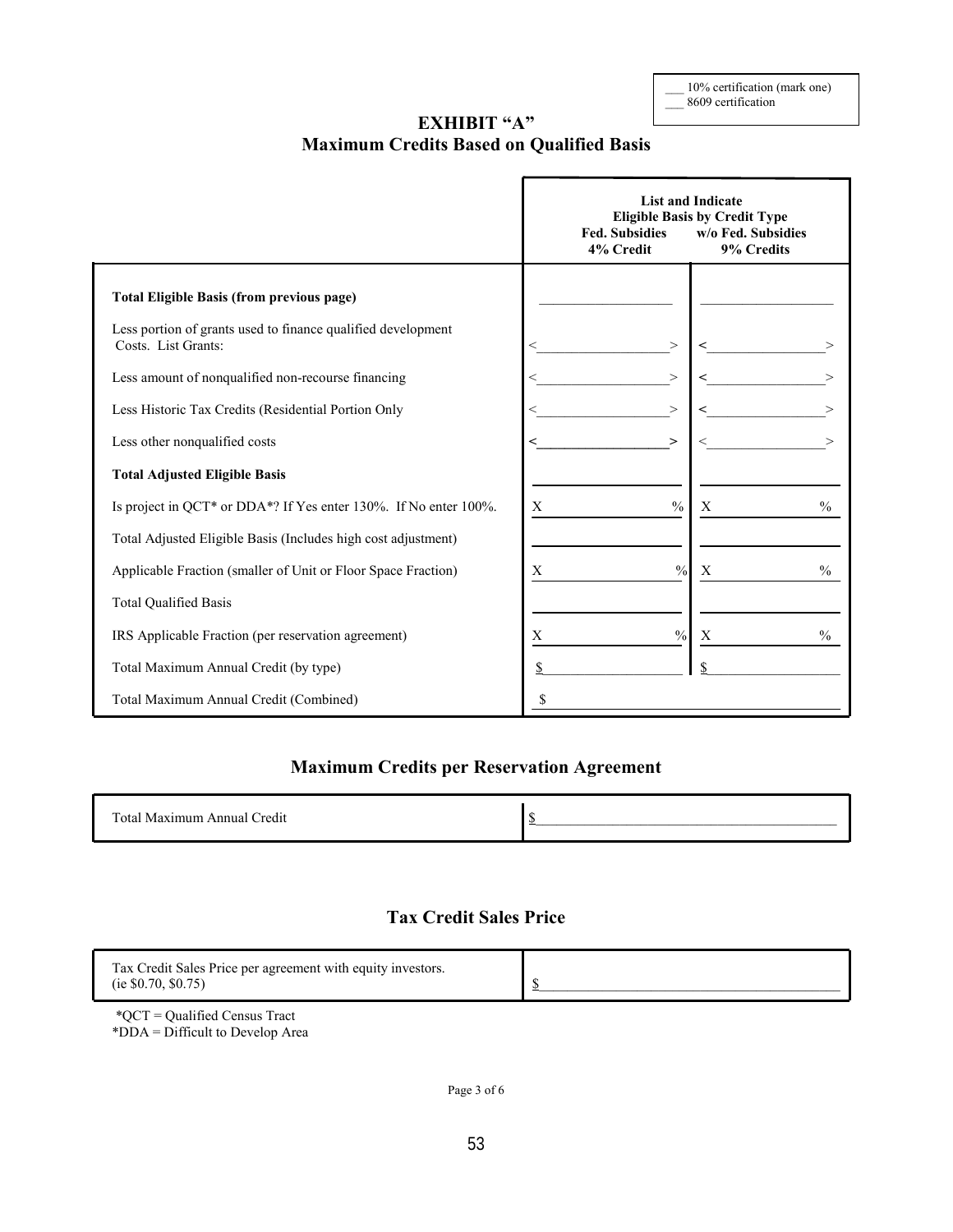10% certification (mark one) \_\_\_ 8609 certification

## **EXHIBIT "A" Maximum Credits Based on Qualified Basis**

|                                                                                     | <b>Fed. Subsidies</b><br>4% Credit | <b>List and Indicate</b><br><b>Eligible Basis by Credit Type</b><br>w/o Fed. Subsidies<br>9% Credits |
|-------------------------------------------------------------------------------------|------------------------------------|------------------------------------------------------------------------------------------------------|
| <b>Total Eligible Basis (from previous page)</b>                                    |                                    |                                                                                                      |
| Less portion of grants used to finance qualified development<br>Costs. List Grants: | ><br>←                             |                                                                                                      |
| Less amount of nonqualified non-recourse financing                                  | $\,>\,$<br>$\,<\,$                 |                                                                                                      |
| Less Historic Tax Credits (Residential Portion Only                                 | $\,>\,$                            |                                                                                                      |
| Less other nonqualified costs                                                       | ≺<br>⋗                             |                                                                                                      |
| <b>Total Adjusted Eligible Basis</b>                                                |                                    |                                                                                                      |
| Is project in QCT* or DDA*? If Yes enter 130%. If No enter 100%.                    | $\frac{0}{0}$<br>X                 | $\frac{0}{0}$<br>X                                                                                   |
| Total Adjusted Eligible Basis (Includes high cost adjustment)                       |                                    |                                                                                                      |
| Applicable Fraction (smaller of Unit or Floor Space Fraction)                       | X<br>$\frac{0}{0}$                 | $\%$<br>X                                                                                            |
| <b>Total Qualified Basis</b>                                                        |                                    |                                                                                                      |
| IRS Applicable Fraction (per reservation agreement)                                 | $\frac{0}{0}$<br>X                 | X<br>$\frac{0}{0}$                                                                                   |
| Total Maximum Annual Credit (by type)                                               |                                    |                                                                                                      |
| Total Maximum Annual Credit (Combined)                                              | S                                  |                                                                                                      |

## **Maximum Credits per Reservation Agreement**

| Total Maximum Annual Credit |  |
|-----------------------------|--|
|                             |  |
|                             |  |

## **Tax Credit Sales Price**

| Tax Credit Sales Price per agreement with equity investors. |  |
|-------------------------------------------------------------|--|
| (ie $$0.70, $0.75)$ )                                       |  |

\*QCT = Qualified Census Tract \*DDA = Difficult to Develop Area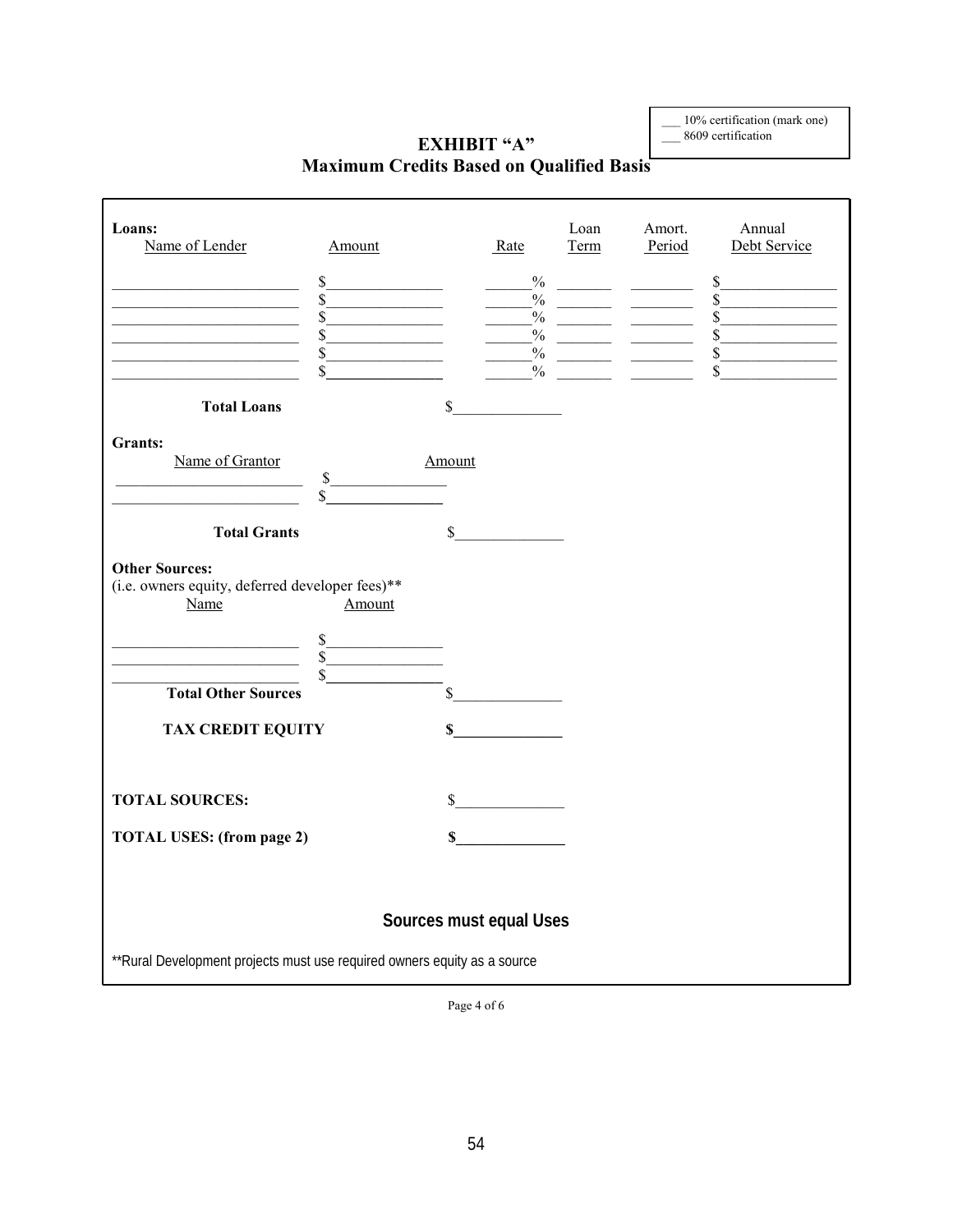\_\_\_ 10% certification (mark one) \_\_\_ 8609 certification

# **EXHIBIT "A" Maximum Credits Based on Qualified Basis**

| Loans:<br>Name of Lender                                                                                                                                                                                  | Amount                                                                        |        | Rate                    | Loan<br>Term | Amort.<br>Period                                                                                                                                                                                                                                                                                                                                                | Annual<br>Debt Service                                                            |
|-----------------------------------------------------------------------------------------------------------------------------------------------------------------------------------------------------------|-------------------------------------------------------------------------------|--------|-------------------------|--------------|-----------------------------------------------------------------------------------------------------------------------------------------------------------------------------------------------------------------------------------------------------------------------------------------------------------------------------------------------------------------|-----------------------------------------------------------------------------------|
| <u> 1989 - Johann Barn, fransk politik (d. 1989)</u><br><u> 1989 - Johann Barbara, martxa alemaniar a</u><br><u> 1980 - Johann Barbara, martxa alemaniar a</u><br><u> 1989 - Johann Barbara, martin a</u> | $\sim$<br>\$<br>$\overline{\mathbb{S}}$<br>$\mathcal{S}$<br>$\mathbb S$<br>\$ |        | $\%$                    | $\%$         | $\frac{1}{2}$ . The set of $\frac{1}{2}$<br>$\frac{1}{2}$ $\frac{1}{2}$ $\frac{1}{2}$ $\frac{1}{2}$ $\frac{1}{2}$ $\frac{1}{2}$ $\frac{1}{2}$ $\frac{1}{2}$ $\frac{1}{2}$ $\frac{1}{2}$ $\frac{1}{2}$ $\frac{1}{2}$ $\frac{1}{2}$ $\frac{1}{2}$ $\frac{1}{2}$ $\frac{1}{2}$ $\frac{1}{2}$ $\frac{1}{2}$ $\frac{1}{2}$ $\frac{1}{2}$ $\frac{1}{2}$ $\frac{1}{2}$ | s<br>$\frac{1}{\sqrt{2}}$<br>$\overline{\text{s}}$<br>$\frac{\text{S}}{\text{S}}$ |
| <b>Total Loans</b>                                                                                                                                                                                        |                                                                               | \$     |                         |              |                                                                                                                                                                                                                                                                                                                                                                 |                                                                                   |
| <b>Grants:</b><br>Name of Grantor                                                                                                                                                                         | $\sim$<br>\$                                                                  | Amount |                         |              |                                                                                                                                                                                                                                                                                                                                                                 |                                                                                   |
| <b>Total Grants</b>                                                                                                                                                                                       |                                                                               | \$     |                         |              |                                                                                                                                                                                                                                                                                                                                                                 |                                                                                   |
| <b>Other Sources:</b><br>(i.e. owners equity, deferred developer fees)**<br>Name                                                                                                                          | Amount                                                                        |        |                         |              |                                                                                                                                                                                                                                                                                                                                                                 |                                                                                   |
| <u> 1989 - Johann Barn, fransk politik (</u><br>$\frac{s}{s}$<br><b>Total Other Sources</b>                                                                                                               | s                                                                             |        | $\sim$                  |              |                                                                                                                                                                                                                                                                                                                                                                 |                                                                                   |
| <b>TAX CREDIT EQUITY</b>                                                                                                                                                                                  |                                                                               |        | $\mathbb{S}$            |              |                                                                                                                                                                                                                                                                                                                                                                 |                                                                                   |
| <b>TOTAL SOURCES:</b>                                                                                                                                                                                     |                                                                               |        | s                       |              |                                                                                                                                                                                                                                                                                                                                                                 |                                                                                   |
| <b>TOTAL USES: (from page 2)</b>                                                                                                                                                                          |                                                                               |        | $\sim$                  |              |                                                                                                                                                                                                                                                                                                                                                                 |                                                                                   |
|                                                                                                                                                                                                           |                                                                               |        | Sources must equal Uses |              |                                                                                                                                                                                                                                                                                                                                                                 |                                                                                   |
| ** Rural Development projects must use required owners equity as a source                                                                                                                                 |                                                                               |        |                         |              |                                                                                                                                                                                                                                                                                                                                                                 |                                                                                   |

Page 4 of 6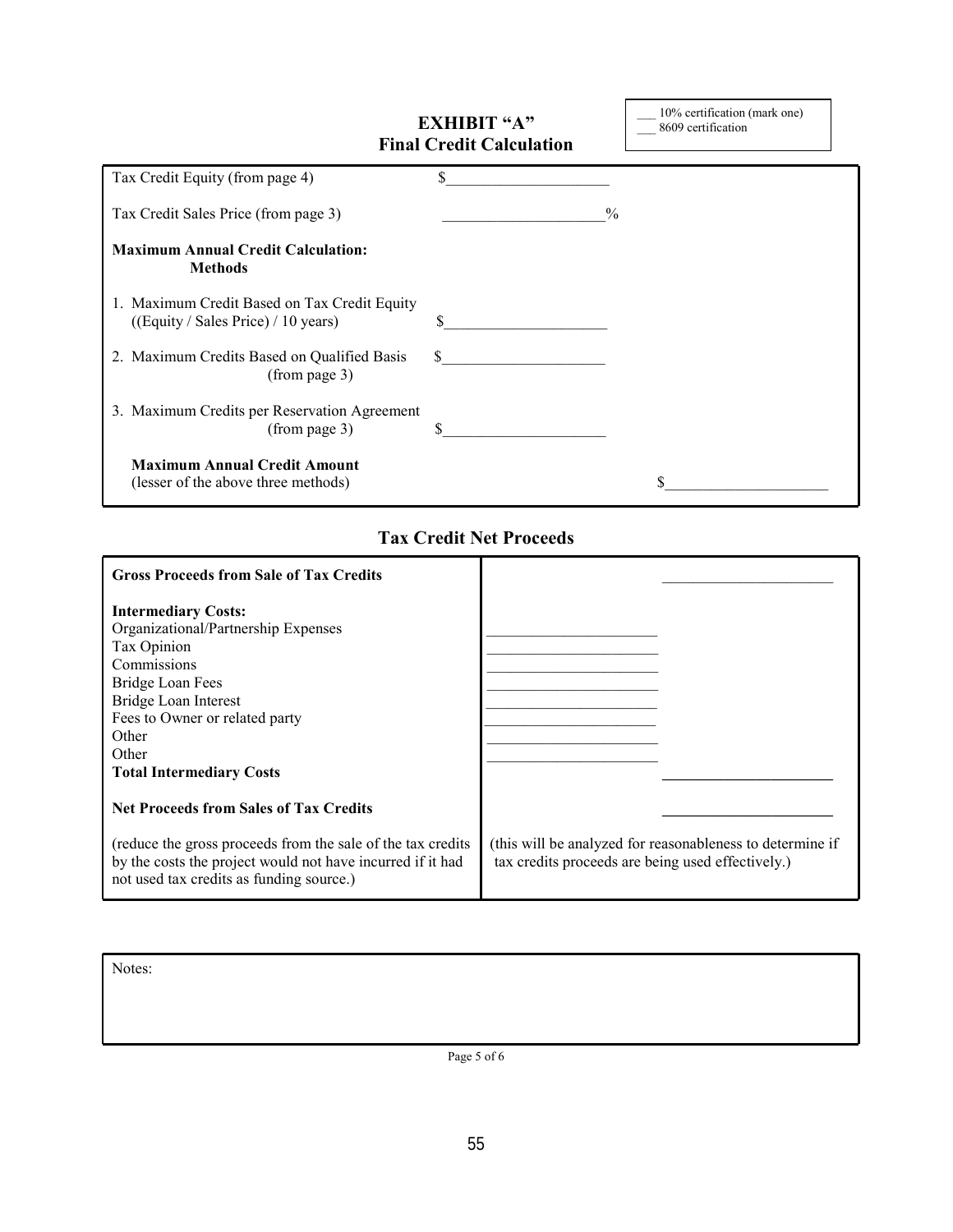|                                                                                     | <b>EXHIBIT "A"</b><br><b>Final Credit Calculation</b> | 10% certification (mark one)<br>8609 certification |
|-------------------------------------------------------------------------------------|-------------------------------------------------------|----------------------------------------------------|
| Tax Credit Equity (from page 4)                                                     | \$                                                    |                                                    |
| Tax Credit Sales Price (from page 3)                                                |                                                       | $\frac{0}{0}$                                      |
| <b>Maximum Annual Credit Calculation:</b><br><b>Methods</b>                         |                                                       |                                                    |
| 1. Maximum Credit Based on Tax Credit Equity<br>((Equity / Sales Price) / 10 years) | \$                                                    |                                                    |
| 2. Maximum Credits Based on Qualified Basis<br>(from page 3)                        | S.                                                    |                                                    |
| 3. Maximum Credits per Reservation Agreement<br>(from page 3)                       |                                                       |                                                    |
| <b>Maximum Annual Credit Amount</b><br>(lesser of the above three methods)          |                                                       |                                                    |

\_\_\_ 10% certification (mark one)

 $\mathsf{I}$ 

## **Tax Credit Net Proceeds**

| <b>Gross Proceeds from Sale of Tax Credits</b>                                                                                                                         |                                                                                                                |
|------------------------------------------------------------------------------------------------------------------------------------------------------------------------|----------------------------------------------------------------------------------------------------------------|
| <b>Intermediary Costs:</b>                                                                                                                                             |                                                                                                                |
| Organizational/Partnership Expenses                                                                                                                                    |                                                                                                                |
| Tax Opinion                                                                                                                                                            |                                                                                                                |
| Commissions                                                                                                                                                            |                                                                                                                |
| Bridge Loan Fees                                                                                                                                                       |                                                                                                                |
| Bridge Loan Interest                                                                                                                                                   |                                                                                                                |
| Fees to Owner or related party                                                                                                                                         |                                                                                                                |
| Other                                                                                                                                                                  |                                                                                                                |
| Other                                                                                                                                                                  |                                                                                                                |
| <b>Total Intermediary Costs</b>                                                                                                                                        |                                                                                                                |
| <b>Net Proceeds from Sales of Tax Credits</b>                                                                                                                          |                                                                                                                |
| (reduce the gross proceeds from the sale of the tax credits)<br>by the costs the project would not have incurred if it had<br>not used tax credits as funding source.) | (this will be analyzed for reasonableness to determine if<br>tax credits proceeds are being used effectively.) |

Notes:

Page 5 of 6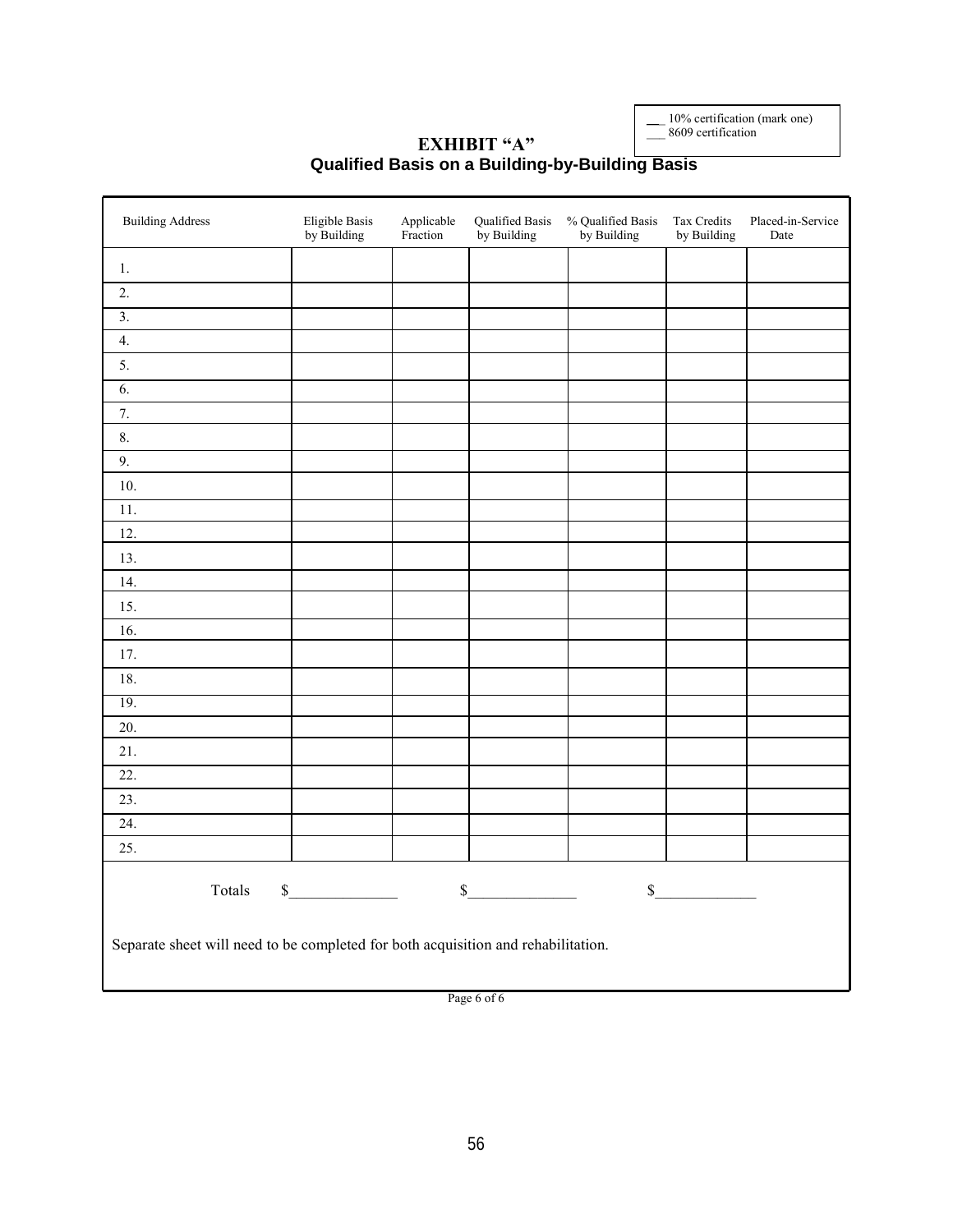\_\_\_ 10% certification (mark one)

\_\_\_ 8609 certification

### **EXHIBIT "A" Qualified Basis on a Building-by-Building Basis**

| <b>Building Address</b>                                                           | Eligible Basis<br>by Building | Applicable<br>Fraction | Qualified Basis<br>by Building | % Qualified Basis<br>by Building | Tax Credits<br>by Building | Placed-in-Service<br>Date |
|-----------------------------------------------------------------------------------|-------------------------------|------------------------|--------------------------------|----------------------------------|----------------------------|---------------------------|
| 1.                                                                                |                               |                        |                                |                                  |                            |                           |
| 2.                                                                                |                               |                        |                                |                                  |                            |                           |
| $\overline{3}$ .                                                                  |                               |                        |                                |                                  |                            |                           |
| $\overline{4}$ .                                                                  |                               |                        |                                |                                  |                            |                           |
| 5.                                                                                |                               |                        |                                |                                  |                            |                           |
| $\overline{6}$ .                                                                  |                               |                        |                                |                                  |                            |                           |
| 7.                                                                                |                               |                        |                                |                                  |                            |                           |
| 8.                                                                                |                               |                        |                                |                                  |                            |                           |
| 9.                                                                                |                               |                        |                                |                                  |                            |                           |
| 10.                                                                               |                               |                        |                                |                                  |                            |                           |
| 11.                                                                               |                               |                        |                                |                                  |                            |                           |
| 12.                                                                               |                               |                        |                                |                                  |                            |                           |
| 13.                                                                               |                               |                        |                                |                                  |                            |                           |
| 14.                                                                               |                               |                        |                                |                                  |                            |                           |
| 15.                                                                               |                               |                        |                                |                                  |                            |                           |
| 16.                                                                               |                               |                        |                                |                                  |                            |                           |
| 17.                                                                               |                               |                        |                                |                                  |                            |                           |
| 18.                                                                               |                               |                        |                                |                                  |                            |                           |
| 19.                                                                               |                               |                        |                                |                                  |                            |                           |
| 20.                                                                               |                               |                        |                                |                                  |                            |                           |
| 21.                                                                               |                               |                        |                                |                                  |                            |                           |
| 22.                                                                               |                               |                        |                                |                                  |                            |                           |
| 23.                                                                               |                               |                        |                                |                                  |                            |                           |
| 24.                                                                               |                               |                        |                                |                                  |                            |                           |
| 25.                                                                               |                               |                        |                                |                                  |                            |                           |
| Totals                                                                            | $\sim$                        |                        | $\sim$                         |                                  | s                          |                           |
| Separate sheet will need to be completed for both acquisition and rehabilitation. |                               |                        |                                |                                  |                            |                           |

Page 6 of 6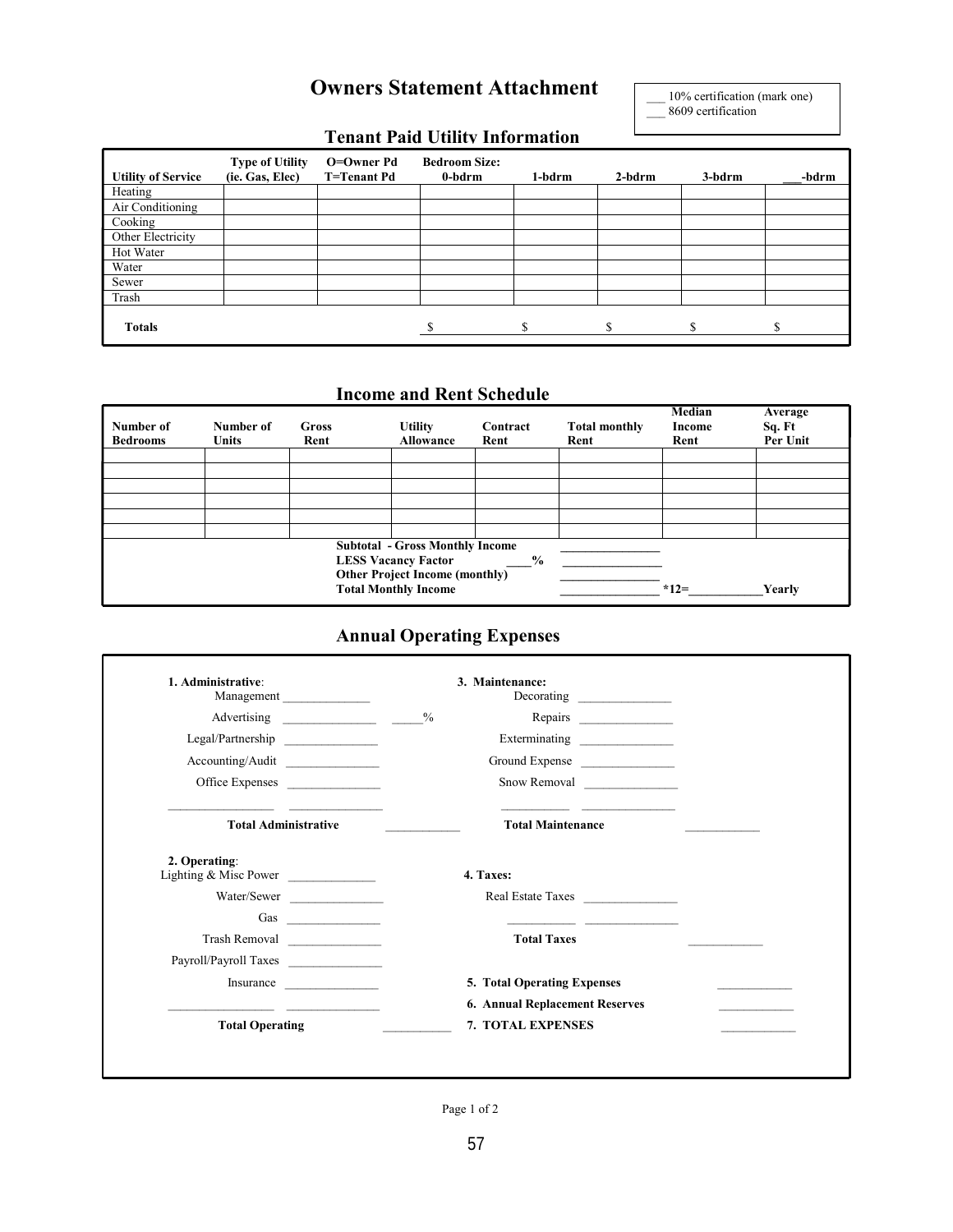# **Owners Statement Attachment**

10% certification (mark one) 8609 certification

# **Tenant Paid Utility Information**

| <b>Utility of Service</b> | <b>Type of Utility</b><br>(ie. Gas, Elec) | O=Owner Pd<br>T=Tenant Pd | <b>Bedroom Size:</b><br>0-bdrm | 1-bdrm | $2$ -bdrm | 3-bdrm | -bdrm |
|---------------------------|-------------------------------------------|---------------------------|--------------------------------|--------|-----------|--------|-------|
| Heating                   |                                           |                           |                                |        |           |        |       |
| Air Conditioning          |                                           |                           |                                |        |           |        |       |
| Cooking                   |                                           |                           |                                |        |           |        |       |
| Other Electricity         |                                           |                           |                                |        |           |        |       |
| Hot Water                 |                                           |                           |                                |        |           |        |       |
| Water                     |                                           |                           |                                |        |           |        |       |
| Sewer                     |                                           |                           |                                |        |           |        |       |
| Trash                     |                                           |                           |                                |        |           |        |       |
| <b>Totals</b>             |                                           |                           |                                | S      | ¢         |        | S     |

### **Income and Rent Schedule**

| Number of<br><b>Bedrooms</b> | Number of<br><b>Units</b> | Gross<br>Rent | <b>Utility</b><br>Allowance            | Contract<br>Rent | <b>Total monthly</b><br>Rent | Median<br>Income<br>Rent | Average<br>Sq. Ft<br>Per Unit |
|------------------------------|---------------------------|---------------|----------------------------------------|------------------|------------------------------|--------------------------|-------------------------------|
|                              |                           |               |                                        |                  |                              |                          |                               |
|                              |                           |               |                                        |                  |                              |                          |                               |
|                              |                           |               |                                        |                  |                              |                          |                               |
|                              |                           |               |                                        |                  |                              |                          |                               |
|                              |                           |               |                                        |                  |                              |                          |                               |
|                              |                           |               |                                        |                  |                              |                          |                               |
|                              |                           |               |                                        |                  |                              |                          |                               |
|                              |                           |               | <b>Subtotal - Gross Monthly Income</b> |                  |                              |                          |                               |
|                              |                           |               | <b>LESS Vacancy Factor</b>             | $\frac{0}{0}$    |                              |                          |                               |
|                              |                           |               | <b>Other Project Income (monthly)</b>  |                  |                              |                          |                               |
|                              |                           |               |                                        |                  |                              |                          |                               |
|                              |                           |               | <b>Total Monthly Income</b>            |                  |                              | $*12=$                   | Yearly                        |

# **Annual Operating Expenses**

| 1. Administrative:<br>Management       | 3. Maintenance:                                                                                                                                                                                                                                                        |
|----------------------------------------|------------------------------------------------------------------------------------------------------------------------------------------------------------------------------------------------------------------------------------------------------------------------|
| Advertising                            | $\frac{9}{6}$                                                                                                                                                                                                                                                          |
| Legal/Partnership                      |                                                                                                                                                                                                                                                                        |
| Accounting/Audit                       | Ground Expense                                                                                                                                                                                                                                                         |
| Office Expenses                        | Snow Removal                                                                                                                                                                                                                                                           |
| <b>Total Administrative</b>            | <b>Total Maintenance</b>                                                                                                                                                                                                                                               |
| 2. Operating:<br>Lighting & Misc Power | 4. Taxes:                                                                                                                                                                                                                                                              |
| Water/Sewer                            | Real Estate Taxes                                                                                                                                                                                                                                                      |
| Gas $\qquad \qquad$                    |                                                                                                                                                                                                                                                                        |
| Trash Removal                          | <b>Total Taxes</b>                                                                                                                                                                                                                                                     |
| Payroll/Payroll Taxes                  |                                                                                                                                                                                                                                                                        |
| Insurance                              | 5. Total Operating Expenses                                                                                                                                                                                                                                            |
|                                        | 6. Annual Replacement Reserves<br><u> The Communication of the Communication of the Communication of the Communication of the Communication of the Communication of the Communication of the Communication of the Communication of the Communication of the Commun</u> |
| <b>Total Operating</b>                 | 7. TOTAL EXPENSES                                                                                                                                                                                                                                                      |

Page 1 of 2